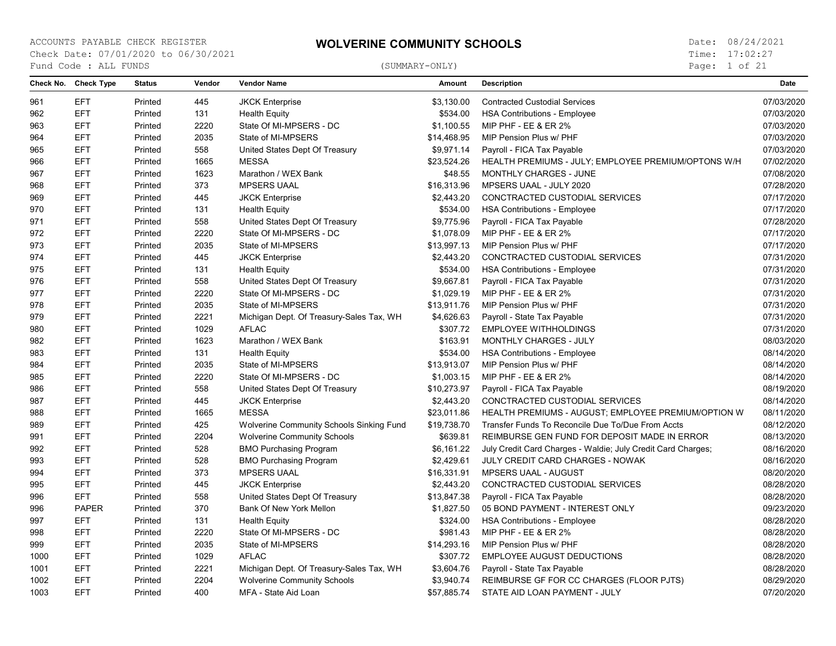Page: 1 of 21

| Check No. | <b>Check Type</b> | <b>Status</b> | Vendor | <b>Vendor Name</b>                       | <b>Amount</b> | <b>Description</b>                                           | Date       |
|-----------|-------------------|---------------|--------|------------------------------------------|---------------|--------------------------------------------------------------|------------|
| 961       | <b>EFT</b>        | Printed       | 445    | <b>JKCK Enterprise</b>                   | \$3,130.00    | <b>Contracted Custodial Services</b>                         | 07/03/2020 |
| 962       | <b>EFT</b>        | Printed       | 131    | <b>Health Equity</b>                     | \$534.00      | <b>HSA Contributions - Employee</b>                          | 07/03/2020 |
| 963       | <b>EFT</b>        | Printed       | 2220   | State Of MI-MPSERS - DC                  | \$1,100.55    | MIP PHF - EE & ER 2%                                         | 07/03/2020 |
| 964       | <b>EFT</b>        | Printed       | 2035   | State of MI-MPSERS                       | \$14,468.95   | MIP Pension Plus w/ PHF                                      | 07/03/2020 |
| 965       | <b>EFT</b>        | Printed       | 558    | United States Dept Of Treasury           | \$9,971.14    | Payroll - FICA Tax Payable                                   | 07/03/2020 |
| 966       | <b>EFT</b>        | Printed       | 1665   | <b>MESSA</b>                             | \$23,524.26   | HEALTH PREMIUMS - JULY; EMPLOYEE PREMIUM/OPTONS W/H          | 07/02/2020 |
| 967       | <b>EFT</b>        | Printed       | 1623   | Marathon / WEX Bank                      | \$48.55       | MONTHLY CHARGES - JUNE                                       | 07/08/2020 |
| 968       | <b>EFT</b>        | Printed       | 373    | <b>MPSERS UAAL</b>                       | \$16,313.96   | MPSERS UAAL - JULY 2020                                      | 07/28/2020 |
| 969       | <b>EFT</b>        | Printed       | 445    | <b>JKCK Enterprise</b>                   | \$2,443.20    | CONCTRACTED CUSTODIAL SERVICES                               | 07/17/2020 |
| 970       | <b>EFT</b>        | Printed       | 131    | <b>Health Equity</b>                     | \$534.00      | <b>HSA Contributions - Employee</b>                          | 07/17/2020 |
| 971       | <b>EFT</b>        | Printed       | 558    | United States Dept Of Treasury           | \$9,775.96    | Payroll - FICA Tax Payable                                   | 07/28/2020 |
| 972       | <b>EFT</b>        | Printed       | 2220   | State Of MI-MPSERS - DC                  | \$1,078.09    | <b>MIP PHF - EE &amp; ER 2%</b>                              | 07/17/2020 |
| 973       | <b>EFT</b>        | Printed       | 2035   | State of MI-MPSERS                       | \$13,997.13   | MIP Pension Plus w/ PHF                                      | 07/17/2020 |
| 974       | <b>EFT</b>        | Printed       | 445    | <b>JKCK Enterprise</b>                   | \$2,443.20    | CONCTRACTED CUSTODIAL SERVICES                               | 07/31/2020 |
| 975       | <b>EFT</b>        | Printed       | 131    | <b>Health Equity</b>                     | \$534.00      | <b>HSA Contributions - Employee</b>                          | 07/31/2020 |
| 976       | <b>EFT</b>        | Printed       | 558    | United States Dept Of Treasury           | \$9,667.81    | Payroll - FICA Tax Payable                                   | 07/31/2020 |
| 977       | <b>EFT</b>        | Printed       | 2220   | State Of MI-MPSERS - DC                  | \$1,029.19    | MIP PHF - EE & ER 2%                                         | 07/31/2020 |
| 978       | <b>EFT</b>        | Printed       | 2035   | State of MI-MPSERS                       | \$13,911.76   | MIP Pension Plus w/ PHF                                      | 07/31/2020 |
| 979       | <b>EFT</b>        | Printed       | 2221   | Michigan Dept. Of Treasury-Sales Tax, WH | \$4,626.63    | Payroll - State Tax Payable                                  | 07/31/2020 |
| 980       | <b>EFT</b>        | Printed       | 1029   | <b>AFLAC</b>                             | \$307.72      | <b>EMPLOYEE WITHHOLDINGS</b>                                 | 07/31/2020 |
| 982       | <b>EFT</b>        | Printed       | 1623   | Marathon / WEX Bank                      | \$163.91      | MONTHLY CHARGES - JULY                                       | 08/03/2020 |
| 983       | <b>EFT</b>        | Printed       | 131    | <b>Health Equity</b>                     | \$534.00      | <b>HSA Contributions - Employee</b>                          | 08/14/2020 |
| 984       | <b>EFT</b>        | Printed       | 2035   | State of MI-MPSERS                       | \$13,913.07   | MIP Pension Plus w/ PHF                                      | 08/14/2020 |
| 985       | <b>EFT</b>        | Printed       | 2220   | State Of MI-MPSERS - DC                  | \$1,003.15    | MIP PHF - EE & ER 2%                                         | 08/14/2020 |
| 986       | <b>EFT</b>        | Printed       | 558    | United States Dept Of Treasury           | \$10,273.97   | Payroll - FICA Tax Payable                                   | 08/19/2020 |
| 987       | <b>EFT</b>        | Printed       | 445    | <b>JKCK Enterprise</b>                   | \$2,443.20    | CONCTRACTED CUSTODIAL SERVICES                               | 08/14/2020 |
| 988       | <b>EFT</b>        | Printed       | 1665   | <b>MESSA</b>                             | \$23,011.86   | HEALTH PREMIUMS - AUGUST; EMPLOYEE PREMIUM/OPTION W          | 08/11/2020 |
| 989       | <b>EFT</b>        | Printed       | 425    | Wolverine Community Schools Sinking Fund | \$19,738.70   | Transfer Funds To Reconcile Due To/Due From Accts            | 08/12/2020 |
| 991       | <b>EFT</b>        | Printed       | 2204   | <b>Wolverine Community Schools</b>       | \$639.81      | REIMBURSE GEN FUND FOR DEPOSIT MADE IN ERROR                 | 08/13/2020 |
| 992       | <b>EFT</b>        | Printed       | 528    | <b>BMO Purchasing Program</b>            | \$6,161.22    | July Credit Card Charges - Waldie; July Credit Card Charges; | 08/16/2020 |
| 993       | <b>EFT</b>        | Printed       | 528    | <b>BMO Purchasing Program</b>            | \$2,429.61    | JULY CREDIT CARD CHARGES - NOWAK                             | 08/16/2020 |
| 994       | <b>EFT</b>        | Printed       | 373    | <b>MPSERS UAAL</b>                       | \$16,331.91   | MPSERS UAAL - AUGUST                                         | 08/20/2020 |
| 995       | <b>EFT</b>        | Printed       | 445    | <b>JKCK Enterprise</b>                   | \$2,443.20    | CONCTRACTED CUSTODIAL SERVICES                               | 08/28/2020 |
| 996       | <b>EFT</b>        | Printed       | 558    | United States Dept Of Treasury           | \$13,847.38   | Payroll - FICA Tax Payable                                   | 08/28/2020 |
| 996       | <b>PAPER</b>      | Printed       | 370    | Bank Of New York Mellon                  | \$1,827.50    | 05 BOND PAYMENT - INTEREST ONLY                              | 09/23/2020 |
| 997       | <b>EFT</b>        | Printed       | 131    | <b>Health Equity</b>                     | \$324.00      | <b>HSA Contributions - Employee</b>                          | 08/28/2020 |
| 998       | <b>EFT</b>        | Printed       | 2220   | State Of MI-MPSERS - DC                  | \$981.43      | MIP PHF - EE & ER 2%                                         | 08/28/2020 |
| 999       | <b>EFT</b>        | Printed       | 2035   | State of MI-MPSERS                       | \$14,293.16   | MIP Pension Plus w/ PHF                                      | 08/28/2020 |
| 1000      | <b>EFT</b>        | Printed       | 1029   | <b>AFLAC</b>                             | \$307.72      | <b>EMPLOYEE AUGUST DEDUCTIONS</b>                            | 08/28/2020 |
| 1001      | <b>EFT</b>        | Printed       | 2221   | Michigan Dept. Of Treasury-Sales Tax, WH | \$3,604.76    | Payroll - State Tax Payable                                  | 08/28/2020 |
| 1002      | <b>EFT</b>        | Printed       | 2204   | <b>Wolverine Community Schools</b>       | \$3,940.74    | REIMBURSE GF FOR CC CHARGES (FLOOR PJTS)                     | 08/29/2020 |
| 1003      | <b>EFT</b>        | Printed       | 400    | MFA - State Aid Loan                     | \$57,885.74   | STATE AID LOAN PAYMENT - JULY                                | 07/20/2020 |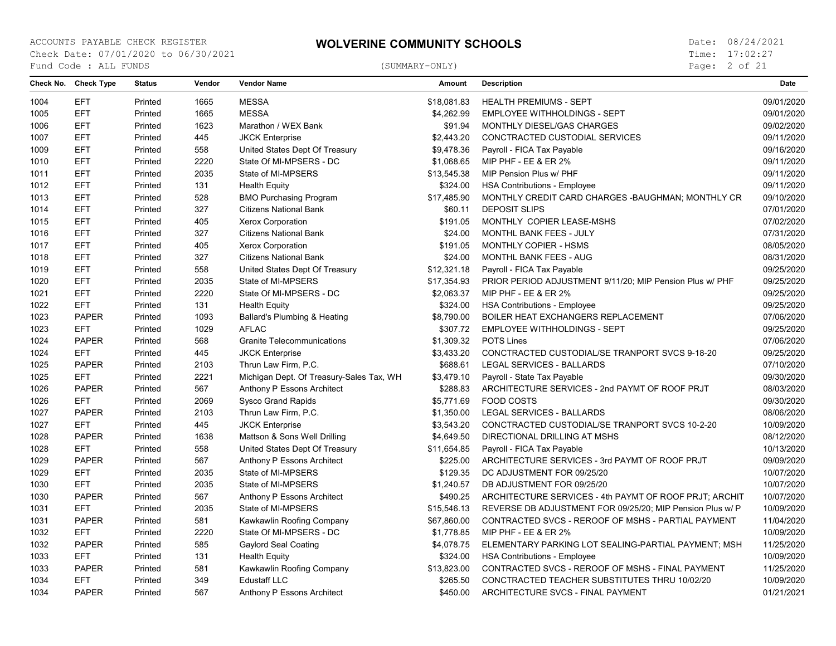Page: 2 of 21

| 1004<br><b>EFT</b><br>Printed<br>1665<br><b>MESSA</b><br>\$18,081.83<br><b>HEALTH PREMIUMS - SEPT</b><br>09/01/2020<br><b>EFT</b><br><b>MESSA</b><br>Printed<br>1665<br>\$4,262.99<br><b>EMPLOYEE WITHHOLDINGS - SEPT</b><br>09/01/2020<br>1005<br><b>EFT</b><br>1623<br>1006<br>Marathon / WEX Bank<br>\$91.94<br>MONTHLY DIESEL/GAS CHARGES<br>09/02/2020<br>Printed<br><b>EFT</b><br>1007<br>Printed<br>445<br><b>JKCK Enterprise</b><br>\$2,443.20<br>CONCTRACTED CUSTODIAL SERVICES<br>09/11/2020<br><b>EFT</b><br>09/16/2020<br>1009<br>Printed<br>558<br>United States Dept Of Treasury<br>\$9,478.36<br>Payroll - FICA Tax Payable<br><b>EFT</b><br>2220<br>State Of MI-MPSERS - DC<br>09/11/2020<br>1010<br>Printed<br>\$1,068.65<br>MIP PHF - EE & ER 2%<br><b>EFT</b><br>2035<br>State of MI-MPSERS<br>\$13,545.38<br>09/11/2020<br>1011<br>Printed<br>MIP Pension Plus w/ PHF<br><b>EFT</b><br>1012<br>\$324.00<br>09/11/2020<br>Printed<br>131<br><b>Health Equity</b><br><b>HSA Contributions - Employee</b><br><b>EFT</b><br>528<br>1013<br>Printed<br><b>BMO Purchasing Program</b><br>\$17,485.90<br>MONTHLY CREDIT CARD CHARGES - BAUGHMAN; MONTHLY CR<br>09/10/2020<br>07/01/2020<br>1014<br><b>EFT</b><br>Printed<br>327<br><b>Citizens National Bank</b><br>\$60.11<br><b>DEPOSIT SLIPS</b><br><b>EFT</b><br>1015<br>Printed<br>405<br>Xerox Corporation<br>\$191.05<br>MONTHLY COPIER LEASE-MSHS<br>07/02/2020<br><b>EFT</b><br>327<br>07/31/2020<br>1016<br>Printed<br><b>Citizens National Bank</b><br>\$24.00<br>MONTHL BANK FEES - JULY<br>1017<br><b>EFT</b><br>Printed<br>405<br>\$191.05<br>MONTHLY COPIER - HSMS<br>08/05/2020<br><b>Xerox Corporation</b><br>1018<br><b>EFT</b><br>327<br>\$24.00<br>MONTHL BANK FEES - AUG<br>08/31/2020<br>Printed<br><b>Citizens National Bank</b><br>1019<br><b>EFT</b><br>558<br>\$12,321.18<br>Payroll - FICA Tax Payable<br>09/25/2020<br>Printed<br>United States Dept Of Treasury<br><b>EFT</b><br>2035<br>09/25/2020<br>1020<br>Printed<br>State of MI-MPSERS<br>\$17,354.93<br>PRIOR PERIOD ADJUSTMENT 9/11/20; MIP Pension Plus w/ PHF<br><b>EFT</b><br>2220<br>09/25/2020<br>1021<br>Printed<br>State Of MI-MPSERS - DC<br>\$2,063.37<br>MIP PHF - EE & ER 2%<br>1022<br><b>EFT</b><br>131<br>\$324.00<br>09/25/2020<br>Printed<br><b>Health Equity</b><br><b>HSA Contributions - Employee</b><br><b>PAPER</b><br>07/06/2020<br>1023<br>Printed<br>1093<br>Ballard's Plumbing & Heating<br>\$8,790.00<br>BOILER HEAT EXCHANGERS REPLACEMENT<br><b>EFT</b><br>1029<br><b>AFLAC</b><br>\$307.72<br><b>EMPLOYEE WITHHOLDINGS - SEPT</b><br>09/25/2020<br>1023<br>Printed<br>1024<br><b>PAPER</b><br>568<br><b>Granite Telecommunications</b><br>\$1,309.32<br><b>POTS Lines</b><br>07/06/2020<br>Printed<br>1024<br><b>EFT</b><br>Printed<br>445<br><b>JKCK Enterprise</b><br>\$3,433.20<br>CONCTRACTED CUSTODIAL/SE TRANPORT SVCS 9-18-20<br>09/25/2020<br>07/10/2020<br>1025<br><b>PAPER</b><br>Printed<br>2103<br>Thrun Law Firm, P.C.<br>\$688.61<br>LEGAL SERVICES - BALLARDS<br>2221<br>1025<br><b>EFT</b><br>Printed<br>Michigan Dept. Of Treasury-Sales Tax, WH<br>\$3,479.10<br>Payroll - State Tax Payable<br>09/30/2020<br>1026<br><b>PAPER</b><br>567<br>\$288.83<br>ARCHITECTURE SERVICES - 2nd PAYMT OF ROOF PRJT<br>08/03/2020<br>Printed<br>Anthony P Essons Architect<br>1026<br><b>EFT</b><br>Printed<br>2069<br><b>Sysco Grand Rapids</b><br>\$5.771.69<br><b>FOOD COSTS</b><br>09/30/2020<br>1027<br><b>PAPER</b><br>Printed<br>2103<br>Thrun Law Firm, P.C.<br>\$1,350.00<br>LEGAL SERVICES - BALLARDS<br>08/06/2020<br>1027<br><b>EFT</b><br>445<br><b>JKCK Enterprise</b><br>\$3,543.20<br>CONCTRACTED CUSTODIAL/SE TRANPORT SVCS 10-2-20<br>10/09/2020<br>Printed<br><b>PAPER</b><br>1638<br>08/12/2020<br>1028<br>Mattson & Sons Well Drilling<br>\$4,649.50<br>DIRECTIONAL DRILLING AT MSHS<br>Printed<br><b>EFT</b><br>10/13/2020<br>1028<br>Printed<br>558<br>United States Dept Of Treasury<br>\$11,654.85<br>Payroll - FICA Tax Payable<br>09/09/2020<br>1029<br><b>PAPER</b><br>Printed<br>567<br>Anthony P Essons Architect<br>\$225.00<br>ARCHITECTURE SERVICES - 3rd PAYMT OF ROOF PRJT<br><b>EFT</b><br>2035<br>State of MI-MPSERS<br>\$129.35<br>DC ADJUSTMENT FOR 09/25/20<br>10/07/2020<br>1029<br>Printed<br><b>EFT</b><br>10/07/2020<br>2035<br>State of MI-MPSERS<br>\$1,240.57<br>DB ADJUSTMENT FOR 09/25/20<br>1030<br>Printed<br>1030<br><b>PAPER</b><br>567<br>\$490.25<br>10/07/2020<br>Printed<br>Anthony P Essons Architect<br>ARCHITECTURE SERVICES - 4th PAYMT OF ROOF PRJT; ARCHIT<br>1031<br><b>EFT</b><br>Printed<br>2035<br>State of MI-MPSERS<br>REVERSE DB ADJUSTMENT FOR 09/25/20; MIP Pension Plus w/ P<br>10/09/2020<br>\$15,546.13<br>PAPER<br>CONTRACTED SVCS - REROOF OF MSHS - PARTIAL PAYMENT<br>11/04/2020<br>1031<br>Printed<br>581<br>Kawkawlin Roofing Company<br>\$67,860.00 | Check No. | <b>Check Type</b> | <b>Status</b> | Vendor | <b>Vendor Name</b> | Amount | <b>Description</b> | Date |
|----------------------------------------------------------------------------------------------------------------------------------------------------------------------------------------------------------------------------------------------------------------------------------------------------------------------------------------------------------------------------------------------------------------------------------------------------------------------------------------------------------------------------------------------------------------------------------------------------------------------------------------------------------------------------------------------------------------------------------------------------------------------------------------------------------------------------------------------------------------------------------------------------------------------------------------------------------------------------------------------------------------------------------------------------------------------------------------------------------------------------------------------------------------------------------------------------------------------------------------------------------------------------------------------------------------------------------------------------------------------------------------------------------------------------------------------------------------------------------------------------------------------------------------------------------------------------------------------------------------------------------------------------------------------------------------------------------------------------------------------------------------------------------------------------------------------------------------------------------------------------------------------------------------------------------------------------------------------------------------------------------------------------------------------------------------------------------------------------------------------------------------------------------------------------------------------------------------------------------------------------------------------------------------------------------------------------------------------------------------------------------------------------------------------------------------------------------------------------------------------------------------------------------------------------------------------------------------------------------------------------------------------------------------------------------------------------------------------------------------------------------------------------------------------------------------------------------------------------------------------------------------------------------------------------------------------------------------------------------------------------------------------------------------------------------------------------------------------------------------------------------------------------------------------------------------------------------------------------------------------------------------------------------------------------------------------------------------------------------------------------------------------------------------------------------------------------------------------------------------------------------------------------------------------------------------------------------------------------------------------------------------------------------------------------------------------------------------------------------------------------------------------------------------------------------------------------------------------------------------------------------------------------------------------------------------------------------------------------------------------------------------------------------------------------------------------------------------------------------------------------------------------------------------------------------------------------------------------------------------------------------------------------------------------------------------------------------------------------------------------------------------------------------------------------------------------------------------------------------------------------------------------------------------------------------------------------------------------------------------------------------------------------------------------------------------------------------------------------------------------------------------------------------------------------------------------------------------------------------------------------------------------------------------------------|-----------|-------------------|---------------|--------|--------------------|--------|--------------------|------|
|                                                                                                                                                                                                                                                                                                                                                                                                                                                                                                                                                                                                                                                                                                                                                                                                                                                                                                                                                                                                                                                                                                                                                                                                                                                                                                                                                                                                                                                                                                                                                                                                                                                                                                                                                                                                                                                                                                                                                                                                                                                                                                                                                                                                                                                                                                                                                                                                                                                                                                                                                                                                                                                                                                                                                                                                                                                                                                                                                                                                                                                                                                                                                                                                                                                                                                                                                                                                                                                                                                                                                                                                                                                                                                                                                                                                                                                                                                                                                                                                                                                                                                                                                                                                                                                                                                                                                                                                                                                                                                                                                                                                                                                                                                                                                                                                                                                                                                                            |           |                   |               |        |                    |        |                    |      |
|                                                                                                                                                                                                                                                                                                                                                                                                                                                                                                                                                                                                                                                                                                                                                                                                                                                                                                                                                                                                                                                                                                                                                                                                                                                                                                                                                                                                                                                                                                                                                                                                                                                                                                                                                                                                                                                                                                                                                                                                                                                                                                                                                                                                                                                                                                                                                                                                                                                                                                                                                                                                                                                                                                                                                                                                                                                                                                                                                                                                                                                                                                                                                                                                                                                                                                                                                                                                                                                                                                                                                                                                                                                                                                                                                                                                                                                                                                                                                                                                                                                                                                                                                                                                                                                                                                                                                                                                                                                                                                                                                                                                                                                                                                                                                                                                                                                                                                                            |           |                   |               |        |                    |        |                    |      |
|                                                                                                                                                                                                                                                                                                                                                                                                                                                                                                                                                                                                                                                                                                                                                                                                                                                                                                                                                                                                                                                                                                                                                                                                                                                                                                                                                                                                                                                                                                                                                                                                                                                                                                                                                                                                                                                                                                                                                                                                                                                                                                                                                                                                                                                                                                                                                                                                                                                                                                                                                                                                                                                                                                                                                                                                                                                                                                                                                                                                                                                                                                                                                                                                                                                                                                                                                                                                                                                                                                                                                                                                                                                                                                                                                                                                                                                                                                                                                                                                                                                                                                                                                                                                                                                                                                                                                                                                                                                                                                                                                                                                                                                                                                                                                                                                                                                                                                                            |           |                   |               |        |                    |        |                    |      |
|                                                                                                                                                                                                                                                                                                                                                                                                                                                                                                                                                                                                                                                                                                                                                                                                                                                                                                                                                                                                                                                                                                                                                                                                                                                                                                                                                                                                                                                                                                                                                                                                                                                                                                                                                                                                                                                                                                                                                                                                                                                                                                                                                                                                                                                                                                                                                                                                                                                                                                                                                                                                                                                                                                                                                                                                                                                                                                                                                                                                                                                                                                                                                                                                                                                                                                                                                                                                                                                                                                                                                                                                                                                                                                                                                                                                                                                                                                                                                                                                                                                                                                                                                                                                                                                                                                                                                                                                                                                                                                                                                                                                                                                                                                                                                                                                                                                                                                                            |           |                   |               |        |                    |        |                    |      |
|                                                                                                                                                                                                                                                                                                                                                                                                                                                                                                                                                                                                                                                                                                                                                                                                                                                                                                                                                                                                                                                                                                                                                                                                                                                                                                                                                                                                                                                                                                                                                                                                                                                                                                                                                                                                                                                                                                                                                                                                                                                                                                                                                                                                                                                                                                                                                                                                                                                                                                                                                                                                                                                                                                                                                                                                                                                                                                                                                                                                                                                                                                                                                                                                                                                                                                                                                                                                                                                                                                                                                                                                                                                                                                                                                                                                                                                                                                                                                                                                                                                                                                                                                                                                                                                                                                                                                                                                                                                                                                                                                                                                                                                                                                                                                                                                                                                                                                                            |           |                   |               |        |                    |        |                    |      |
|                                                                                                                                                                                                                                                                                                                                                                                                                                                                                                                                                                                                                                                                                                                                                                                                                                                                                                                                                                                                                                                                                                                                                                                                                                                                                                                                                                                                                                                                                                                                                                                                                                                                                                                                                                                                                                                                                                                                                                                                                                                                                                                                                                                                                                                                                                                                                                                                                                                                                                                                                                                                                                                                                                                                                                                                                                                                                                                                                                                                                                                                                                                                                                                                                                                                                                                                                                                                                                                                                                                                                                                                                                                                                                                                                                                                                                                                                                                                                                                                                                                                                                                                                                                                                                                                                                                                                                                                                                                                                                                                                                                                                                                                                                                                                                                                                                                                                                                            |           |                   |               |        |                    |        |                    |      |
|                                                                                                                                                                                                                                                                                                                                                                                                                                                                                                                                                                                                                                                                                                                                                                                                                                                                                                                                                                                                                                                                                                                                                                                                                                                                                                                                                                                                                                                                                                                                                                                                                                                                                                                                                                                                                                                                                                                                                                                                                                                                                                                                                                                                                                                                                                                                                                                                                                                                                                                                                                                                                                                                                                                                                                                                                                                                                                                                                                                                                                                                                                                                                                                                                                                                                                                                                                                                                                                                                                                                                                                                                                                                                                                                                                                                                                                                                                                                                                                                                                                                                                                                                                                                                                                                                                                                                                                                                                                                                                                                                                                                                                                                                                                                                                                                                                                                                                                            |           |                   |               |        |                    |        |                    |      |
|                                                                                                                                                                                                                                                                                                                                                                                                                                                                                                                                                                                                                                                                                                                                                                                                                                                                                                                                                                                                                                                                                                                                                                                                                                                                                                                                                                                                                                                                                                                                                                                                                                                                                                                                                                                                                                                                                                                                                                                                                                                                                                                                                                                                                                                                                                                                                                                                                                                                                                                                                                                                                                                                                                                                                                                                                                                                                                                                                                                                                                                                                                                                                                                                                                                                                                                                                                                                                                                                                                                                                                                                                                                                                                                                                                                                                                                                                                                                                                                                                                                                                                                                                                                                                                                                                                                                                                                                                                                                                                                                                                                                                                                                                                                                                                                                                                                                                                                            |           |                   |               |        |                    |        |                    |      |
|                                                                                                                                                                                                                                                                                                                                                                                                                                                                                                                                                                                                                                                                                                                                                                                                                                                                                                                                                                                                                                                                                                                                                                                                                                                                                                                                                                                                                                                                                                                                                                                                                                                                                                                                                                                                                                                                                                                                                                                                                                                                                                                                                                                                                                                                                                                                                                                                                                                                                                                                                                                                                                                                                                                                                                                                                                                                                                                                                                                                                                                                                                                                                                                                                                                                                                                                                                                                                                                                                                                                                                                                                                                                                                                                                                                                                                                                                                                                                                                                                                                                                                                                                                                                                                                                                                                                                                                                                                                                                                                                                                                                                                                                                                                                                                                                                                                                                                                            |           |                   |               |        |                    |        |                    |      |
|                                                                                                                                                                                                                                                                                                                                                                                                                                                                                                                                                                                                                                                                                                                                                                                                                                                                                                                                                                                                                                                                                                                                                                                                                                                                                                                                                                                                                                                                                                                                                                                                                                                                                                                                                                                                                                                                                                                                                                                                                                                                                                                                                                                                                                                                                                                                                                                                                                                                                                                                                                                                                                                                                                                                                                                                                                                                                                                                                                                                                                                                                                                                                                                                                                                                                                                                                                                                                                                                                                                                                                                                                                                                                                                                                                                                                                                                                                                                                                                                                                                                                                                                                                                                                                                                                                                                                                                                                                                                                                                                                                                                                                                                                                                                                                                                                                                                                                                            |           |                   |               |        |                    |        |                    |      |
|                                                                                                                                                                                                                                                                                                                                                                                                                                                                                                                                                                                                                                                                                                                                                                                                                                                                                                                                                                                                                                                                                                                                                                                                                                                                                                                                                                                                                                                                                                                                                                                                                                                                                                                                                                                                                                                                                                                                                                                                                                                                                                                                                                                                                                                                                                                                                                                                                                                                                                                                                                                                                                                                                                                                                                                                                                                                                                                                                                                                                                                                                                                                                                                                                                                                                                                                                                                                                                                                                                                                                                                                                                                                                                                                                                                                                                                                                                                                                                                                                                                                                                                                                                                                                                                                                                                                                                                                                                                                                                                                                                                                                                                                                                                                                                                                                                                                                                                            |           |                   |               |        |                    |        |                    |      |
|                                                                                                                                                                                                                                                                                                                                                                                                                                                                                                                                                                                                                                                                                                                                                                                                                                                                                                                                                                                                                                                                                                                                                                                                                                                                                                                                                                                                                                                                                                                                                                                                                                                                                                                                                                                                                                                                                                                                                                                                                                                                                                                                                                                                                                                                                                                                                                                                                                                                                                                                                                                                                                                                                                                                                                                                                                                                                                                                                                                                                                                                                                                                                                                                                                                                                                                                                                                                                                                                                                                                                                                                                                                                                                                                                                                                                                                                                                                                                                                                                                                                                                                                                                                                                                                                                                                                                                                                                                                                                                                                                                                                                                                                                                                                                                                                                                                                                                                            |           |                   |               |        |                    |        |                    |      |
|                                                                                                                                                                                                                                                                                                                                                                                                                                                                                                                                                                                                                                                                                                                                                                                                                                                                                                                                                                                                                                                                                                                                                                                                                                                                                                                                                                                                                                                                                                                                                                                                                                                                                                                                                                                                                                                                                                                                                                                                                                                                                                                                                                                                                                                                                                                                                                                                                                                                                                                                                                                                                                                                                                                                                                                                                                                                                                                                                                                                                                                                                                                                                                                                                                                                                                                                                                                                                                                                                                                                                                                                                                                                                                                                                                                                                                                                                                                                                                                                                                                                                                                                                                                                                                                                                                                                                                                                                                                                                                                                                                                                                                                                                                                                                                                                                                                                                                                            |           |                   |               |        |                    |        |                    |      |
|                                                                                                                                                                                                                                                                                                                                                                                                                                                                                                                                                                                                                                                                                                                                                                                                                                                                                                                                                                                                                                                                                                                                                                                                                                                                                                                                                                                                                                                                                                                                                                                                                                                                                                                                                                                                                                                                                                                                                                                                                                                                                                                                                                                                                                                                                                                                                                                                                                                                                                                                                                                                                                                                                                                                                                                                                                                                                                                                                                                                                                                                                                                                                                                                                                                                                                                                                                                                                                                                                                                                                                                                                                                                                                                                                                                                                                                                                                                                                                                                                                                                                                                                                                                                                                                                                                                                                                                                                                                                                                                                                                                                                                                                                                                                                                                                                                                                                                                            |           |                   |               |        |                    |        |                    |      |
|                                                                                                                                                                                                                                                                                                                                                                                                                                                                                                                                                                                                                                                                                                                                                                                                                                                                                                                                                                                                                                                                                                                                                                                                                                                                                                                                                                                                                                                                                                                                                                                                                                                                                                                                                                                                                                                                                                                                                                                                                                                                                                                                                                                                                                                                                                                                                                                                                                                                                                                                                                                                                                                                                                                                                                                                                                                                                                                                                                                                                                                                                                                                                                                                                                                                                                                                                                                                                                                                                                                                                                                                                                                                                                                                                                                                                                                                                                                                                                                                                                                                                                                                                                                                                                                                                                                                                                                                                                                                                                                                                                                                                                                                                                                                                                                                                                                                                                                            |           |                   |               |        |                    |        |                    |      |
|                                                                                                                                                                                                                                                                                                                                                                                                                                                                                                                                                                                                                                                                                                                                                                                                                                                                                                                                                                                                                                                                                                                                                                                                                                                                                                                                                                                                                                                                                                                                                                                                                                                                                                                                                                                                                                                                                                                                                                                                                                                                                                                                                                                                                                                                                                                                                                                                                                                                                                                                                                                                                                                                                                                                                                                                                                                                                                                                                                                                                                                                                                                                                                                                                                                                                                                                                                                                                                                                                                                                                                                                                                                                                                                                                                                                                                                                                                                                                                                                                                                                                                                                                                                                                                                                                                                                                                                                                                                                                                                                                                                                                                                                                                                                                                                                                                                                                                                            |           |                   |               |        |                    |        |                    |      |
|                                                                                                                                                                                                                                                                                                                                                                                                                                                                                                                                                                                                                                                                                                                                                                                                                                                                                                                                                                                                                                                                                                                                                                                                                                                                                                                                                                                                                                                                                                                                                                                                                                                                                                                                                                                                                                                                                                                                                                                                                                                                                                                                                                                                                                                                                                                                                                                                                                                                                                                                                                                                                                                                                                                                                                                                                                                                                                                                                                                                                                                                                                                                                                                                                                                                                                                                                                                                                                                                                                                                                                                                                                                                                                                                                                                                                                                                                                                                                                                                                                                                                                                                                                                                                                                                                                                                                                                                                                                                                                                                                                                                                                                                                                                                                                                                                                                                                                                            |           |                   |               |        |                    |        |                    |      |
|                                                                                                                                                                                                                                                                                                                                                                                                                                                                                                                                                                                                                                                                                                                                                                                                                                                                                                                                                                                                                                                                                                                                                                                                                                                                                                                                                                                                                                                                                                                                                                                                                                                                                                                                                                                                                                                                                                                                                                                                                                                                                                                                                                                                                                                                                                                                                                                                                                                                                                                                                                                                                                                                                                                                                                                                                                                                                                                                                                                                                                                                                                                                                                                                                                                                                                                                                                                                                                                                                                                                                                                                                                                                                                                                                                                                                                                                                                                                                                                                                                                                                                                                                                                                                                                                                                                                                                                                                                                                                                                                                                                                                                                                                                                                                                                                                                                                                                                            |           |                   |               |        |                    |        |                    |      |
|                                                                                                                                                                                                                                                                                                                                                                                                                                                                                                                                                                                                                                                                                                                                                                                                                                                                                                                                                                                                                                                                                                                                                                                                                                                                                                                                                                                                                                                                                                                                                                                                                                                                                                                                                                                                                                                                                                                                                                                                                                                                                                                                                                                                                                                                                                                                                                                                                                                                                                                                                                                                                                                                                                                                                                                                                                                                                                                                                                                                                                                                                                                                                                                                                                                                                                                                                                                                                                                                                                                                                                                                                                                                                                                                                                                                                                                                                                                                                                                                                                                                                                                                                                                                                                                                                                                                                                                                                                                                                                                                                                                                                                                                                                                                                                                                                                                                                                                            |           |                   |               |        |                    |        |                    |      |
|                                                                                                                                                                                                                                                                                                                                                                                                                                                                                                                                                                                                                                                                                                                                                                                                                                                                                                                                                                                                                                                                                                                                                                                                                                                                                                                                                                                                                                                                                                                                                                                                                                                                                                                                                                                                                                                                                                                                                                                                                                                                                                                                                                                                                                                                                                                                                                                                                                                                                                                                                                                                                                                                                                                                                                                                                                                                                                                                                                                                                                                                                                                                                                                                                                                                                                                                                                                                                                                                                                                                                                                                                                                                                                                                                                                                                                                                                                                                                                                                                                                                                                                                                                                                                                                                                                                                                                                                                                                                                                                                                                                                                                                                                                                                                                                                                                                                                                                            |           |                   |               |        |                    |        |                    |      |
|                                                                                                                                                                                                                                                                                                                                                                                                                                                                                                                                                                                                                                                                                                                                                                                                                                                                                                                                                                                                                                                                                                                                                                                                                                                                                                                                                                                                                                                                                                                                                                                                                                                                                                                                                                                                                                                                                                                                                                                                                                                                                                                                                                                                                                                                                                                                                                                                                                                                                                                                                                                                                                                                                                                                                                                                                                                                                                                                                                                                                                                                                                                                                                                                                                                                                                                                                                                                                                                                                                                                                                                                                                                                                                                                                                                                                                                                                                                                                                                                                                                                                                                                                                                                                                                                                                                                                                                                                                                                                                                                                                                                                                                                                                                                                                                                                                                                                                                            |           |                   |               |        |                    |        |                    |      |
|                                                                                                                                                                                                                                                                                                                                                                                                                                                                                                                                                                                                                                                                                                                                                                                                                                                                                                                                                                                                                                                                                                                                                                                                                                                                                                                                                                                                                                                                                                                                                                                                                                                                                                                                                                                                                                                                                                                                                                                                                                                                                                                                                                                                                                                                                                                                                                                                                                                                                                                                                                                                                                                                                                                                                                                                                                                                                                                                                                                                                                                                                                                                                                                                                                                                                                                                                                                                                                                                                                                                                                                                                                                                                                                                                                                                                                                                                                                                                                                                                                                                                                                                                                                                                                                                                                                                                                                                                                                                                                                                                                                                                                                                                                                                                                                                                                                                                                                            |           |                   |               |        |                    |        |                    |      |
|                                                                                                                                                                                                                                                                                                                                                                                                                                                                                                                                                                                                                                                                                                                                                                                                                                                                                                                                                                                                                                                                                                                                                                                                                                                                                                                                                                                                                                                                                                                                                                                                                                                                                                                                                                                                                                                                                                                                                                                                                                                                                                                                                                                                                                                                                                                                                                                                                                                                                                                                                                                                                                                                                                                                                                                                                                                                                                                                                                                                                                                                                                                                                                                                                                                                                                                                                                                                                                                                                                                                                                                                                                                                                                                                                                                                                                                                                                                                                                                                                                                                                                                                                                                                                                                                                                                                                                                                                                                                                                                                                                                                                                                                                                                                                                                                                                                                                                                            |           |                   |               |        |                    |        |                    |      |
|                                                                                                                                                                                                                                                                                                                                                                                                                                                                                                                                                                                                                                                                                                                                                                                                                                                                                                                                                                                                                                                                                                                                                                                                                                                                                                                                                                                                                                                                                                                                                                                                                                                                                                                                                                                                                                                                                                                                                                                                                                                                                                                                                                                                                                                                                                                                                                                                                                                                                                                                                                                                                                                                                                                                                                                                                                                                                                                                                                                                                                                                                                                                                                                                                                                                                                                                                                                                                                                                                                                                                                                                                                                                                                                                                                                                                                                                                                                                                                                                                                                                                                                                                                                                                                                                                                                                                                                                                                                                                                                                                                                                                                                                                                                                                                                                                                                                                                                            |           |                   |               |        |                    |        |                    |      |
|                                                                                                                                                                                                                                                                                                                                                                                                                                                                                                                                                                                                                                                                                                                                                                                                                                                                                                                                                                                                                                                                                                                                                                                                                                                                                                                                                                                                                                                                                                                                                                                                                                                                                                                                                                                                                                                                                                                                                                                                                                                                                                                                                                                                                                                                                                                                                                                                                                                                                                                                                                                                                                                                                                                                                                                                                                                                                                                                                                                                                                                                                                                                                                                                                                                                                                                                                                                                                                                                                                                                                                                                                                                                                                                                                                                                                                                                                                                                                                                                                                                                                                                                                                                                                                                                                                                                                                                                                                                                                                                                                                                                                                                                                                                                                                                                                                                                                                                            |           |                   |               |        |                    |        |                    |      |
|                                                                                                                                                                                                                                                                                                                                                                                                                                                                                                                                                                                                                                                                                                                                                                                                                                                                                                                                                                                                                                                                                                                                                                                                                                                                                                                                                                                                                                                                                                                                                                                                                                                                                                                                                                                                                                                                                                                                                                                                                                                                                                                                                                                                                                                                                                                                                                                                                                                                                                                                                                                                                                                                                                                                                                                                                                                                                                                                                                                                                                                                                                                                                                                                                                                                                                                                                                                                                                                                                                                                                                                                                                                                                                                                                                                                                                                                                                                                                                                                                                                                                                                                                                                                                                                                                                                                                                                                                                                                                                                                                                                                                                                                                                                                                                                                                                                                                                                            |           |                   |               |        |                    |        |                    |      |
|                                                                                                                                                                                                                                                                                                                                                                                                                                                                                                                                                                                                                                                                                                                                                                                                                                                                                                                                                                                                                                                                                                                                                                                                                                                                                                                                                                                                                                                                                                                                                                                                                                                                                                                                                                                                                                                                                                                                                                                                                                                                                                                                                                                                                                                                                                                                                                                                                                                                                                                                                                                                                                                                                                                                                                                                                                                                                                                                                                                                                                                                                                                                                                                                                                                                                                                                                                                                                                                                                                                                                                                                                                                                                                                                                                                                                                                                                                                                                                                                                                                                                                                                                                                                                                                                                                                                                                                                                                                                                                                                                                                                                                                                                                                                                                                                                                                                                                                            |           |                   |               |        |                    |        |                    |      |
|                                                                                                                                                                                                                                                                                                                                                                                                                                                                                                                                                                                                                                                                                                                                                                                                                                                                                                                                                                                                                                                                                                                                                                                                                                                                                                                                                                                                                                                                                                                                                                                                                                                                                                                                                                                                                                                                                                                                                                                                                                                                                                                                                                                                                                                                                                                                                                                                                                                                                                                                                                                                                                                                                                                                                                                                                                                                                                                                                                                                                                                                                                                                                                                                                                                                                                                                                                                                                                                                                                                                                                                                                                                                                                                                                                                                                                                                                                                                                                                                                                                                                                                                                                                                                                                                                                                                                                                                                                                                                                                                                                                                                                                                                                                                                                                                                                                                                                                            |           |                   |               |        |                    |        |                    |      |
|                                                                                                                                                                                                                                                                                                                                                                                                                                                                                                                                                                                                                                                                                                                                                                                                                                                                                                                                                                                                                                                                                                                                                                                                                                                                                                                                                                                                                                                                                                                                                                                                                                                                                                                                                                                                                                                                                                                                                                                                                                                                                                                                                                                                                                                                                                                                                                                                                                                                                                                                                                                                                                                                                                                                                                                                                                                                                                                                                                                                                                                                                                                                                                                                                                                                                                                                                                                                                                                                                                                                                                                                                                                                                                                                                                                                                                                                                                                                                                                                                                                                                                                                                                                                                                                                                                                                                                                                                                                                                                                                                                                                                                                                                                                                                                                                                                                                                                                            |           |                   |               |        |                    |        |                    |      |
|                                                                                                                                                                                                                                                                                                                                                                                                                                                                                                                                                                                                                                                                                                                                                                                                                                                                                                                                                                                                                                                                                                                                                                                                                                                                                                                                                                                                                                                                                                                                                                                                                                                                                                                                                                                                                                                                                                                                                                                                                                                                                                                                                                                                                                                                                                                                                                                                                                                                                                                                                                                                                                                                                                                                                                                                                                                                                                                                                                                                                                                                                                                                                                                                                                                                                                                                                                                                                                                                                                                                                                                                                                                                                                                                                                                                                                                                                                                                                                                                                                                                                                                                                                                                                                                                                                                                                                                                                                                                                                                                                                                                                                                                                                                                                                                                                                                                                                                            |           |                   |               |        |                    |        |                    |      |
|                                                                                                                                                                                                                                                                                                                                                                                                                                                                                                                                                                                                                                                                                                                                                                                                                                                                                                                                                                                                                                                                                                                                                                                                                                                                                                                                                                                                                                                                                                                                                                                                                                                                                                                                                                                                                                                                                                                                                                                                                                                                                                                                                                                                                                                                                                                                                                                                                                                                                                                                                                                                                                                                                                                                                                                                                                                                                                                                                                                                                                                                                                                                                                                                                                                                                                                                                                                                                                                                                                                                                                                                                                                                                                                                                                                                                                                                                                                                                                                                                                                                                                                                                                                                                                                                                                                                                                                                                                                                                                                                                                                                                                                                                                                                                                                                                                                                                                                            |           |                   |               |        |                    |        |                    |      |
|                                                                                                                                                                                                                                                                                                                                                                                                                                                                                                                                                                                                                                                                                                                                                                                                                                                                                                                                                                                                                                                                                                                                                                                                                                                                                                                                                                                                                                                                                                                                                                                                                                                                                                                                                                                                                                                                                                                                                                                                                                                                                                                                                                                                                                                                                                                                                                                                                                                                                                                                                                                                                                                                                                                                                                                                                                                                                                                                                                                                                                                                                                                                                                                                                                                                                                                                                                                                                                                                                                                                                                                                                                                                                                                                                                                                                                                                                                                                                                                                                                                                                                                                                                                                                                                                                                                                                                                                                                                                                                                                                                                                                                                                                                                                                                                                                                                                                                                            |           |                   |               |        |                    |        |                    |      |
|                                                                                                                                                                                                                                                                                                                                                                                                                                                                                                                                                                                                                                                                                                                                                                                                                                                                                                                                                                                                                                                                                                                                                                                                                                                                                                                                                                                                                                                                                                                                                                                                                                                                                                                                                                                                                                                                                                                                                                                                                                                                                                                                                                                                                                                                                                                                                                                                                                                                                                                                                                                                                                                                                                                                                                                                                                                                                                                                                                                                                                                                                                                                                                                                                                                                                                                                                                                                                                                                                                                                                                                                                                                                                                                                                                                                                                                                                                                                                                                                                                                                                                                                                                                                                                                                                                                                                                                                                                                                                                                                                                                                                                                                                                                                                                                                                                                                                                                            |           |                   |               |        |                    |        |                    |      |
|                                                                                                                                                                                                                                                                                                                                                                                                                                                                                                                                                                                                                                                                                                                                                                                                                                                                                                                                                                                                                                                                                                                                                                                                                                                                                                                                                                                                                                                                                                                                                                                                                                                                                                                                                                                                                                                                                                                                                                                                                                                                                                                                                                                                                                                                                                                                                                                                                                                                                                                                                                                                                                                                                                                                                                                                                                                                                                                                                                                                                                                                                                                                                                                                                                                                                                                                                                                                                                                                                                                                                                                                                                                                                                                                                                                                                                                                                                                                                                                                                                                                                                                                                                                                                                                                                                                                                                                                                                                                                                                                                                                                                                                                                                                                                                                                                                                                                                                            |           |                   |               |        |                    |        |                    |      |
|                                                                                                                                                                                                                                                                                                                                                                                                                                                                                                                                                                                                                                                                                                                                                                                                                                                                                                                                                                                                                                                                                                                                                                                                                                                                                                                                                                                                                                                                                                                                                                                                                                                                                                                                                                                                                                                                                                                                                                                                                                                                                                                                                                                                                                                                                                                                                                                                                                                                                                                                                                                                                                                                                                                                                                                                                                                                                                                                                                                                                                                                                                                                                                                                                                                                                                                                                                                                                                                                                                                                                                                                                                                                                                                                                                                                                                                                                                                                                                                                                                                                                                                                                                                                                                                                                                                                                                                                                                                                                                                                                                                                                                                                                                                                                                                                                                                                                                                            |           |                   |               |        |                    |        |                    |      |
|                                                                                                                                                                                                                                                                                                                                                                                                                                                                                                                                                                                                                                                                                                                                                                                                                                                                                                                                                                                                                                                                                                                                                                                                                                                                                                                                                                                                                                                                                                                                                                                                                                                                                                                                                                                                                                                                                                                                                                                                                                                                                                                                                                                                                                                                                                                                                                                                                                                                                                                                                                                                                                                                                                                                                                                                                                                                                                                                                                                                                                                                                                                                                                                                                                                                                                                                                                                                                                                                                                                                                                                                                                                                                                                                                                                                                                                                                                                                                                                                                                                                                                                                                                                                                                                                                                                                                                                                                                                                                                                                                                                                                                                                                                                                                                                                                                                                                                                            |           |                   |               |        |                    |        |                    |      |
| 2220<br>State Of MI-MPSERS - DC<br>10/09/2020<br>1032<br><b>EFT</b><br>Printed<br>\$1,778.85<br>MIP PHF - EE & ER 2%                                                                                                                                                                                                                                                                                                                                                                                                                                                                                                                                                                                                                                                                                                                                                                                                                                                                                                                                                                                                                                                                                                                                                                                                                                                                                                                                                                                                                                                                                                                                                                                                                                                                                                                                                                                                                                                                                                                                                                                                                                                                                                                                                                                                                                                                                                                                                                                                                                                                                                                                                                                                                                                                                                                                                                                                                                                                                                                                                                                                                                                                                                                                                                                                                                                                                                                                                                                                                                                                                                                                                                                                                                                                                                                                                                                                                                                                                                                                                                                                                                                                                                                                                                                                                                                                                                                                                                                                                                                                                                                                                                                                                                                                                                                                                                                                       |           |                   |               |        |                    |        |                    |      |
| 1032<br><b>PAPER</b><br>585<br>\$4,078.75<br>ELEMENTARY PARKING LOT SEALING-PARTIAL PAYMENT; MSH<br>11/25/2020<br>Printed<br><b>Gaylord Seal Coating</b>                                                                                                                                                                                                                                                                                                                                                                                                                                                                                                                                                                                                                                                                                                                                                                                                                                                                                                                                                                                                                                                                                                                                                                                                                                                                                                                                                                                                                                                                                                                                                                                                                                                                                                                                                                                                                                                                                                                                                                                                                                                                                                                                                                                                                                                                                                                                                                                                                                                                                                                                                                                                                                                                                                                                                                                                                                                                                                                                                                                                                                                                                                                                                                                                                                                                                                                                                                                                                                                                                                                                                                                                                                                                                                                                                                                                                                                                                                                                                                                                                                                                                                                                                                                                                                                                                                                                                                                                                                                                                                                                                                                                                                                                                                                                                                   |           |                   |               |        |                    |        |                    |      |
| 1033<br><b>EFT</b><br>Printed<br>131<br>\$324.00<br>10/09/2020<br><b>Health Equity</b><br><b>HSA Contributions - Employee</b>                                                                                                                                                                                                                                                                                                                                                                                                                                                                                                                                                                                                                                                                                                                                                                                                                                                                                                                                                                                                                                                                                                                                                                                                                                                                                                                                                                                                                                                                                                                                                                                                                                                                                                                                                                                                                                                                                                                                                                                                                                                                                                                                                                                                                                                                                                                                                                                                                                                                                                                                                                                                                                                                                                                                                                                                                                                                                                                                                                                                                                                                                                                                                                                                                                                                                                                                                                                                                                                                                                                                                                                                                                                                                                                                                                                                                                                                                                                                                                                                                                                                                                                                                                                                                                                                                                                                                                                                                                                                                                                                                                                                                                                                                                                                                                                              |           |                   |               |        |                    |        |                    |      |
| 1033<br><b>PAPER</b><br>Printed<br>581<br>Kawkawlin Roofing Company<br>\$13,823.00<br>CONTRACTED SVCS - REROOF OF MSHS - FINAL PAYMENT<br>11/25/2020                                                                                                                                                                                                                                                                                                                                                                                                                                                                                                                                                                                                                                                                                                                                                                                                                                                                                                                                                                                                                                                                                                                                                                                                                                                                                                                                                                                                                                                                                                                                                                                                                                                                                                                                                                                                                                                                                                                                                                                                                                                                                                                                                                                                                                                                                                                                                                                                                                                                                                                                                                                                                                                                                                                                                                                                                                                                                                                                                                                                                                                                                                                                                                                                                                                                                                                                                                                                                                                                                                                                                                                                                                                                                                                                                                                                                                                                                                                                                                                                                                                                                                                                                                                                                                                                                                                                                                                                                                                                                                                                                                                                                                                                                                                                                                       |           |                   |               |        |                    |        |                    |      |
| <b>EFT</b><br>1034<br>349<br><b>Edustaff LLC</b><br>\$265.50<br>10/09/2020<br>Printed<br>CONCTRACTED TEACHER SUBSTITUTES THRU 10/02/20                                                                                                                                                                                                                                                                                                                                                                                                                                                                                                                                                                                                                                                                                                                                                                                                                                                                                                                                                                                                                                                                                                                                                                                                                                                                                                                                                                                                                                                                                                                                                                                                                                                                                                                                                                                                                                                                                                                                                                                                                                                                                                                                                                                                                                                                                                                                                                                                                                                                                                                                                                                                                                                                                                                                                                                                                                                                                                                                                                                                                                                                                                                                                                                                                                                                                                                                                                                                                                                                                                                                                                                                                                                                                                                                                                                                                                                                                                                                                                                                                                                                                                                                                                                                                                                                                                                                                                                                                                                                                                                                                                                                                                                                                                                                                                                     |           |                   |               |        |                    |        |                    |      |
| <b>PAPER</b><br>01/21/2021<br>1034<br>567<br>Anthony P Essons Architect<br>\$450.00<br>ARCHITECTURE SVCS - FINAL PAYMENT<br>Printed                                                                                                                                                                                                                                                                                                                                                                                                                                                                                                                                                                                                                                                                                                                                                                                                                                                                                                                                                                                                                                                                                                                                                                                                                                                                                                                                                                                                                                                                                                                                                                                                                                                                                                                                                                                                                                                                                                                                                                                                                                                                                                                                                                                                                                                                                                                                                                                                                                                                                                                                                                                                                                                                                                                                                                                                                                                                                                                                                                                                                                                                                                                                                                                                                                                                                                                                                                                                                                                                                                                                                                                                                                                                                                                                                                                                                                                                                                                                                                                                                                                                                                                                                                                                                                                                                                                                                                                                                                                                                                                                                                                                                                                                                                                                                                                        |           |                   |               |        |                    |        |                    |      |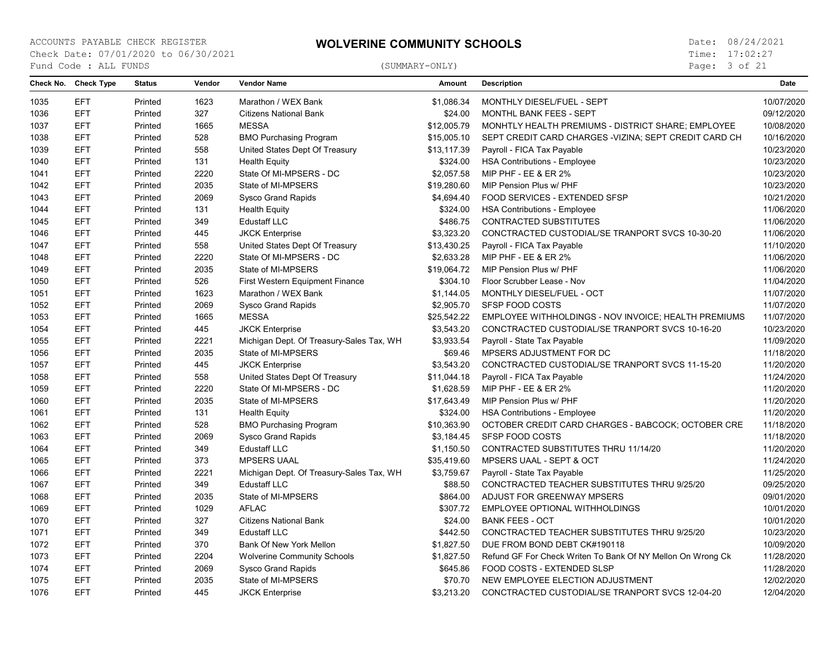Page: 3 of 21

| Check No. | <b>Check Type</b> | <b>Status</b> | Vendor | <b>Vendor Name</b>                       | Amount      | <b>Description</b>                                          | Date       |
|-----------|-------------------|---------------|--------|------------------------------------------|-------------|-------------------------------------------------------------|------------|
| 1035      | <b>EFT</b>        | Printed       | 1623   | Marathon / WEX Bank                      | \$1.086.34  | MONTHLY DIESEL/FUEL - SEPT                                  | 10/07/2020 |
| 1036      | <b>EFT</b>        | Printed       | 327    | <b>Citizens National Bank</b>            | \$24.00     | <b>MONTHL BANK FEES - SEPT</b>                              | 09/12/2020 |
| 1037      | <b>EFT</b>        | Printed       | 1665   | <b>MESSA</b>                             | \$12,005.79 | MONHTLY HEALTH PREMIUMS - DISTRICT SHARE; EMPLOYEE          | 10/08/2020 |
| 1038      | <b>EFT</b>        | Printed       | 528    | <b>BMO Purchasing Program</b>            | \$15,005.10 | SEPT CREDIT CARD CHARGES - VIZINA: SEPT CREDIT CARD CH      | 10/16/2020 |
| 1039      | <b>EFT</b>        | Printed       | 558    | United States Dept Of Treasury           | \$13,117.39 | Payroll - FICA Tax Payable                                  | 10/23/2020 |
| 1040      | <b>EFT</b>        | Printed       | 131    | <b>Health Equity</b>                     | \$324.00    | <b>HSA Contributions - Employee</b>                         | 10/23/2020 |
| 1041      | <b>EFT</b>        | Printed       | 2220   | State Of MI-MPSERS - DC                  | \$2,057.58  | MIP PHF - EE & ER 2%                                        | 10/23/2020 |
| 1042      | <b>EFT</b>        | Printed       | 2035   | State of MI-MPSERS                       | \$19,280.60 | MIP Pension Plus w/ PHF                                     | 10/23/2020 |
| 1043      | <b>EFT</b>        | Printed       | 2069   | <b>Sysco Grand Rapids</b>                | \$4,694.40  | FOOD SERVICES - EXTENDED SFSP                               | 10/21/2020 |
| 1044      | <b>EFT</b>        | Printed       | 131    | <b>Health Equity</b>                     | \$324.00    | <b>HSA Contributions - Employee</b>                         | 11/06/2020 |
| 1045      | <b>EFT</b>        | Printed       | 349    | <b>Edustaff LLC</b>                      | \$486.75    | <b>CONTRACTED SUBSTITUTES</b>                               | 11/06/2020 |
| 1046      | <b>EFT</b>        | Printed       | 445    | <b>JKCK Enterprise</b>                   | \$3,323.20  | CONCTRACTED CUSTODIAL/SE TRANPORT SVCS 10-30-20             | 11/06/2020 |
| 1047      | <b>EFT</b>        | Printed       | 558    | United States Dept Of Treasury           | \$13,430.25 | Payroll - FICA Tax Payable                                  | 11/10/2020 |
| 1048      | <b>EFT</b>        | Printed       | 2220   | State Of MI-MPSERS - DC                  | \$2,633.28  | MIP PHF - EE & ER 2%                                        | 11/06/2020 |
| 1049      | <b>EFT</b>        | Printed       | 2035   | State of MI-MPSERS                       | \$19,064.72 | MIP Pension Plus w/ PHF                                     | 11/06/2020 |
| 1050      | <b>EFT</b>        | Printed       | 526    | <b>First Western Equipment Finance</b>   | \$304.10    | Floor Scrubber Lease - Nov                                  | 11/04/2020 |
| 1051      | <b>EFT</b>        | Printed       | 1623   | Marathon / WEX Bank                      | \$1,144.05  | MONTHLY DIESEL/FUEL - OCT                                   | 11/07/2020 |
| 1052      | <b>EFT</b>        | Printed       | 2069   | <b>Sysco Grand Rapids</b>                | \$2,905.70  | SFSP FOOD COSTS                                             | 11/07/2020 |
| 1053      | <b>EFT</b>        | Printed       | 1665   | <b>MESSA</b>                             | \$25,542.22 | EMPLOYEE WITHHOLDINGS - NOV INVOICE; HEALTH PREMIUMS        | 11/07/2020 |
| 1054      | <b>EFT</b>        | Printed       | 445    | <b>JKCK Enterprise</b>                   | \$3,543.20  | CONCTRACTED CUSTODIAL/SE TRANPORT SVCS 10-16-20             | 10/23/2020 |
| 1055      | <b>EFT</b>        | Printed       | 2221   | Michigan Dept. Of Treasury-Sales Tax, WH | \$3,933.54  | Payroll - State Tax Payable                                 | 11/09/2020 |
| 1056      | <b>EFT</b>        | Printed       | 2035   | State of MI-MPSERS                       | \$69.46     | MPSERS ADJUSTMENT FOR DC                                    | 11/18/2020 |
| 1057      | <b>EFT</b>        | Printed       | 445    | <b>JKCK Enterprise</b>                   | \$3,543.20  | CONCTRACTED CUSTODIAL/SE TRANPORT SVCS 11-15-20             | 11/20/2020 |
| 1058      | <b>EFT</b>        | Printed       | 558    | United States Dept Of Treasury           | \$11,044.18 | Payroll - FICA Tax Payable                                  | 11/24/2020 |
| 1059      | <b>EFT</b>        | Printed       | 2220   | State Of MI-MPSERS - DC                  | \$1,628.59  | MIP PHF - EE & ER 2%                                        | 11/20/2020 |
| 1060      | <b>EFT</b>        | Printed       | 2035   | State of MI-MPSERS                       | \$17,643.49 | MIP Pension Plus w/ PHF                                     | 11/20/2020 |
| 1061      | <b>EFT</b>        | Printed       | 131    | <b>Health Equity</b>                     | \$324.00    | <b>HSA Contributions - Employee</b>                         | 11/20/2020 |
| 1062      | <b>EFT</b>        | Printed       | 528    | <b>BMO Purchasing Program</b>            | \$10,363.90 | OCTOBER CREDIT CARD CHARGES - BABCOCK; OCTOBER CRE          | 11/18/2020 |
| 1063      | <b>EFT</b>        | Printed       | 2069   | <b>Sysco Grand Rapids</b>                | \$3,184.45  | SFSP FOOD COSTS                                             | 11/18/2020 |
| 1064      | <b>EFT</b>        | Printed       | 349    | <b>Edustaff LLC</b>                      | \$1,150.50  | CONTRACTED SUBSTITUTES THRU 11/14/20                        | 11/20/2020 |
| 1065      | <b>EFT</b>        | Printed       | 373    | <b>MPSERS UAAL</b>                       | \$35,419.60 | <b>MPSERS UAAL - SEPT &amp; OCT</b>                         | 11/24/2020 |
| 1066      | <b>EFT</b>        | Printed       | 2221   | Michigan Dept. Of Treasury-Sales Tax, WH | \$3,759.67  | Payroll - State Tax Payable                                 | 11/25/2020 |
| 1067      | <b>EFT</b>        | Printed       | 349    | <b>Edustaff LLC</b>                      | \$88.50     | CONCTRACTED TEACHER SUBSTITUTES THRU 9/25/20                | 09/25/2020 |
| 1068      | <b>EFT</b>        | Printed       | 2035   | State of MI-MPSERS                       | \$864.00    | ADJUST FOR GREENWAY MPSERS                                  | 09/01/2020 |
| 1069      | <b>EFT</b>        | Printed       | 1029   | <b>AFLAC</b>                             | \$307.72    | EMPLOYEE OPTIONAL WITHHOLDINGS                              | 10/01/2020 |
| 1070      | <b>EFT</b>        | Printed       | 327    | <b>Citizens National Bank</b>            | \$24.00     | <b>BANK FEES - OCT</b>                                      | 10/01/2020 |
| 1071      | <b>EFT</b>        | Printed       | 349    | <b>Edustaff LLC</b>                      | \$442.50    | CONCTRACTED TEACHER SUBSTITUTES THRU 9/25/20                | 10/23/2020 |
| 1072      | <b>EFT</b>        | Printed       | 370    | Bank Of New York Mellon                  | \$1,827.50  | DUE FROM BOND DEBT CK#190118                                | 10/09/2020 |
| 1073      | <b>EFT</b>        | Printed       | 2204   | <b>Wolverine Community Schools</b>       | \$1,827.50  | Refund GF For Check Writen To Bank Of NY Mellon On Wrong Ck | 11/28/2020 |
| 1074      | <b>EFT</b>        | Printed       | 2069   | Sysco Grand Rapids                       | \$645.86    | FOOD COSTS - EXTENDED SLSP                                  | 11/28/2020 |
| 1075      | <b>EFT</b>        | Printed       | 2035   | State of MI-MPSERS                       | \$70.70     | NEW EMPLOYEE ELECTION ADJUSTMENT                            | 12/02/2020 |
| 1076      | <b>EFT</b>        | Printed       | 445    | <b>JKCK Enterprise</b>                   | \$3,213.20  | CONCTRACTED CUSTODIAL/SE TRANPORT SVCS 12-04-20             | 12/04/2020 |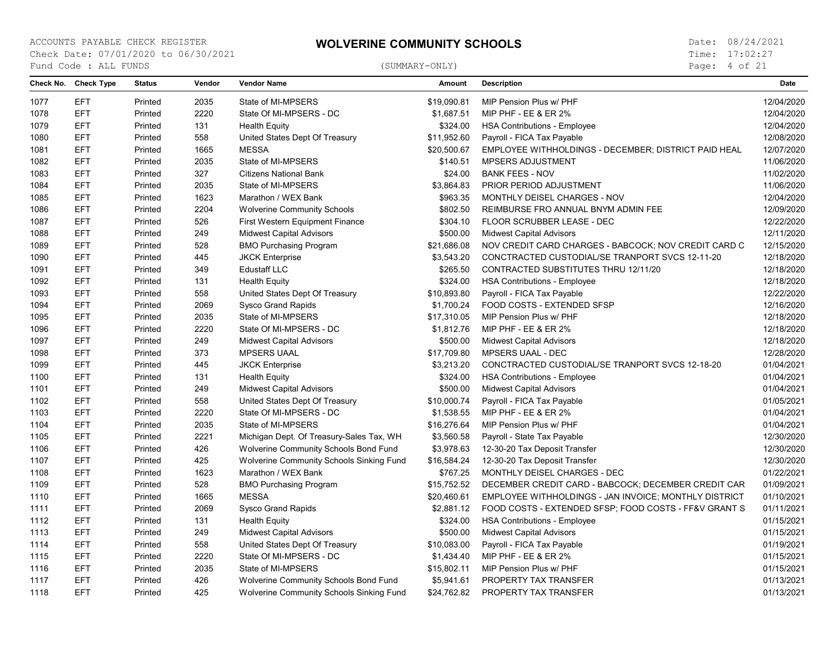Page: 4 of 21

| Check No. | <b>Check Type</b> | <b>Status</b> | Vendor | <b>Vendor Name</b>                       | <b>Amount</b> | <b>Description</b>                                    | Date       |
|-----------|-------------------|---------------|--------|------------------------------------------|---------------|-------------------------------------------------------|------------|
| 1077      | <b>EFT</b>        | Printed       | 2035   | State of MI-MPSERS                       | \$19,090.81   | MIP Pension Plus w/ PHF                               | 12/04/2020 |
| 1078      | <b>EFT</b>        | Printed       | 2220   | State Of MI-MPSERS - DC                  | \$1,687.51    | <b>MIP PHF - EE &amp; ER 2%</b>                       | 12/04/2020 |
| 1079      | <b>EFT</b>        | Printed       | 131    | <b>Health Equity</b>                     | \$324.00      | <b>HSA Contributions - Employee</b>                   | 12/04/2020 |
| 1080      | <b>EFT</b>        | Printed       | 558    | United States Dept Of Treasury           | \$11,952.60   | Payroll - FICA Tax Payable                            | 12/08/2020 |
| 1081      | <b>EFT</b>        | Printed       | 1665   | <b>MESSA</b>                             | \$20,500.67   | EMPLOYEE WITHHOLDINGS - DECEMBER; DISTRICT PAID HEAL  | 12/07/2020 |
| 1082      | <b>EFT</b>        | Printed       | 2035   | State of MI-MPSERS                       | \$140.51      | MPSERS ADJUSTMENT                                     | 11/06/2020 |
| 1083      | <b>EFT</b>        | Printed       | 327    | <b>Citizens National Bank</b>            | \$24.00       | <b>BANK FEES - NOV</b>                                | 11/02/2020 |
| 1084      | <b>EFT</b>        | Printed       | 2035   | State of MI-MPSERS                       | \$3,864.83    | PRIOR PERIOD ADJUSTMENT                               | 11/06/2020 |
| 1085      | <b>EFT</b>        | Printed       | 1623   | Marathon / WEX Bank                      | \$963.35      | MONTHLY DEISEL CHARGES - NOV                          | 12/04/2020 |
| 1086      | <b>EFT</b>        | Printed       | 2204   | <b>Wolverine Community Schools</b>       | \$802.50      | REIMBURSE FRO ANNUAL BNYM ADMIN FEE                   | 12/09/2020 |
| 1087      | <b>EFT</b>        | Printed       | 526    | First Western Equipment Finance          | \$304.10      | FLOOR SCRUBBER LEASE - DEC                            | 12/22/2020 |
| 1088      | <b>EFT</b>        | Printed       | 249    | <b>Midwest Capital Advisors</b>          | \$500.00      | <b>Midwest Capital Advisors</b>                       | 12/11/2020 |
| 1089      | <b>EFT</b>        | Printed       | 528    | <b>BMO Purchasing Program</b>            | \$21,686.08   | NOV CREDIT CARD CHARGES - BABCOCK; NOV CREDIT CARD C  | 12/15/2020 |
| 1090      | <b>EFT</b>        | Printed       | 445    | <b>JKCK Enterprise</b>                   | \$3,543.20    | CONCTRACTED CUSTODIAL/SE TRANPORT SVCS 12-11-20       | 12/18/2020 |
| 1091      | <b>EFT</b>        | Printed       | 349    | <b>Edustaff LLC</b>                      | \$265.50      | CONTRACTED SUBSTITUTES THRU 12/11/20                  | 12/18/2020 |
| 1092      | <b>EFT</b>        | Printed       | 131    | <b>Health Equity</b>                     | \$324.00      | <b>HSA Contributions - Employee</b>                   | 12/18/2020 |
| 1093      | <b>EFT</b>        | Printed       | 558    | United States Dept Of Treasury           | \$10,893.80   | Payroll - FICA Tax Payable                            | 12/22/2020 |
| 1094      | <b>EFT</b>        | Printed       | 2069   | <b>Sysco Grand Rapids</b>                | \$1,700.24    | FOOD COSTS - EXTENDED SFSP                            | 12/16/2020 |
| 1095      | <b>EFT</b>        | Printed       | 2035   | State of MI-MPSERS                       | \$17,310.05   | MIP Pension Plus w/ PHF                               | 12/18/2020 |
| 1096      | <b>EFT</b>        | Printed       | 2220   | State Of MI-MPSERS - DC                  | \$1,812.76    | MIP PHF - EE & ER 2%                                  | 12/18/2020 |
| 1097      | <b>EFT</b>        | Printed       | 249    | <b>Midwest Capital Advisors</b>          | \$500.00      | <b>Midwest Capital Advisors</b>                       | 12/18/2020 |
| 1098      | <b>EFT</b>        | Printed       | 373    | <b>MPSERS UAAL</b>                       | \$17,709.80   | <b>MPSERS UAAL - DEC</b>                              | 12/28/2020 |
| 1099      | <b>EFT</b>        | Printed       | 445    | <b>JKCK Enterprise</b>                   | \$3,213.20    | CONCTRACTED CUSTODIAL/SE TRANPORT SVCS 12-18-20       | 01/04/2021 |
| 1100      | <b>EFT</b>        | Printed       | 131    | <b>Health Equity</b>                     | \$324.00      | <b>HSA Contributions - Employee</b>                   | 01/04/2021 |
| 1101      | <b>EFT</b>        | Printed       | 249    | <b>Midwest Capital Advisors</b>          | \$500.00      | <b>Midwest Capital Advisors</b>                       | 01/04/2021 |
| 1102      | <b>EFT</b>        | Printed       | 558    | United States Dept Of Treasury           | \$10,000.74   | Payroll - FICA Tax Payable                            | 01/05/2021 |
| 1103      | <b>EFT</b>        | Printed       | 2220   | State Of MI-MPSERS - DC                  | \$1,538.55    | MIP PHF - EE & ER 2%                                  | 01/04/2021 |
| 1104      | <b>EFT</b>        | Printed       | 2035   | State of MI-MPSERS                       | \$16,276.64   | MIP Pension Plus w/ PHF                               | 01/04/2021 |
| 1105      | <b>EFT</b>        | Printed       | 2221   | Michigan Dept. Of Treasury-Sales Tax, WH | \$3,560.58    | Payroll - State Tax Payable                           | 12/30/2020 |
| 1106      | <b>EFT</b>        | Printed       | 426    | Wolverine Community Schools Bond Fund    | \$3,978.63    | 12-30-20 Tax Deposit Transfer                         | 12/30/2020 |
| 1107      | <b>EFT</b>        | Printed       | 425    | Wolverine Community Schools Sinking Fund | \$16,584.24   | 12-30-20 Tax Deposit Transfer                         | 12/30/2020 |
| 1108      | <b>EFT</b>        | Printed       | 1623   | Marathon / WEX Bank                      | \$767.25      | MONTHLY DEISEL CHARGES - DEC                          | 01/22/2021 |
| 1109      | <b>EFT</b>        | Printed       | 528    | <b>BMO Purchasing Program</b>            | \$15,752.52   | DECEMBER CREDIT CARD - BABCOCK; DECEMBER CREDIT CAR   | 01/09/2021 |
| 1110      | <b>EFT</b>        | Printed       | 1665   | <b>MESSA</b>                             | \$20,460.61   | EMPLOYEE WITHHOLDINGS - JAN INVOICE; MONTHLY DISTRICT | 01/10/2021 |
| 1111      | <b>EFT</b>        | Printed       | 2069   | <b>Sysco Grand Rapids</b>                | \$2,881.12    | FOOD COSTS - EXTENDED SFSP; FOOD COSTS - FF&V GRANT S | 01/11/2021 |
| 1112      | <b>EFT</b>        | Printed       | 131    | <b>Health Equity</b>                     | \$324.00      | <b>HSA Contributions - Employee</b>                   | 01/15/2021 |
| 1113      | <b>EFT</b>        | Printed       | 249    | <b>Midwest Capital Advisors</b>          | \$500.00      | <b>Midwest Capital Advisors</b>                       | 01/15/2021 |
| 1114      | <b>EFT</b>        | Printed       | 558    | United States Dept Of Treasury           | \$10,083.00   | Payroll - FICA Tax Payable                            | 01/19/2021 |
| 1115      | <b>EFT</b>        | Printed       | 2220   | State Of MI-MPSERS - DC                  | \$1,434.40    | <b>MIP PHF - EE &amp; ER 2%</b>                       | 01/15/2021 |
| 1116      | <b>EFT</b>        | Printed       | 2035   | State of MI-MPSERS                       | \$15,802.11   | MIP Pension Plus w/ PHF                               | 01/15/2021 |
| 1117      | <b>EFT</b>        | Printed       | 426    | Wolverine Community Schools Bond Fund    | \$5,941.61    | PROPERTY TAX TRANSFER                                 | 01/13/2021 |
| 1118      | <b>EFT</b>        | Printed       | 425    | Wolverine Community Schools Sinking Fund | \$24,762.82   | PROPERTY TAX TRANSFER                                 | 01/13/2021 |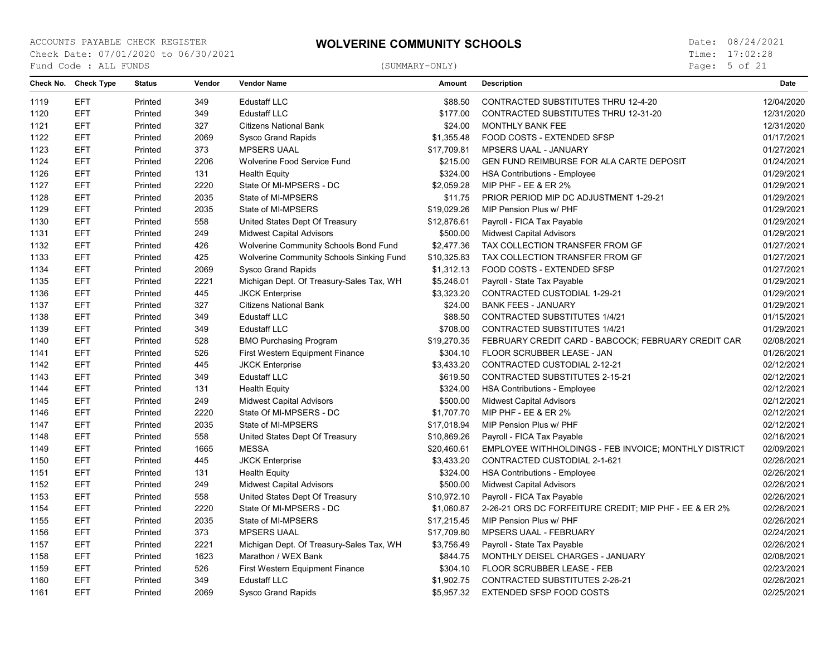Page: 5 of 21

| Check No. | <b>Check Type</b> | <b>Status</b> | Vendor | <b>Vendor Name</b>                       | <b>Amount</b> | <b>Description</b>                                     | <b>Date</b> |
|-----------|-------------------|---------------|--------|------------------------------------------|---------------|--------------------------------------------------------|-------------|
| 1119      | <b>EFT</b>        | Printed       | 349    | <b>Edustaff LLC</b>                      | \$88.50       | CONTRACTED SUBSTITUTES THRU 12-4-20                    | 12/04/2020  |
| 1120      | <b>EFT</b>        | Printed       | 349    | <b>Edustaff LLC</b>                      | \$177.00      | CONTRACTED SUBSTITUTES THRU 12-31-20                   | 12/31/2020  |
| 1121      | <b>EFT</b>        | Printed       | 327    | <b>Citizens National Bank</b>            | \$24.00       | <b>MONTHLY BANK FEE</b>                                | 12/31/2020  |
| 1122      | <b>EFT</b>        | Printed       | 2069   | <b>Sysco Grand Rapids</b>                | \$1,355.48    | FOOD COSTS - EXTENDED SFSP                             | 01/17/2021  |
| 1123      | <b>EFT</b>        | Printed       | 373    | <b>MPSERS UAAL</b>                       | \$17,709.81   | MPSERS UAAL - JANUARY                                  | 01/27/2021  |
| 1124      | <b>EFT</b>        | Printed       | 2206   | Wolverine Food Service Fund              | \$215.00      | GEN FUND REIMBURSE FOR ALA CARTE DEPOSIT               | 01/24/2021  |
| 1126      | <b>EFT</b>        | Printed       | 131    | <b>Health Equity</b>                     | \$324.00      | <b>HSA Contributions - Employee</b>                    | 01/29/2021  |
| 1127      | <b>EFT</b>        | Printed       | 2220   | State Of MI-MPSERS - DC                  | \$2,059.28    | MIP PHF - EE & ER 2%                                   | 01/29/2021  |
| 1128      | <b>EFT</b>        | Printed       | 2035   | State of MI-MPSERS                       | \$11.75       | PRIOR PERIOD MIP DC ADJUSTMENT 1-29-21                 | 01/29/2021  |
| 1129      | <b>EFT</b>        | Printed       | 2035   | State of MI-MPSERS                       | \$19,029.26   | MIP Pension Plus w/ PHF                                | 01/29/2021  |
| 1130      | <b>EFT</b>        | Printed       | 558    | United States Dept Of Treasury           | \$12,876.61   | Payroll - FICA Tax Payable                             | 01/29/2021  |
| 1131      | <b>EFT</b>        | Printed       | 249    | <b>Midwest Capital Advisors</b>          | \$500.00      | <b>Midwest Capital Advisors</b>                        | 01/29/2021  |
| 1132      | <b>EFT</b>        | Printed       | 426    | Wolverine Community Schools Bond Fund    | \$2,477.36    | TAX COLLECTION TRANSFER FROM GF                        | 01/27/2021  |
| 1133      | <b>EFT</b>        | Printed       | 425    | Wolverine Community Schools Sinking Fund | \$10,325.83   | TAX COLLECTION TRANSFER FROM GF                        | 01/27/2021  |
| 1134      | <b>EFT</b>        | Printed       | 2069   | Sysco Grand Rapids                       | \$1,312.13    | FOOD COSTS - EXTENDED SFSP                             | 01/27/2021  |
| 1135      | <b>EFT</b>        | Printed       | 2221   | Michigan Dept. Of Treasury-Sales Tax, WH | \$5,246.01    | Payroll - State Tax Payable                            | 01/29/2021  |
| 1136      | <b>EFT</b>        | Printed       | 445    | <b>JKCK Enterprise</b>                   | \$3,323.20    | CONTRACTED CUSTODIAL 1-29-21                           | 01/29/2021  |
| 1137      | <b>EFT</b>        | Printed       | 327    | <b>Citizens National Bank</b>            | \$24.00       | <b>BANK FEES - JANUARY</b>                             | 01/29/2021  |
| 1138      | <b>EFT</b>        | Printed       | 349    | <b>Edustaff LLC</b>                      | \$88.50       | <b>CONTRACTED SUBSTITUTES 1/4/21</b>                   | 01/15/2021  |
| 1139      | <b>EFT</b>        | Printed       | 349    | <b>Edustaff LLC</b>                      | \$708.00      | <b>CONTRACTED SUBSTITUTES 1/4/21</b>                   | 01/29/2021  |
| 1140      | <b>EFT</b>        | Printed       | 528    | <b>BMO Purchasing Program</b>            | \$19,270.35   | FEBRUARY CREDIT CARD - BABCOCK; FEBRUARY CREDIT CAR    | 02/08/2021  |
| 1141      | <b>EFT</b>        | Printed       | 526    | First Western Equipment Finance          | \$304.10      | FLOOR SCRUBBER LEASE - JAN                             | 01/26/2021  |
| 1142      | <b>EFT</b>        | Printed       | 445    | <b>JKCK Enterprise</b>                   | \$3,433.20    | CONTRACTED CUSTODIAL 2-12-21                           | 02/12/2021  |
| 1143      | <b>EFT</b>        | Printed       | 349    | <b>Edustaff LLC</b>                      | \$619.50      | <b>CONTRACTED SUBSTITUTES 2-15-21</b>                  | 02/12/2021  |
| 1144      | <b>EFT</b>        | Printed       | 131    | <b>Health Equity</b>                     | \$324.00      | <b>HSA Contributions - Employee</b>                    | 02/12/2021  |
| 1145      | <b>EFT</b>        | Printed       | 249    | <b>Midwest Capital Advisors</b>          | \$500.00      | <b>Midwest Capital Advisors</b>                        | 02/12/2021  |
| 1146      | <b>EFT</b>        | Printed       | 2220   | State Of MI-MPSERS - DC                  | \$1,707.70    | MIP PHF - EE & ER 2%                                   | 02/12/2021  |
| 1147      | <b>EFT</b>        | Printed       | 2035   | State of MI-MPSERS                       | \$17,018.94   | MIP Pension Plus w/ PHF                                | 02/12/2021  |
| 1148      | <b>EFT</b>        | Printed       | 558    | United States Dept Of Treasury           | \$10,869.26   | Payroll - FICA Tax Payable                             | 02/16/2021  |
| 1149      | <b>EFT</b>        | Printed       | 1665   | <b>MESSA</b>                             | \$20,460.61   | EMPLOYEE WITHHOLDINGS - FEB INVOICE; MONTHLY DISTRICT  | 02/09/2021  |
| 1150      | <b>EFT</b>        | Printed       | 445    | <b>JKCK Enterprise</b>                   | \$3,433.20    | CONTRACTED CUSTODIAL 2-1-621                           | 02/26/2021  |
| 1151      | <b>EFT</b>        | Printed       | 131    | <b>Health Equity</b>                     | \$324.00      | <b>HSA Contributions - Employee</b>                    | 02/26/2021  |
| 1152      | <b>EFT</b>        | Printed       | 249    | <b>Midwest Capital Advisors</b>          | \$500.00      | <b>Midwest Capital Advisors</b>                        | 02/26/2021  |
| 1153      | <b>EFT</b>        | Printed       | 558    | United States Dept Of Treasury           | \$10,972.10   | Payroll - FICA Tax Payable                             | 02/26/2021  |
| 1154      | <b>EFT</b>        | Printed       | 2220   | State Of MI-MPSERS - DC                  | \$1,060.87    | 2-26-21 ORS DC FORFEITURE CREDIT; MIP PHF - EE & ER 2% | 02/26/2021  |
| 1155      | <b>EFT</b>        | Printed       | 2035   | State of MI-MPSERS                       | \$17,215.45   | MIP Pension Plus w/ PHF                                | 02/26/2021  |
| 1156      | <b>EFT</b>        | Printed       | 373    | <b>MPSERS UAAL</b>                       | \$17,709.80   | MPSERS UAAL - FEBRUARY                                 | 02/24/2021  |
| 1157      | <b>EFT</b>        | Printed       | 2221   | Michigan Dept. Of Treasury-Sales Tax, WH | \$3,756.49    | Payroll - State Tax Payable                            | 02/26/2021  |
| 1158      | <b>EFT</b>        | Printed       | 1623   | Marathon / WEX Bank                      | \$844.75      | MONTHLY DEISEL CHARGES - JANUARY                       | 02/08/2021  |
| 1159      | <b>EFT</b>        | Printed       | 526    | First Western Equipment Finance          | \$304.10      | FLOOR SCRUBBER LEASE - FEB                             | 02/23/2021  |
| 1160      | <b>EFT</b>        | Printed       | 349    | <b>Edustaff LLC</b>                      | \$1,902.75    | <b>CONTRACTED SUBSTITUTES 2-26-21</b>                  | 02/26/2021  |
| 1161      | <b>EFT</b>        | Printed       | 2069   | <b>Sysco Grand Rapids</b>                | \$5,957.32    | <b>EXTENDED SFSP FOOD COSTS</b>                        | 02/25/2021  |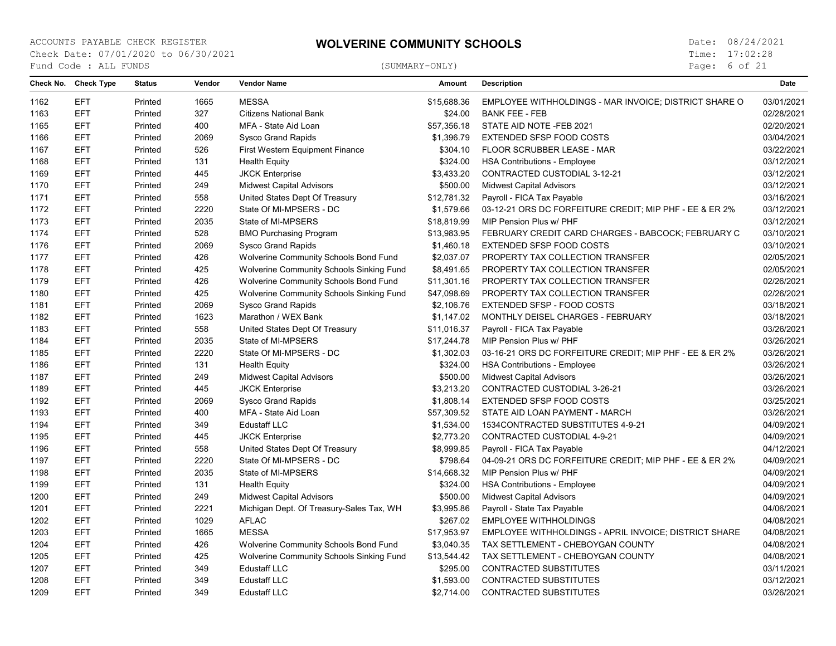Page: 6 of 21

| Check No. | <b>Check Type</b> | <b>Status</b> | Vendor | <b>Vendor Name</b>                              | Amount      | <b>Description</b>                                      | Date       |
|-----------|-------------------|---------------|--------|-------------------------------------------------|-------------|---------------------------------------------------------|------------|
| 1162      | <b>EFT</b>        | Printed       | 1665   | <b>MESSA</b>                                    | \$15,688.36 | EMPLOYEE WITHHOLDINGS - MAR INVOICE; DISTRICT SHARE O   | 03/01/2021 |
| 1163      | <b>EFT</b>        | Printed       | 327    | <b>Citizens National Bank</b>                   | \$24.00     | <b>BANK FEE - FEB</b>                                   | 02/28/2021 |
| 1165      | <b>EFT</b>        | Printed       | 400    | MFA - State Aid Loan                            | \$57,356.18 | STATE AID NOTE -FEB 2021                                | 02/20/2021 |
| 1166      | <b>EFT</b>        | Printed       | 2069   | <b>Sysco Grand Rapids</b>                       | \$1,396.79  | EXTENDED SFSP FOOD COSTS                                | 03/04/2021 |
| 1167      | <b>EFT</b>        | Printed       | 526    | First Western Equipment Finance                 | \$304.10    | FLOOR SCRUBBER LEASE - MAR                              | 03/22/2021 |
| 1168      | <b>EFT</b>        | Printed       | 131    | <b>Health Equity</b>                            | \$324.00    | <b>HSA Contributions - Employee</b>                     | 03/12/2021 |
| 1169      | <b>EFT</b>        | Printed       | 445    | <b>JKCK Enterprise</b>                          | \$3,433.20  | CONTRACTED CUSTODIAL 3-12-21                            | 03/12/2021 |
| 1170      | <b>EFT</b>        | Printed       | 249    | <b>Midwest Capital Advisors</b>                 | \$500.00    | <b>Midwest Capital Advisors</b>                         | 03/12/2021 |
| 1171      | <b>EFT</b>        | Printed       | 558    | United States Dept Of Treasury                  | \$12,781.32 | Payroll - FICA Tax Payable                              | 03/16/2021 |
| 1172      | <b>EFT</b>        | Printed       | 2220   | State Of MI-MPSERS - DC                         | \$1,579.66  | 03-12-21 ORS DC FORFEITURE CREDIT; MIP PHF - EE & ER 2% | 03/12/2021 |
| 1173      | <b>EFT</b>        | Printed       | 2035   | State of MI-MPSERS                              | \$18,819.99 | MIP Pension Plus w/ PHF                                 | 03/12/2021 |
| 1174      | <b>EFT</b>        | Printed       | 528    | <b>BMO Purchasing Program</b>                   | \$13,983.95 | FEBRUARY CREDIT CARD CHARGES - BABCOCK; FEBRUARY C      | 03/10/2021 |
| 1176      | <b>EFT</b>        | Printed       | 2069   | <b>Sysco Grand Rapids</b>                       | \$1,460.18  | EXTENDED SFSP FOOD COSTS                                | 03/10/2021 |
| 1177      | <b>EFT</b>        | Printed       | 426    | Wolverine Community Schools Bond Fund           | \$2,037.07  | PROPERTY TAX COLLECTION TRANSFER                        | 02/05/2021 |
| 1178      | <b>EFT</b>        | Printed       | 425    | <b>Wolverine Community Schools Sinking Fund</b> | \$8,491.65  | PROPERTY TAX COLLECTION TRANSFER                        | 02/05/2021 |
| 1179      | <b>EFT</b>        | Printed       | 426    | Wolverine Community Schools Bond Fund           | \$11,301.16 | PROPERTY TAX COLLECTION TRANSFER                        | 02/26/2021 |
| 1180      | <b>EFT</b>        | Printed       | 425    | <b>Wolverine Community Schools Sinking Fund</b> | \$47,098.69 | PROPERTY TAX COLLECTION TRANSFER                        | 02/26/2021 |
| 1181      | <b>EFT</b>        | Printed       | 2069   | <b>Sysco Grand Rapids</b>                       | \$2,106.76  | EXTENDED SFSP - FOOD COSTS                              | 03/18/2021 |
| 1182      | <b>EFT</b>        | Printed       | 1623   | Marathon / WEX Bank                             | \$1,147.02  | MONTHLY DEISEL CHARGES - FEBRUARY                       | 03/18/2021 |
| 1183      | <b>EFT</b>        | Printed       | 558    | United States Dept Of Treasury                  | \$11,016.37 | Payroll - FICA Tax Payable                              | 03/26/2021 |
| 1184      | <b>EFT</b>        | Printed       | 2035   | State of MI-MPSERS                              | \$17,244.78 | MIP Pension Plus w/ PHF                                 | 03/26/2021 |
| 1185      | <b>EFT</b>        | Printed       | 2220   | State Of MI-MPSERS - DC                         | \$1,302.03  | 03-16-21 ORS DC FORFEITURE CREDIT; MIP PHF - EE & ER 2% | 03/26/2021 |
| 1186      | <b>EFT</b>        | Printed       | 131    | <b>Health Equity</b>                            | \$324.00    | <b>HSA Contributions - Employee</b>                     | 03/26/2021 |
| 1187      | <b>EFT</b>        | Printed       | 249    | <b>Midwest Capital Advisors</b>                 | \$500.00    | <b>Midwest Capital Advisors</b>                         | 03/26/2021 |
| 1189      | <b>EFT</b>        | Printed       | 445    | <b>JKCK Enterprise</b>                          | \$3,213.20  | CONTRACTED CUSTODIAL 3-26-21                            | 03/26/2021 |
| 1192      | <b>EFT</b>        | Printed       | 2069   | <b>Sysco Grand Rapids</b>                       | \$1,808.14  | <b>EXTENDED SFSP FOOD COSTS</b>                         | 03/25/2021 |
| 1193      | <b>EFT</b>        | Printed       | 400    | MFA - State Aid Loan                            | \$57,309.52 | STATE AID LOAN PAYMENT - MARCH                          | 03/26/2021 |
| 1194      | <b>EFT</b>        | Printed       | 349    | <b>Edustaff LLC</b>                             | \$1,534.00  | 1534CONTRACTED SUBSTITUTES 4-9-21                       | 04/09/2021 |
| 1195      | <b>EFT</b>        | Printed       | 445    | <b>JKCK Enterprise</b>                          | \$2,773.20  | <b>CONTRACTED CUSTODIAL 4-9-21</b>                      | 04/09/2021 |
| 1196      | <b>EFT</b>        | Printed       | 558    | United States Dept Of Treasury                  | \$8,999.85  | Payroll - FICA Tax Payable                              | 04/12/2021 |
| 1197      | <b>EFT</b>        | Printed       | 2220   | State Of MI-MPSERS - DC                         | \$798.64    | 04-09-21 ORS DC FORFEITURE CREDIT; MIP PHF - EE & ER 2% | 04/09/2021 |
| 1198      | <b>EFT</b>        | Printed       | 2035   | State of MI-MPSERS                              | \$14,668.32 | MIP Pension Plus w/ PHF                                 | 04/09/2021 |
| 1199      | <b>EFT</b>        | Printed       | 131    | <b>Health Equity</b>                            | \$324.00    | <b>HSA Contributions - Employee</b>                     | 04/09/2021 |
| 1200      | <b>EFT</b>        | Printed       | 249    | <b>Midwest Capital Advisors</b>                 | \$500.00    | <b>Midwest Capital Advisors</b>                         | 04/09/2021 |
| 1201      | <b>EFT</b>        | Printed       | 2221   | Michigan Dept. Of Treasury-Sales Tax, WH        | \$3,995.86  | Payroll - State Tax Payable                             | 04/06/2021 |
| 1202      | <b>EFT</b>        | Printed       | 1029   | <b>AFLAC</b>                                    | \$267.02    | <b>EMPLOYEE WITHHOLDINGS</b>                            | 04/08/2021 |
| 1203      | <b>EFT</b>        | Printed       | 1665   | <b>MESSA</b>                                    | \$17,953.97 | EMPLOYEE WITHHOLDINGS - APRIL INVOICE; DISTRICT SHARE   | 04/08/2021 |
| 1204      | <b>EFT</b>        | Printed       | 426    | Wolverine Community Schools Bond Fund           | \$3,040.35  | TAX SETTLEMENT - CHEBOYGAN COUNTY                       | 04/08/2021 |
| 1205      | <b>EFT</b>        | Printed       | 425    | Wolverine Community Schools Sinking Fund        | \$13,544.42 | TAX SETTLEMENT - CHEBOYGAN COUNTY                       | 04/08/2021 |
| 1207      | <b>EFT</b>        | Printed       | 349    | <b>Edustaff LLC</b>                             | \$295.00    | CONTRACTED SUBSTITUTES                                  | 03/11/2021 |
| 1208      | <b>EFT</b>        | Printed       | 349    | <b>Edustaff LLC</b>                             | \$1,593.00  | <b>CONTRACTED SUBSTITUTES</b>                           | 03/12/2021 |
| 1209      | <b>EFT</b>        | Printed       | 349    | <b>Edustaff LLC</b>                             | \$2,714.00  | <b>CONTRACTED SUBSTITUTES</b>                           | 03/26/2021 |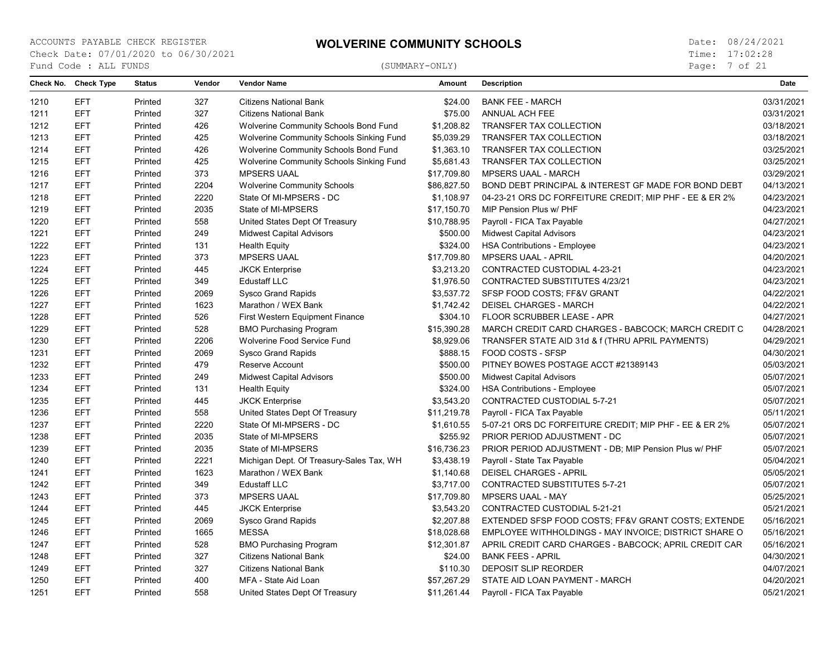Page: 7 of 21

| Check No. | <b>Check Type</b> | <b>Status</b> | Vendor | <b>Vendor Name</b>                       | Amount      | <b>Description</b>                                      | Date       |
|-----------|-------------------|---------------|--------|------------------------------------------|-------------|---------------------------------------------------------|------------|
| 1210      | <b>EFT</b>        | Printed       | 327    | <b>Citizens National Bank</b>            | \$24.00     | <b>BANK FEE - MARCH</b>                                 | 03/31/2021 |
| 1211      | <b>EFT</b>        | Printed       | 327    | <b>Citizens National Bank</b>            | \$75.00     | ANNUAL ACH FEE                                          | 03/31/2021 |
| 1212      | <b>EFT</b>        | Printed       | 426    | Wolverine Community Schools Bond Fund    | \$1,208.82  | TRANSFER TAX COLLECTION                                 | 03/18/2021 |
| 1213      | <b>EFT</b>        | Printed       | 425    | Wolverine Community Schools Sinking Fund | \$5,039.29  | TRANSFER TAX COLLECTION                                 | 03/18/2021 |
| 1214      | <b>EFT</b>        | Printed       | 426    | Wolverine Community Schools Bond Fund    | \$1,363.10  | <b>TRANSFER TAX COLLECTION</b>                          | 03/25/2021 |
| 1215      | <b>EFT</b>        | Printed       | 425    | Wolverine Community Schools Sinking Fund | \$5,681.43  | TRANSFER TAX COLLECTION                                 | 03/25/2021 |
| 1216      | <b>EFT</b>        | Printed       | 373    | <b>MPSERS UAAL</b>                       | \$17,709.80 | <b>MPSERS UAAL - MARCH</b>                              | 03/29/2021 |
| 1217      | <b>EFT</b>        | Printed       | 2204   | <b>Wolverine Community Schools</b>       | \$86,827.50 | BOND DEBT PRINCIPAL & INTEREST GF MADE FOR BOND DEBT    | 04/13/2021 |
| 1218      | <b>EFT</b>        | Printed       | 2220   | State Of MI-MPSERS - DC                  | \$1,108.97  | 04-23-21 ORS DC FORFEITURE CREDIT; MIP PHF - EE & ER 2% | 04/23/2021 |
| 1219      | <b>EFT</b>        | Printed       | 2035   | State of MI-MPSERS                       | \$17,150.70 | MIP Pension Plus w/ PHF                                 | 04/23/2021 |
| 1220      | <b>EFT</b>        | Printed       | 558    | United States Dept Of Treasury           | \$10,788.95 | Payroll - FICA Tax Payable                              | 04/27/2021 |
| 1221      | <b>EFT</b>        | Printed       | 249    | <b>Midwest Capital Advisors</b>          | \$500.00    | <b>Midwest Capital Advisors</b>                         | 04/23/2021 |
| 1222      | <b>EFT</b>        | Printed       | 131    | <b>Health Equity</b>                     | \$324.00    | <b>HSA Contributions - Employee</b>                     | 04/23/2021 |
| 1223      | <b>EFT</b>        | Printed       | 373    | <b>MPSERS UAAL</b>                       | \$17,709.80 | <b>MPSERS UAAL - APRIL</b>                              | 04/20/2021 |
| 1224      | EFT               | Printed       | 445    | <b>JKCK Enterprise</b>                   | \$3,213.20  | CONTRACTED CUSTODIAL 4-23-21                            | 04/23/2021 |
| 1225      | <b>EFT</b>        | Printed       | 349    | <b>Edustaff LLC</b>                      | \$1,976.50  | <b>CONTRACTED SUBSTITUTES 4/23/21</b>                   | 04/23/2021 |
| 1226      | <b>EFT</b>        | Printed       | 2069   | Sysco Grand Rapids                       | \$3,537.72  | SFSP FOOD COSTS; FF&V GRANT                             | 04/22/2021 |
| 1227      | <b>EFT</b>        | Printed       | 1623   | Marathon / WEX Bank                      | \$1,742.42  | <b>DEISEL CHARGES - MARCH</b>                           | 04/22/2021 |
| 1228      | <b>EFT</b>        | Printed       | 526    | <b>First Western Equipment Finance</b>   | \$304.10    | FLOOR SCRUBBER LEASE - APR                              | 04/27/2021 |
| 1229      | <b>EFT</b>        | Printed       | 528    | <b>BMO Purchasing Program</b>            | \$15,390.28 | MARCH CREDIT CARD CHARGES - BABCOCK; MARCH CREDIT C     | 04/28/2021 |
| 1230      | <b>EFT</b>        | Printed       | 2206   | Wolverine Food Service Fund              | \$8,929.06  | TRANSFER STATE AID 31d & f (THRU APRIL PAYMENTS)        | 04/29/2021 |
| 1231      | <b>EFT</b>        | Printed       | 2069   | Sysco Grand Rapids                       | \$888.15    | FOOD COSTS - SFSP                                       | 04/30/2021 |
| 1232      | <b>EFT</b>        | Printed       | 479    | Reserve Account                          | \$500.00    | PITNEY BOWES POSTAGE ACCT #21389143                     | 05/03/2021 |
| 1233      | <b>EFT</b>        | Printed       | 249    | <b>Midwest Capital Advisors</b>          | \$500.00    | <b>Midwest Capital Advisors</b>                         | 05/07/2021 |
| 1234      | <b>EFT</b>        | Printed       | 131    | <b>Health Equity</b>                     | \$324.00    | <b>HSA Contributions - Employee</b>                     | 05/07/2021 |
| 1235      | <b>EFT</b>        | Printed       | 445    | <b>JKCK Enterprise</b>                   | \$3,543.20  | CONTRACTED CUSTODIAL 5-7-21                             | 05/07/2021 |
| 1236      | <b>EFT</b>        | Printed       | 558    | United States Dept Of Treasury           | \$11,219.78 | Payroll - FICA Tax Payable                              | 05/11/2021 |
| 1237      | <b>EFT</b>        | Printed       | 2220   | State Of MI-MPSERS - DC                  | \$1,610.55  | 5-07-21 ORS DC FORFEITURE CREDIT; MIP PHF - EE & ER 2%  | 05/07/2021 |
| 1238      | <b>EFT</b>        | Printed       | 2035   | State of MI-MPSERS                       | \$255.92    | PRIOR PERIOD ADJUSTMENT - DC                            | 05/07/2021 |
| 1239      | <b>EFT</b>        | Printed       | 2035   | State of MI-MPSERS                       | \$16,736.23 | PRIOR PERIOD ADJUSTMENT - DB; MIP Pension Plus w/ PHF   | 05/07/2021 |
| 1240      | <b>EFT</b>        | Printed       | 2221   | Michigan Dept. Of Treasury-Sales Tax, WH | \$3,438.19  | Payroll - State Tax Payable                             | 05/04/2021 |
| 1241      | <b>EFT</b>        | Printed       | 1623   | Marathon / WEX Bank                      | \$1,140.68  | <b>DEISEL CHARGES - APRIL</b>                           | 05/05/2021 |
| 1242      | <b>EFT</b>        | Printed       | 349    | <b>Edustaff LLC</b>                      | \$3,717.00  | <b>CONTRACTED SUBSTITUTES 5-7-21</b>                    | 05/07/2021 |
| 1243      | <b>EFT</b>        | Printed       | 373    | <b>MPSERS UAAL</b>                       | \$17,709.80 | <b>MPSERS UAAL - MAY</b>                                | 05/25/2021 |
| 1244      | <b>EFT</b>        | Printed       | 445    | <b>JKCK Enterprise</b>                   | \$3,543.20  | CONTRACTED CUSTODIAL 5-21-21                            | 05/21/2021 |
| 1245      | <b>EFT</b>        | Printed       | 2069   | Sysco Grand Rapids                       | \$2,207.88  | EXTENDED SFSP FOOD COSTS; FF&V GRANT COSTS; EXTENDE     | 05/16/2021 |
| 1246      | <b>EFT</b>        | Printed       | 1665   | <b>MESSA</b>                             | \$18,028.68 | EMPLOYEE WITHHOLDINGS - MAY INVOICE; DISTRICT SHARE O   | 05/16/2021 |
| 1247      | <b>EFT</b>        | Printed       | 528    | <b>BMO Purchasing Program</b>            | \$12,301.87 | APRIL CREDIT CARD CHARGES - BABCOCK; APRIL CREDIT CAR   | 05/16/2021 |
| 1248      | <b>EFT</b>        | Printed       | 327    | <b>Citizens National Bank</b>            | \$24.00     | <b>BANK FEES - APRIL</b>                                | 04/30/2021 |
| 1249      | <b>EFT</b>        | Printed       | 327    | <b>Citizens National Bank</b>            | \$110.30    | <b>DEPOSIT SLIP REORDER</b>                             | 04/07/2021 |
| 1250      | <b>EFT</b>        | Printed       | 400    | MFA - State Aid Loan                     | \$57,267.29 | STATE AID LOAN PAYMENT - MARCH                          | 04/20/2021 |
| 1251      | <b>EFT</b>        | Printed       | 558    | United States Dept Of Treasury           | \$11,261.44 | Payroll - FICA Tax Payable                              | 05/21/2021 |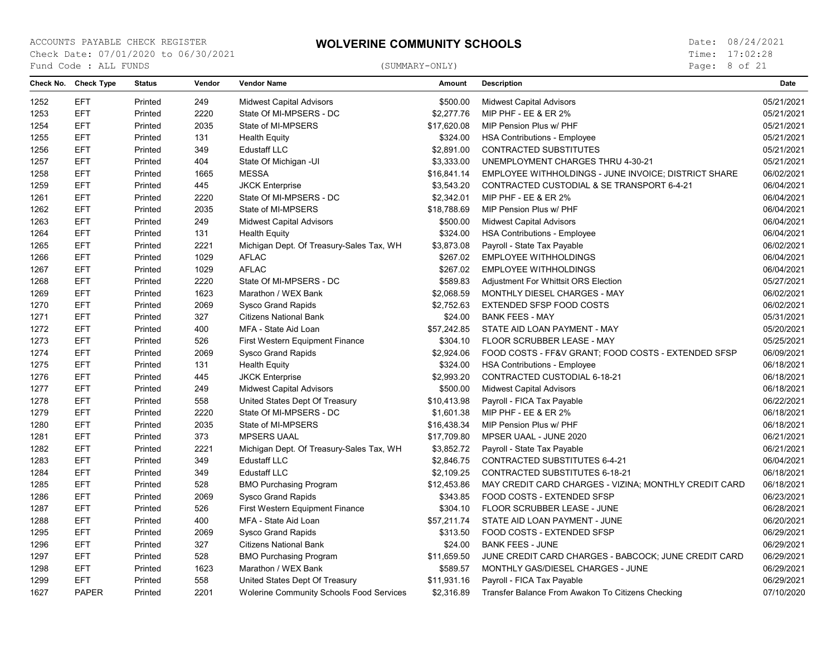Page: 8 of 21

| <b>EFT</b><br>249<br>1252<br>Printed<br><b>Midwest Capital Advisors</b><br>\$500.00<br><b>Midwest Capital Advisors</b><br><b>EFT</b><br>2220<br>1253<br>State Of MI-MPSERS - DC<br>\$2,277.76<br>MIP PHF - EE & ER 2%<br>Printed<br>1254<br><b>EFT</b><br>2035<br>\$17,620.08<br>Printed<br>State of MI-MPSERS<br>MIP Pension Plus w/ PHF<br>1255<br><b>EFT</b><br>Printed<br>131<br><b>Health Equity</b><br>\$324.00<br><b>HSA Contributions - Employee</b> | 05/21/2021<br>05/21/2021<br>05/21/2021<br>05/21/2021<br>05/21/2021<br>05/21/2021<br>06/02/2021 |
|--------------------------------------------------------------------------------------------------------------------------------------------------------------------------------------------------------------------------------------------------------------------------------------------------------------------------------------------------------------------------------------------------------------------------------------------------------------|------------------------------------------------------------------------------------------------|
|                                                                                                                                                                                                                                                                                                                                                                                                                                                              |                                                                                                |
|                                                                                                                                                                                                                                                                                                                                                                                                                                                              |                                                                                                |
|                                                                                                                                                                                                                                                                                                                                                                                                                                                              |                                                                                                |
|                                                                                                                                                                                                                                                                                                                                                                                                                                                              |                                                                                                |
| <b>EFT</b><br>1256<br>349<br><b>Edustaff LLC</b><br>\$2,891.00<br><b>CONTRACTED SUBSTITUTES</b><br>Printed                                                                                                                                                                                                                                                                                                                                                   |                                                                                                |
| <b>EFT</b><br>\$3,333.00<br>1257<br>Printed<br>404<br>State Of Michigan -UI<br>UNEMPLOYMENT CHARGES THRU 4-30-21                                                                                                                                                                                                                                                                                                                                             |                                                                                                |
| <b>EFT</b><br><b>MESSA</b><br>1258<br>Printed<br>1665<br>\$16,841.14<br>EMPLOYEE WITHHOLDINGS - JUNE INVOICE; DISTRICT SHARE                                                                                                                                                                                                                                                                                                                                 |                                                                                                |
| 1259<br><b>EFT</b><br>Printed<br>445<br><b>JKCK Enterprise</b><br>\$3,543.20<br>CONTRACTED CUSTODIAL & SE TRANSPORT 6-4-21                                                                                                                                                                                                                                                                                                                                   | 06/04/2021                                                                                     |
| <b>EFT</b><br>2220<br>\$2,342.01<br>1261<br>Printed<br>State Of MI-MPSERS - DC<br><b>MIP PHF - EE &amp; ER 2%</b>                                                                                                                                                                                                                                                                                                                                            | 06/04/2021                                                                                     |
| <b>EFT</b><br>2035<br>State of MI-MPSERS<br>\$18,788.69<br>MIP Pension Plus w/ PHF<br>1262<br>Printed                                                                                                                                                                                                                                                                                                                                                        | 06/04/2021                                                                                     |
| <b>EFT</b><br>1263<br>249<br>\$500.00<br>Printed<br><b>Midwest Capital Advisors</b><br><b>Midwest Capital Advisors</b>                                                                                                                                                                                                                                                                                                                                       | 06/04/2021                                                                                     |
| 1264<br><b>EFT</b><br>131<br>\$324.00<br>Printed<br><b>Health Equity</b><br><b>HSA Contributions - Employee</b>                                                                                                                                                                                                                                                                                                                                              | 06/04/2021                                                                                     |
| <b>EFT</b><br>1265<br>Printed<br>2221<br>Michigan Dept. Of Treasury-Sales Tax, WH<br>\$3,873.08<br>Payroll - State Tax Payable                                                                                                                                                                                                                                                                                                                               | 06/02/2021                                                                                     |
| <b>EFT</b><br>1266<br>1029<br><b>AFLAC</b><br>\$267.02<br><b>EMPLOYEE WITHHOLDINGS</b><br>Printed                                                                                                                                                                                                                                                                                                                                                            | 06/04/2021                                                                                     |
| 1267<br><b>EFT</b><br>1029<br><b>AFLAC</b><br>\$267.02<br>Printed<br><b>EMPLOYEE WITHHOLDINGS</b>                                                                                                                                                                                                                                                                                                                                                            | 06/04/2021                                                                                     |
| 1268<br><b>EFT</b><br>2220<br>State Of MI-MPSERS - DC<br>\$589.83<br>Printed<br>Adjustment For Whittsit ORS Election                                                                                                                                                                                                                                                                                                                                         | 05/27/2021                                                                                     |
| <b>EFT</b><br>1623<br>\$2,068.59<br>1269<br>Printed<br>Marathon / WEX Bank<br>MONTHLY DIESEL CHARGES - MAY                                                                                                                                                                                                                                                                                                                                                   | 06/02/2021                                                                                     |
| <b>EFT</b><br>2069<br>\$2,752.63<br><b>EXTENDED SFSP FOOD COSTS</b><br>1270<br>Printed<br><b>Sysco Grand Rapids</b>                                                                                                                                                                                                                                                                                                                                          | 06/02/2021                                                                                     |
| <b>EFT</b><br>Printed<br>327<br>\$24.00<br><b>BANK FEES - MAY</b><br>1271<br><b>Citizens National Bank</b>                                                                                                                                                                                                                                                                                                                                                   | 05/31/2021                                                                                     |
| <b>EFT</b><br>1272<br>Printed<br>400<br>\$57,242.85<br>STATE AID LOAN PAYMENT - MAY<br>MFA - State Aid Loan                                                                                                                                                                                                                                                                                                                                                  | 05/20/2021                                                                                     |
| 1273<br><b>EFT</b><br>526<br>First Western Equipment Finance<br>\$304.10<br>FLOOR SCRUBBER LEASE - MAY<br>Printed                                                                                                                                                                                                                                                                                                                                            | 05/25/2021                                                                                     |
| 1274<br><b>EFT</b><br>Printed<br>2069<br>\$2,924.06<br>FOOD COSTS - FF&V GRANT; FOOD COSTS - EXTENDED SFSP<br>Sysco Grand Rapids                                                                                                                                                                                                                                                                                                                             | 06/09/2021                                                                                     |
| 1275<br><b>EFT</b><br>\$324.00<br>Printed<br>131<br><b>Health Equity</b><br><b>HSA Contributions - Employee</b>                                                                                                                                                                                                                                                                                                                                              | 06/18/2021                                                                                     |
| 1276<br><b>EFT</b><br>445<br>\$2,993.20<br>CONTRACTED CUSTODIAL 6-18-21<br>Printed<br><b>JKCK Enterprise</b>                                                                                                                                                                                                                                                                                                                                                 | 06/18/2021                                                                                     |
| 1277<br><b>EFT</b><br>249<br>\$500.00<br><b>Midwest Capital Advisors</b><br>Printed<br><b>Midwest Capital Advisors</b>                                                                                                                                                                                                                                                                                                                                       | 06/18/2021                                                                                     |
| 1278<br><b>EFT</b><br>\$10,413.98<br>Printed<br>558<br>United States Dept Of Treasury<br>Payroll - FICA Tax Payable                                                                                                                                                                                                                                                                                                                                          | 06/22/2021                                                                                     |
| <b>EFT</b><br>1279<br>2220<br>State Of MI-MPSERS - DC<br>\$1,601.38<br>MIP PHF - EE & ER 2%<br>Printed                                                                                                                                                                                                                                                                                                                                                       | 06/18/2021                                                                                     |
| <b>EFT</b><br>2035<br>1280<br>State of MI-MPSERS<br>\$16,438.34<br>MIP Pension Plus w/ PHF<br>Printed                                                                                                                                                                                                                                                                                                                                                        | 06/18/2021                                                                                     |
| 1281<br><b>EFT</b><br>373<br>\$17,709.80<br>Printed<br><b>MPSERS UAAL</b><br>MPSER UAAL - JUNE 2020                                                                                                                                                                                                                                                                                                                                                          | 06/21/2021                                                                                     |
| <b>EFT</b><br>1282<br>Printed<br>2221<br>Michigan Dept. Of Treasury-Sales Tax, WH<br>\$3,852.72<br>Payroll - State Tax Payable                                                                                                                                                                                                                                                                                                                               | 06/21/2021                                                                                     |
| <b>EFT</b><br>349<br>1283<br>Printed<br><b>Edustaff LLC</b><br>\$2,846.75<br><b>CONTRACTED SUBSTITUTES 6-4-21</b>                                                                                                                                                                                                                                                                                                                                            | 06/04/2021                                                                                     |
| 1284<br><b>EFT</b><br>349<br><b>Edustaff LLC</b><br>\$2,109.25<br>Printed<br><b>CONTRACTED SUBSTITUTES 6-18-21</b>                                                                                                                                                                                                                                                                                                                                           | 06/18/2021                                                                                     |
| <b>EFT</b><br>1285<br>528<br><b>BMO Purchasing Program</b><br>\$12,453.86<br>Printed<br>MAY CREDIT CARD CHARGES - VIZINA; MONTHLY CREDIT CARD                                                                                                                                                                                                                                                                                                                | 06/18/2021                                                                                     |
| 1286<br><b>EFT</b><br>2069<br>\$343.85<br>Printed<br>Sysco Grand Rapids<br>FOOD COSTS - EXTENDED SFSP                                                                                                                                                                                                                                                                                                                                                        | 06/23/2021                                                                                     |
| 1287<br><b>EFT</b><br>526<br>\$304.10<br>FLOOR SCRUBBER LEASE - JUNE<br>Printed<br>First Western Equipment Finance                                                                                                                                                                                                                                                                                                                                           | 06/28/2021                                                                                     |
| <b>EFT</b><br>1288<br>Printed<br>400<br>MFA - State Aid Loan<br>\$57,211.74<br>STATE AID LOAN PAYMENT - JUNE                                                                                                                                                                                                                                                                                                                                                 | 06/20/2021                                                                                     |
| 1295<br><b>EFT</b><br>2069<br>Printed<br>Sysco Grand Rapids<br>\$313.50<br>FOOD COSTS - EXTENDED SFSP                                                                                                                                                                                                                                                                                                                                                        | 06/29/2021                                                                                     |
| 1296<br><b>EFT</b><br>327<br>Printed<br><b>Citizens National Bank</b><br>\$24.00<br><b>BANK FEES - JUNE</b>                                                                                                                                                                                                                                                                                                                                                  | 06/29/2021                                                                                     |
| <b>EFT</b><br>1297<br>Printed<br>528<br><b>BMO Purchasing Program</b><br>\$11,659.50<br>JUNE CREDIT CARD CHARGES - BABCOCK; JUNE CREDIT CARD                                                                                                                                                                                                                                                                                                                 | 06/29/2021                                                                                     |
| <b>EFT</b><br>MONTHLY GAS/DIESEL CHARGES - JUNE<br>1298<br>Printed<br>1623<br>Marathon / WEX Bank<br>\$589.57                                                                                                                                                                                                                                                                                                                                                | 06/29/2021                                                                                     |
| 1299<br><b>EFT</b><br>558<br>\$11,931.16<br>Payroll - FICA Tax Payable<br>Printed<br>United States Dept Of Treasury                                                                                                                                                                                                                                                                                                                                          | 06/29/2021                                                                                     |
| 1627<br><b>PAPER</b><br>Printed<br>2201<br>\$2,316.89<br><b>Wolerine Community Schools Food Services</b><br>Transfer Balance From Awakon To Citizens Checking                                                                                                                                                                                                                                                                                                | 07/10/2020                                                                                     |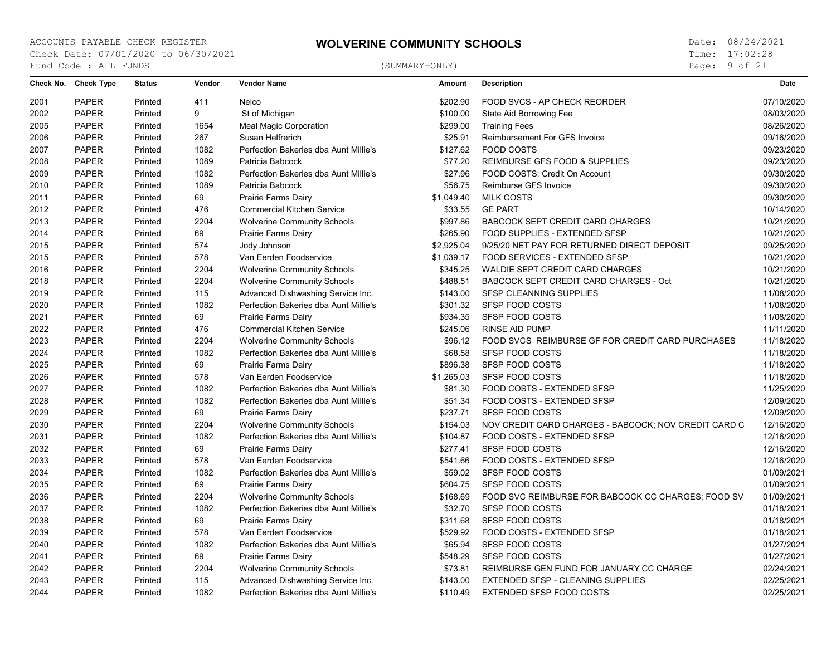Page: 9 of 21

| 2001<br><b>PAPER</b><br>Printed<br>411<br>Nelco<br>\$202.90<br>FOOD SVCS - AP CHECK REORDER<br>07/10/2020<br>2002<br><b>PAPER</b><br>9<br>\$100.00<br>08/03/2020<br>Printed<br>St of Michigan<br>State Aid Borrowing Fee<br>\$299.00<br>08/26/2020<br>2005<br><b>PAPER</b><br>Printed<br>1654<br><b>Meal Magic Corporation</b><br><b>Training Fees</b><br>2006<br><b>PAPER</b><br>Printed<br>267<br>Susan Helfrerich<br>\$25.91<br>Reimbursement For GFS Invoice<br>09/16/2020<br><b>PAPER</b><br>1082<br><b>FOOD COSTS</b><br>09/23/2020<br>2007<br>Printed<br>Perfection Bakeries dba Aunt Millie's<br>\$127.62<br>2008<br><b>PAPER</b><br>1089<br>\$77.20<br>REIMBURSE GFS FOOD & SUPPLIES<br>09/23/2020<br>Printed<br>Patricia Babcock<br>2009<br><b>PAPER</b><br>1082<br>Perfection Bakeries dba Aunt Millie's<br>\$27.96<br>FOOD COSTS; Credit On Account<br>09/30/2020<br>Printed<br>1089<br>2010<br><b>PAPER</b><br>Patricia Babcock<br>\$56.75<br>Reimburse GFS Invoice<br>09/30/2020<br>Printed<br>2011<br><b>PAPER</b><br>69<br>Prairie Farms Dairy<br>\$1,049.40<br><b>MILK COSTS</b><br>09/30/2020<br>Printed<br>2012<br><b>PAPER</b><br>476<br><b>Commercial Kitchen Service</b><br>\$33.55<br><b>GE PART</b><br>10/14/2020<br>Printed<br>2204<br>2013<br><b>PAPER</b><br><b>Wolverine Community Schools</b><br>\$997.86<br><b>BABCOCK SEPT CREDIT CARD CHARGES</b><br>10/21/2020<br>Printed<br>69<br>\$265.90<br>2014<br><b>PAPER</b><br>Printed<br>Prairie Farms Dairy<br>FOOD SUPPLIES - EXTENDED SFSP<br>10/21/2020<br>574<br>2015<br><b>PAPER</b><br>Printed<br>Jody Johnson<br>\$2,925.04<br>9/25/20 NET PAY FOR RETURNED DIRECT DEPOSIT<br>09/25/2020<br>2015<br><b>PAPER</b><br>Printed<br>578<br>Van Eerden Foodservice<br>\$1,039.17<br>FOOD SERVICES - EXTENDED SFSP<br>10/21/2020<br>2204<br>2016<br><b>PAPER</b><br><b>Wolverine Community Schools</b><br>\$345.25<br>WALDIE SEPT CREDIT CARD CHARGES<br>10/21/2020<br>Printed<br>2018<br><b>PAPER</b><br>2204<br>\$488.51<br>10/21/2020<br>Printed<br><b>Wolverine Community Schools</b><br>BABCOCK SEPT CREDIT CARD CHARGES - Oct<br>2019<br>115<br>11/08/2020<br><b>PAPER</b><br>Printed<br>Advanced Dishwashing Service Inc.<br>\$143.00<br>SFSP CLEANNING SUPPLIES<br>2020<br><b>PAPER</b><br>1082<br>SFSP FOOD COSTS<br>11/08/2020<br>Printed<br>Perfection Bakeries dba Aunt Millie's<br>\$301.32<br><b>PAPER</b><br>69<br>\$934.35<br>SFSP FOOD COSTS<br>11/08/2020<br>2021<br>Printed<br>Prairie Farms Dairy<br>2022<br><b>PAPER</b><br>476<br><b>RINSE AID PUMP</b><br>11/11/2020<br>Printed<br><b>Commercial Kitchen Service</b><br>\$245.06<br>2204<br>2023<br><b>PAPER</b><br><b>Wolverine Community Schools</b><br>\$96.12<br>FOOD SVCS REIMBURSE GF FOR CREDIT CARD PURCHASES<br>11/18/2020<br>Printed<br>2024<br><b>PAPER</b><br>1082<br>Perfection Bakeries dba Aunt Millie's<br>\$68.58<br><b>SFSP FOOD COSTS</b><br>11/18/2020<br>Printed<br>2025<br><b>PAPER</b><br>Printed<br>69<br>Prairie Farms Dairy<br>\$896.38<br><b>SFSP FOOD COSTS</b><br>11/18/2020<br>578<br>2026<br><b>PAPER</b><br>\$1,265.03<br><b>SFSP FOOD COSTS</b><br>11/18/2020<br>Printed<br>Van Eerden Foodservice<br>2027<br><b>PAPER</b><br>1082<br>\$81.30<br>11/25/2020<br>Perfection Bakeries dba Aunt Millie's<br>FOOD COSTS - EXTENDED SFSP<br>Printed<br><b>PAPER</b><br>1082<br>FOOD COSTS - EXTENDED SFSP<br>12/09/2020<br>2028<br>Printed<br>Perfection Bakeries dba Aunt Millie's<br>\$51.34<br>2029<br>69<br>\$237.71<br>SFSP FOOD COSTS<br>12/09/2020<br><b>PAPER</b><br>Printed<br>Prairie Farms Dairy<br>2204<br>12/16/2020<br>2030<br><b>PAPER</b><br>Printed<br><b>Wolverine Community Schools</b><br>\$154.03<br>NOV CREDIT CARD CHARGES - BABCOCK; NOV CREDIT CARD C<br><b>PAPER</b><br>1082<br>FOOD COSTS - EXTENDED SFSP<br>12/16/2020<br>2031<br>Perfection Bakeries dba Aunt Millie's<br>\$104.87<br>Printed<br>2032<br><b>PAPER</b><br>69<br>\$277.41<br><b>SFSP FOOD COSTS</b><br>12/16/2020<br>Printed<br>Prairie Farms Dairy<br>2033<br><b>PAPER</b><br>578<br>FOOD COSTS - EXTENDED SFSP<br>12/16/2020<br>Printed<br>Van Eerden Foodservice<br>\$541.66<br>2034<br><b>PAPER</b><br>1082<br>\$59.02<br><b>SFSP FOOD COSTS</b><br>01/09/2021<br>Printed<br>Perfection Bakeries dba Aunt Millie's<br>69<br>2035<br><b>PAPER</b><br><b>SFSP FOOD COSTS</b><br>01/09/2021<br>Printed<br>Prairie Farms Dairy<br>\$604.75<br>2036<br><b>PAPER</b><br>2204<br>FOOD SVC REIMBURSE FOR BABCOCK CC CHARGES; FOOD SV<br>01/09/2021<br>Printed<br><b>Wolverine Community Schools</b><br>\$168.69<br>2037<br><b>PAPER</b><br>1082<br>Perfection Bakeries dba Aunt Millie's<br>\$32.70<br>SFSP FOOD COSTS<br>01/18/2021<br>Printed<br>69<br>01/18/2021<br>2038<br><b>PAPER</b><br>Printed<br>Prairie Farms Dairy<br>\$311.68<br><b>SFSP FOOD COSTS</b><br>2039<br><b>PAPER</b><br>578<br>Van Eerden Foodservice<br>\$529.92<br>FOOD COSTS - EXTENDED SFSP<br>01/18/2021<br>Printed<br>1082<br><b>PAPER</b><br>Perfection Bakeries dba Aunt Millie's<br>\$65.94<br>SFSP FOOD COSTS<br>01/27/2021<br>2040<br>Printed<br>69<br><b>SFSP FOOD COSTS</b><br>01/27/2021<br>2041<br><b>PAPER</b><br>\$548.29<br>Printed<br>Prairie Farms Dairy<br>2042<br><b>PAPER</b><br>2204<br><b>Wolverine Community Schools</b><br>REIMBURSE GEN FUND FOR JANUARY CC CHARGE<br>02/24/2021<br>\$73.81<br>Printed<br>115<br>02/25/2021<br>2043<br><b>PAPER</b><br>Printed<br>Advanced Dishwashing Service Inc.<br>\$143.00<br><b>EXTENDED SFSP - CLEANING SUPPLIES</b> | Check No. | <b>Check Type</b> | <b>Status</b> | Vendor | <b>Vendor Name</b>                    | <b>Amount</b> | <b>Description</b>       | <b>Date</b> |
|------------------------------------------------------------------------------------------------------------------------------------------------------------------------------------------------------------------------------------------------------------------------------------------------------------------------------------------------------------------------------------------------------------------------------------------------------------------------------------------------------------------------------------------------------------------------------------------------------------------------------------------------------------------------------------------------------------------------------------------------------------------------------------------------------------------------------------------------------------------------------------------------------------------------------------------------------------------------------------------------------------------------------------------------------------------------------------------------------------------------------------------------------------------------------------------------------------------------------------------------------------------------------------------------------------------------------------------------------------------------------------------------------------------------------------------------------------------------------------------------------------------------------------------------------------------------------------------------------------------------------------------------------------------------------------------------------------------------------------------------------------------------------------------------------------------------------------------------------------------------------------------------------------------------------------------------------------------------------------------------------------------------------------------------------------------------------------------------------------------------------------------------------------------------------------------------------------------------------------------------------------------------------------------------------------------------------------------------------------------------------------------------------------------------------------------------------------------------------------------------------------------------------------------------------------------------------------------------------------------------------------------------------------------------------------------------------------------------------------------------------------------------------------------------------------------------------------------------------------------------------------------------------------------------------------------------------------------------------------------------------------------------------------------------------------------------------------------------------------------------------------------------------------------------------------------------------------------------------------------------------------------------------------------------------------------------------------------------------------------------------------------------------------------------------------------------------------------------------------------------------------------------------------------------------------------------------------------------------------------------------------------------------------------------------------------------------------------------------------------------------------------------------------------------------------------------------------------------------------------------------------------------------------------------------------------------------------------------------------------------------------------------------------------------------------------------------------------------------------------------------------------------------------------------------------------------------------------------------------------------------------------------------------------------------------------------------------------------------------------------------------------------------------------------------------------------------------------------------------------------------------------------------------------------------------------------------------------------------------------------------------------------------------------------------------------------------------------------------------------------------------------------------------------------------------------------------------------------------------------------------------------------------------------------------------------------------------------------------------------------------------------------------------------------------------------------------------------------------------------------------------------------------------------------------------------------------------------------------------------------------------------------------------------------------------------------------------------------------------------------------------------------------------------------------------------------------------------------------------------------------------------------------------|-----------|-------------------|---------------|--------|---------------------------------------|---------------|--------------------------|-------------|
|                                                                                                                                                                                                                                                                                                                                                                                                                                                                                                                                                                                                                                                                                                                                                                                                                                                                                                                                                                                                                                                                                                                                                                                                                                                                                                                                                                                                                                                                                                                                                                                                                                                                                                                                                                                                                                                                                                                                                                                                                                                                                                                                                                                                                                                                                                                                                                                                                                                                                                                                                                                                                                                                                                                                                                                                                                                                                                                                                                                                                                                                                                                                                                                                                                                                                                                                                                                                                                                                                                                                                                                                                                                                                                                                                                                                                                                                                                                                                                                                                                                                                                                                                                                                                                                                                                                                                                                                                                                                                                                                                                                                                                                                                                                                                                                                                                                                                                                                                                                                                                                                                                                                                                                                                                                                                                                                                                                                                                                                                                                                    |           |                   |               |        |                                       |               |                          |             |
|                                                                                                                                                                                                                                                                                                                                                                                                                                                                                                                                                                                                                                                                                                                                                                                                                                                                                                                                                                                                                                                                                                                                                                                                                                                                                                                                                                                                                                                                                                                                                                                                                                                                                                                                                                                                                                                                                                                                                                                                                                                                                                                                                                                                                                                                                                                                                                                                                                                                                                                                                                                                                                                                                                                                                                                                                                                                                                                                                                                                                                                                                                                                                                                                                                                                                                                                                                                                                                                                                                                                                                                                                                                                                                                                                                                                                                                                                                                                                                                                                                                                                                                                                                                                                                                                                                                                                                                                                                                                                                                                                                                                                                                                                                                                                                                                                                                                                                                                                                                                                                                                                                                                                                                                                                                                                                                                                                                                                                                                                                                                    |           |                   |               |        |                                       |               |                          |             |
|                                                                                                                                                                                                                                                                                                                                                                                                                                                                                                                                                                                                                                                                                                                                                                                                                                                                                                                                                                                                                                                                                                                                                                                                                                                                                                                                                                                                                                                                                                                                                                                                                                                                                                                                                                                                                                                                                                                                                                                                                                                                                                                                                                                                                                                                                                                                                                                                                                                                                                                                                                                                                                                                                                                                                                                                                                                                                                                                                                                                                                                                                                                                                                                                                                                                                                                                                                                                                                                                                                                                                                                                                                                                                                                                                                                                                                                                                                                                                                                                                                                                                                                                                                                                                                                                                                                                                                                                                                                                                                                                                                                                                                                                                                                                                                                                                                                                                                                                                                                                                                                                                                                                                                                                                                                                                                                                                                                                                                                                                                                                    |           |                   |               |        |                                       |               |                          |             |
|                                                                                                                                                                                                                                                                                                                                                                                                                                                                                                                                                                                                                                                                                                                                                                                                                                                                                                                                                                                                                                                                                                                                                                                                                                                                                                                                                                                                                                                                                                                                                                                                                                                                                                                                                                                                                                                                                                                                                                                                                                                                                                                                                                                                                                                                                                                                                                                                                                                                                                                                                                                                                                                                                                                                                                                                                                                                                                                                                                                                                                                                                                                                                                                                                                                                                                                                                                                                                                                                                                                                                                                                                                                                                                                                                                                                                                                                                                                                                                                                                                                                                                                                                                                                                                                                                                                                                                                                                                                                                                                                                                                                                                                                                                                                                                                                                                                                                                                                                                                                                                                                                                                                                                                                                                                                                                                                                                                                                                                                                                                                    |           |                   |               |        |                                       |               |                          |             |
|                                                                                                                                                                                                                                                                                                                                                                                                                                                                                                                                                                                                                                                                                                                                                                                                                                                                                                                                                                                                                                                                                                                                                                                                                                                                                                                                                                                                                                                                                                                                                                                                                                                                                                                                                                                                                                                                                                                                                                                                                                                                                                                                                                                                                                                                                                                                                                                                                                                                                                                                                                                                                                                                                                                                                                                                                                                                                                                                                                                                                                                                                                                                                                                                                                                                                                                                                                                                                                                                                                                                                                                                                                                                                                                                                                                                                                                                                                                                                                                                                                                                                                                                                                                                                                                                                                                                                                                                                                                                                                                                                                                                                                                                                                                                                                                                                                                                                                                                                                                                                                                                                                                                                                                                                                                                                                                                                                                                                                                                                                                                    |           |                   |               |        |                                       |               |                          |             |
|                                                                                                                                                                                                                                                                                                                                                                                                                                                                                                                                                                                                                                                                                                                                                                                                                                                                                                                                                                                                                                                                                                                                                                                                                                                                                                                                                                                                                                                                                                                                                                                                                                                                                                                                                                                                                                                                                                                                                                                                                                                                                                                                                                                                                                                                                                                                                                                                                                                                                                                                                                                                                                                                                                                                                                                                                                                                                                                                                                                                                                                                                                                                                                                                                                                                                                                                                                                                                                                                                                                                                                                                                                                                                                                                                                                                                                                                                                                                                                                                                                                                                                                                                                                                                                                                                                                                                                                                                                                                                                                                                                                                                                                                                                                                                                                                                                                                                                                                                                                                                                                                                                                                                                                                                                                                                                                                                                                                                                                                                                                                    |           |                   |               |        |                                       |               |                          |             |
|                                                                                                                                                                                                                                                                                                                                                                                                                                                                                                                                                                                                                                                                                                                                                                                                                                                                                                                                                                                                                                                                                                                                                                                                                                                                                                                                                                                                                                                                                                                                                                                                                                                                                                                                                                                                                                                                                                                                                                                                                                                                                                                                                                                                                                                                                                                                                                                                                                                                                                                                                                                                                                                                                                                                                                                                                                                                                                                                                                                                                                                                                                                                                                                                                                                                                                                                                                                                                                                                                                                                                                                                                                                                                                                                                                                                                                                                                                                                                                                                                                                                                                                                                                                                                                                                                                                                                                                                                                                                                                                                                                                                                                                                                                                                                                                                                                                                                                                                                                                                                                                                                                                                                                                                                                                                                                                                                                                                                                                                                                                                    |           |                   |               |        |                                       |               |                          |             |
|                                                                                                                                                                                                                                                                                                                                                                                                                                                                                                                                                                                                                                                                                                                                                                                                                                                                                                                                                                                                                                                                                                                                                                                                                                                                                                                                                                                                                                                                                                                                                                                                                                                                                                                                                                                                                                                                                                                                                                                                                                                                                                                                                                                                                                                                                                                                                                                                                                                                                                                                                                                                                                                                                                                                                                                                                                                                                                                                                                                                                                                                                                                                                                                                                                                                                                                                                                                                                                                                                                                                                                                                                                                                                                                                                                                                                                                                                                                                                                                                                                                                                                                                                                                                                                                                                                                                                                                                                                                                                                                                                                                                                                                                                                                                                                                                                                                                                                                                                                                                                                                                                                                                                                                                                                                                                                                                                                                                                                                                                                                                    |           |                   |               |        |                                       |               |                          |             |
|                                                                                                                                                                                                                                                                                                                                                                                                                                                                                                                                                                                                                                                                                                                                                                                                                                                                                                                                                                                                                                                                                                                                                                                                                                                                                                                                                                                                                                                                                                                                                                                                                                                                                                                                                                                                                                                                                                                                                                                                                                                                                                                                                                                                                                                                                                                                                                                                                                                                                                                                                                                                                                                                                                                                                                                                                                                                                                                                                                                                                                                                                                                                                                                                                                                                                                                                                                                                                                                                                                                                                                                                                                                                                                                                                                                                                                                                                                                                                                                                                                                                                                                                                                                                                                                                                                                                                                                                                                                                                                                                                                                                                                                                                                                                                                                                                                                                                                                                                                                                                                                                                                                                                                                                                                                                                                                                                                                                                                                                                                                                    |           |                   |               |        |                                       |               |                          |             |
|                                                                                                                                                                                                                                                                                                                                                                                                                                                                                                                                                                                                                                                                                                                                                                                                                                                                                                                                                                                                                                                                                                                                                                                                                                                                                                                                                                                                                                                                                                                                                                                                                                                                                                                                                                                                                                                                                                                                                                                                                                                                                                                                                                                                                                                                                                                                                                                                                                                                                                                                                                                                                                                                                                                                                                                                                                                                                                                                                                                                                                                                                                                                                                                                                                                                                                                                                                                                                                                                                                                                                                                                                                                                                                                                                                                                                                                                                                                                                                                                                                                                                                                                                                                                                                                                                                                                                                                                                                                                                                                                                                                                                                                                                                                                                                                                                                                                                                                                                                                                                                                                                                                                                                                                                                                                                                                                                                                                                                                                                                                                    |           |                   |               |        |                                       |               |                          |             |
|                                                                                                                                                                                                                                                                                                                                                                                                                                                                                                                                                                                                                                                                                                                                                                                                                                                                                                                                                                                                                                                                                                                                                                                                                                                                                                                                                                                                                                                                                                                                                                                                                                                                                                                                                                                                                                                                                                                                                                                                                                                                                                                                                                                                                                                                                                                                                                                                                                                                                                                                                                                                                                                                                                                                                                                                                                                                                                                                                                                                                                                                                                                                                                                                                                                                                                                                                                                                                                                                                                                                                                                                                                                                                                                                                                                                                                                                                                                                                                                                                                                                                                                                                                                                                                                                                                                                                                                                                                                                                                                                                                                                                                                                                                                                                                                                                                                                                                                                                                                                                                                                                                                                                                                                                                                                                                                                                                                                                                                                                                                                    |           |                   |               |        |                                       |               |                          |             |
|                                                                                                                                                                                                                                                                                                                                                                                                                                                                                                                                                                                                                                                                                                                                                                                                                                                                                                                                                                                                                                                                                                                                                                                                                                                                                                                                                                                                                                                                                                                                                                                                                                                                                                                                                                                                                                                                                                                                                                                                                                                                                                                                                                                                                                                                                                                                                                                                                                                                                                                                                                                                                                                                                                                                                                                                                                                                                                                                                                                                                                                                                                                                                                                                                                                                                                                                                                                                                                                                                                                                                                                                                                                                                                                                                                                                                                                                                                                                                                                                                                                                                                                                                                                                                                                                                                                                                                                                                                                                                                                                                                                                                                                                                                                                                                                                                                                                                                                                                                                                                                                                                                                                                                                                                                                                                                                                                                                                                                                                                                                                    |           |                   |               |        |                                       |               |                          |             |
|                                                                                                                                                                                                                                                                                                                                                                                                                                                                                                                                                                                                                                                                                                                                                                                                                                                                                                                                                                                                                                                                                                                                                                                                                                                                                                                                                                                                                                                                                                                                                                                                                                                                                                                                                                                                                                                                                                                                                                                                                                                                                                                                                                                                                                                                                                                                                                                                                                                                                                                                                                                                                                                                                                                                                                                                                                                                                                                                                                                                                                                                                                                                                                                                                                                                                                                                                                                                                                                                                                                                                                                                                                                                                                                                                                                                                                                                                                                                                                                                                                                                                                                                                                                                                                                                                                                                                                                                                                                                                                                                                                                                                                                                                                                                                                                                                                                                                                                                                                                                                                                                                                                                                                                                                                                                                                                                                                                                                                                                                                                                    |           |                   |               |        |                                       |               |                          |             |
|                                                                                                                                                                                                                                                                                                                                                                                                                                                                                                                                                                                                                                                                                                                                                                                                                                                                                                                                                                                                                                                                                                                                                                                                                                                                                                                                                                                                                                                                                                                                                                                                                                                                                                                                                                                                                                                                                                                                                                                                                                                                                                                                                                                                                                                                                                                                                                                                                                                                                                                                                                                                                                                                                                                                                                                                                                                                                                                                                                                                                                                                                                                                                                                                                                                                                                                                                                                                                                                                                                                                                                                                                                                                                                                                                                                                                                                                                                                                                                                                                                                                                                                                                                                                                                                                                                                                                                                                                                                                                                                                                                                                                                                                                                                                                                                                                                                                                                                                                                                                                                                                                                                                                                                                                                                                                                                                                                                                                                                                                                                                    |           |                   |               |        |                                       |               |                          |             |
|                                                                                                                                                                                                                                                                                                                                                                                                                                                                                                                                                                                                                                                                                                                                                                                                                                                                                                                                                                                                                                                                                                                                                                                                                                                                                                                                                                                                                                                                                                                                                                                                                                                                                                                                                                                                                                                                                                                                                                                                                                                                                                                                                                                                                                                                                                                                                                                                                                                                                                                                                                                                                                                                                                                                                                                                                                                                                                                                                                                                                                                                                                                                                                                                                                                                                                                                                                                                                                                                                                                                                                                                                                                                                                                                                                                                                                                                                                                                                                                                                                                                                                                                                                                                                                                                                                                                                                                                                                                                                                                                                                                                                                                                                                                                                                                                                                                                                                                                                                                                                                                                                                                                                                                                                                                                                                                                                                                                                                                                                                                                    |           |                   |               |        |                                       |               |                          |             |
|                                                                                                                                                                                                                                                                                                                                                                                                                                                                                                                                                                                                                                                                                                                                                                                                                                                                                                                                                                                                                                                                                                                                                                                                                                                                                                                                                                                                                                                                                                                                                                                                                                                                                                                                                                                                                                                                                                                                                                                                                                                                                                                                                                                                                                                                                                                                                                                                                                                                                                                                                                                                                                                                                                                                                                                                                                                                                                                                                                                                                                                                                                                                                                                                                                                                                                                                                                                                                                                                                                                                                                                                                                                                                                                                                                                                                                                                                                                                                                                                                                                                                                                                                                                                                                                                                                                                                                                                                                                                                                                                                                                                                                                                                                                                                                                                                                                                                                                                                                                                                                                                                                                                                                                                                                                                                                                                                                                                                                                                                                                                    |           |                   |               |        |                                       |               |                          |             |
|                                                                                                                                                                                                                                                                                                                                                                                                                                                                                                                                                                                                                                                                                                                                                                                                                                                                                                                                                                                                                                                                                                                                                                                                                                                                                                                                                                                                                                                                                                                                                                                                                                                                                                                                                                                                                                                                                                                                                                                                                                                                                                                                                                                                                                                                                                                                                                                                                                                                                                                                                                                                                                                                                                                                                                                                                                                                                                                                                                                                                                                                                                                                                                                                                                                                                                                                                                                                                                                                                                                                                                                                                                                                                                                                                                                                                                                                                                                                                                                                                                                                                                                                                                                                                                                                                                                                                                                                                                                                                                                                                                                                                                                                                                                                                                                                                                                                                                                                                                                                                                                                                                                                                                                                                                                                                                                                                                                                                                                                                                                                    |           |                   |               |        |                                       |               |                          |             |
|                                                                                                                                                                                                                                                                                                                                                                                                                                                                                                                                                                                                                                                                                                                                                                                                                                                                                                                                                                                                                                                                                                                                                                                                                                                                                                                                                                                                                                                                                                                                                                                                                                                                                                                                                                                                                                                                                                                                                                                                                                                                                                                                                                                                                                                                                                                                                                                                                                                                                                                                                                                                                                                                                                                                                                                                                                                                                                                                                                                                                                                                                                                                                                                                                                                                                                                                                                                                                                                                                                                                                                                                                                                                                                                                                                                                                                                                                                                                                                                                                                                                                                                                                                                                                                                                                                                                                                                                                                                                                                                                                                                                                                                                                                                                                                                                                                                                                                                                                                                                                                                                                                                                                                                                                                                                                                                                                                                                                                                                                                                                    |           |                   |               |        |                                       |               |                          |             |
|                                                                                                                                                                                                                                                                                                                                                                                                                                                                                                                                                                                                                                                                                                                                                                                                                                                                                                                                                                                                                                                                                                                                                                                                                                                                                                                                                                                                                                                                                                                                                                                                                                                                                                                                                                                                                                                                                                                                                                                                                                                                                                                                                                                                                                                                                                                                                                                                                                                                                                                                                                                                                                                                                                                                                                                                                                                                                                                                                                                                                                                                                                                                                                                                                                                                                                                                                                                                                                                                                                                                                                                                                                                                                                                                                                                                                                                                                                                                                                                                                                                                                                                                                                                                                                                                                                                                                                                                                                                                                                                                                                                                                                                                                                                                                                                                                                                                                                                                                                                                                                                                                                                                                                                                                                                                                                                                                                                                                                                                                                                                    |           |                   |               |        |                                       |               |                          |             |
|                                                                                                                                                                                                                                                                                                                                                                                                                                                                                                                                                                                                                                                                                                                                                                                                                                                                                                                                                                                                                                                                                                                                                                                                                                                                                                                                                                                                                                                                                                                                                                                                                                                                                                                                                                                                                                                                                                                                                                                                                                                                                                                                                                                                                                                                                                                                                                                                                                                                                                                                                                                                                                                                                                                                                                                                                                                                                                                                                                                                                                                                                                                                                                                                                                                                                                                                                                                                                                                                                                                                                                                                                                                                                                                                                                                                                                                                                                                                                                                                                                                                                                                                                                                                                                                                                                                                                                                                                                                                                                                                                                                                                                                                                                                                                                                                                                                                                                                                                                                                                                                                                                                                                                                                                                                                                                                                                                                                                                                                                                                                    |           |                   |               |        |                                       |               |                          |             |
|                                                                                                                                                                                                                                                                                                                                                                                                                                                                                                                                                                                                                                                                                                                                                                                                                                                                                                                                                                                                                                                                                                                                                                                                                                                                                                                                                                                                                                                                                                                                                                                                                                                                                                                                                                                                                                                                                                                                                                                                                                                                                                                                                                                                                                                                                                                                                                                                                                                                                                                                                                                                                                                                                                                                                                                                                                                                                                                                                                                                                                                                                                                                                                                                                                                                                                                                                                                                                                                                                                                                                                                                                                                                                                                                                                                                                                                                                                                                                                                                                                                                                                                                                                                                                                                                                                                                                                                                                                                                                                                                                                                                                                                                                                                                                                                                                                                                                                                                                                                                                                                                                                                                                                                                                                                                                                                                                                                                                                                                                                                                    |           |                   |               |        |                                       |               |                          |             |
|                                                                                                                                                                                                                                                                                                                                                                                                                                                                                                                                                                                                                                                                                                                                                                                                                                                                                                                                                                                                                                                                                                                                                                                                                                                                                                                                                                                                                                                                                                                                                                                                                                                                                                                                                                                                                                                                                                                                                                                                                                                                                                                                                                                                                                                                                                                                                                                                                                                                                                                                                                                                                                                                                                                                                                                                                                                                                                                                                                                                                                                                                                                                                                                                                                                                                                                                                                                                                                                                                                                                                                                                                                                                                                                                                                                                                                                                                                                                                                                                                                                                                                                                                                                                                                                                                                                                                                                                                                                                                                                                                                                                                                                                                                                                                                                                                                                                                                                                                                                                                                                                                                                                                                                                                                                                                                                                                                                                                                                                                                                                    |           |                   |               |        |                                       |               |                          |             |
|                                                                                                                                                                                                                                                                                                                                                                                                                                                                                                                                                                                                                                                                                                                                                                                                                                                                                                                                                                                                                                                                                                                                                                                                                                                                                                                                                                                                                                                                                                                                                                                                                                                                                                                                                                                                                                                                                                                                                                                                                                                                                                                                                                                                                                                                                                                                                                                                                                                                                                                                                                                                                                                                                                                                                                                                                                                                                                                                                                                                                                                                                                                                                                                                                                                                                                                                                                                                                                                                                                                                                                                                                                                                                                                                                                                                                                                                                                                                                                                                                                                                                                                                                                                                                                                                                                                                                                                                                                                                                                                                                                                                                                                                                                                                                                                                                                                                                                                                                                                                                                                                                                                                                                                                                                                                                                                                                                                                                                                                                                                                    |           |                   |               |        |                                       |               |                          |             |
|                                                                                                                                                                                                                                                                                                                                                                                                                                                                                                                                                                                                                                                                                                                                                                                                                                                                                                                                                                                                                                                                                                                                                                                                                                                                                                                                                                                                                                                                                                                                                                                                                                                                                                                                                                                                                                                                                                                                                                                                                                                                                                                                                                                                                                                                                                                                                                                                                                                                                                                                                                                                                                                                                                                                                                                                                                                                                                                                                                                                                                                                                                                                                                                                                                                                                                                                                                                                                                                                                                                                                                                                                                                                                                                                                                                                                                                                                                                                                                                                                                                                                                                                                                                                                                                                                                                                                                                                                                                                                                                                                                                                                                                                                                                                                                                                                                                                                                                                                                                                                                                                                                                                                                                                                                                                                                                                                                                                                                                                                                                                    |           |                   |               |        |                                       |               |                          |             |
|                                                                                                                                                                                                                                                                                                                                                                                                                                                                                                                                                                                                                                                                                                                                                                                                                                                                                                                                                                                                                                                                                                                                                                                                                                                                                                                                                                                                                                                                                                                                                                                                                                                                                                                                                                                                                                                                                                                                                                                                                                                                                                                                                                                                                                                                                                                                                                                                                                                                                                                                                                                                                                                                                                                                                                                                                                                                                                                                                                                                                                                                                                                                                                                                                                                                                                                                                                                                                                                                                                                                                                                                                                                                                                                                                                                                                                                                                                                                                                                                                                                                                                                                                                                                                                                                                                                                                                                                                                                                                                                                                                                                                                                                                                                                                                                                                                                                                                                                                                                                                                                                                                                                                                                                                                                                                                                                                                                                                                                                                                                                    |           |                   |               |        |                                       |               |                          |             |
|                                                                                                                                                                                                                                                                                                                                                                                                                                                                                                                                                                                                                                                                                                                                                                                                                                                                                                                                                                                                                                                                                                                                                                                                                                                                                                                                                                                                                                                                                                                                                                                                                                                                                                                                                                                                                                                                                                                                                                                                                                                                                                                                                                                                                                                                                                                                                                                                                                                                                                                                                                                                                                                                                                                                                                                                                                                                                                                                                                                                                                                                                                                                                                                                                                                                                                                                                                                                                                                                                                                                                                                                                                                                                                                                                                                                                                                                                                                                                                                                                                                                                                                                                                                                                                                                                                                                                                                                                                                                                                                                                                                                                                                                                                                                                                                                                                                                                                                                                                                                                                                                                                                                                                                                                                                                                                                                                                                                                                                                                                                                    |           |                   |               |        |                                       |               |                          |             |
|                                                                                                                                                                                                                                                                                                                                                                                                                                                                                                                                                                                                                                                                                                                                                                                                                                                                                                                                                                                                                                                                                                                                                                                                                                                                                                                                                                                                                                                                                                                                                                                                                                                                                                                                                                                                                                                                                                                                                                                                                                                                                                                                                                                                                                                                                                                                                                                                                                                                                                                                                                                                                                                                                                                                                                                                                                                                                                                                                                                                                                                                                                                                                                                                                                                                                                                                                                                                                                                                                                                                                                                                                                                                                                                                                                                                                                                                                                                                                                                                                                                                                                                                                                                                                                                                                                                                                                                                                                                                                                                                                                                                                                                                                                                                                                                                                                                                                                                                                                                                                                                                                                                                                                                                                                                                                                                                                                                                                                                                                                                                    |           |                   |               |        |                                       |               |                          |             |
|                                                                                                                                                                                                                                                                                                                                                                                                                                                                                                                                                                                                                                                                                                                                                                                                                                                                                                                                                                                                                                                                                                                                                                                                                                                                                                                                                                                                                                                                                                                                                                                                                                                                                                                                                                                                                                                                                                                                                                                                                                                                                                                                                                                                                                                                                                                                                                                                                                                                                                                                                                                                                                                                                                                                                                                                                                                                                                                                                                                                                                                                                                                                                                                                                                                                                                                                                                                                                                                                                                                                                                                                                                                                                                                                                                                                                                                                                                                                                                                                                                                                                                                                                                                                                                                                                                                                                                                                                                                                                                                                                                                                                                                                                                                                                                                                                                                                                                                                                                                                                                                                                                                                                                                                                                                                                                                                                                                                                                                                                                                                    |           |                   |               |        |                                       |               |                          |             |
|                                                                                                                                                                                                                                                                                                                                                                                                                                                                                                                                                                                                                                                                                                                                                                                                                                                                                                                                                                                                                                                                                                                                                                                                                                                                                                                                                                                                                                                                                                                                                                                                                                                                                                                                                                                                                                                                                                                                                                                                                                                                                                                                                                                                                                                                                                                                                                                                                                                                                                                                                                                                                                                                                                                                                                                                                                                                                                                                                                                                                                                                                                                                                                                                                                                                                                                                                                                                                                                                                                                                                                                                                                                                                                                                                                                                                                                                                                                                                                                                                                                                                                                                                                                                                                                                                                                                                                                                                                                                                                                                                                                                                                                                                                                                                                                                                                                                                                                                                                                                                                                                                                                                                                                                                                                                                                                                                                                                                                                                                                                                    |           |                   |               |        |                                       |               |                          |             |
|                                                                                                                                                                                                                                                                                                                                                                                                                                                                                                                                                                                                                                                                                                                                                                                                                                                                                                                                                                                                                                                                                                                                                                                                                                                                                                                                                                                                                                                                                                                                                                                                                                                                                                                                                                                                                                                                                                                                                                                                                                                                                                                                                                                                                                                                                                                                                                                                                                                                                                                                                                                                                                                                                                                                                                                                                                                                                                                                                                                                                                                                                                                                                                                                                                                                                                                                                                                                                                                                                                                                                                                                                                                                                                                                                                                                                                                                                                                                                                                                                                                                                                                                                                                                                                                                                                                                                                                                                                                                                                                                                                                                                                                                                                                                                                                                                                                                                                                                                                                                                                                                                                                                                                                                                                                                                                                                                                                                                                                                                                                                    |           |                   |               |        |                                       |               |                          |             |
|                                                                                                                                                                                                                                                                                                                                                                                                                                                                                                                                                                                                                                                                                                                                                                                                                                                                                                                                                                                                                                                                                                                                                                                                                                                                                                                                                                                                                                                                                                                                                                                                                                                                                                                                                                                                                                                                                                                                                                                                                                                                                                                                                                                                                                                                                                                                                                                                                                                                                                                                                                                                                                                                                                                                                                                                                                                                                                                                                                                                                                                                                                                                                                                                                                                                                                                                                                                                                                                                                                                                                                                                                                                                                                                                                                                                                                                                                                                                                                                                                                                                                                                                                                                                                                                                                                                                                                                                                                                                                                                                                                                                                                                                                                                                                                                                                                                                                                                                                                                                                                                                                                                                                                                                                                                                                                                                                                                                                                                                                                                                    |           |                   |               |        |                                       |               |                          |             |
|                                                                                                                                                                                                                                                                                                                                                                                                                                                                                                                                                                                                                                                                                                                                                                                                                                                                                                                                                                                                                                                                                                                                                                                                                                                                                                                                                                                                                                                                                                                                                                                                                                                                                                                                                                                                                                                                                                                                                                                                                                                                                                                                                                                                                                                                                                                                                                                                                                                                                                                                                                                                                                                                                                                                                                                                                                                                                                                                                                                                                                                                                                                                                                                                                                                                                                                                                                                                                                                                                                                                                                                                                                                                                                                                                                                                                                                                                                                                                                                                                                                                                                                                                                                                                                                                                                                                                                                                                                                                                                                                                                                                                                                                                                                                                                                                                                                                                                                                                                                                                                                                                                                                                                                                                                                                                                                                                                                                                                                                                                                                    |           |                   |               |        |                                       |               |                          |             |
|                                                                                                                                                                                                                                                                                                                                                                                                                                                                                                                                                                                                                                                                                                                                                                                                                                                                                                                                                                                                                                                                                                                                                                                                                                                                                                                                                                                                                                                                                                                                                                                                                                                                                                                                                                                                                                                                                                                                                                                                                                                                                                                                                                                                                                                                                                                                                                                                                                                                                                                                                                                                                                                                                                                                                                                                                                                                                                                                                                                                                                                                                                                                                                                                                                                                                                                                                                                                                                                                                                                                                                                                                                                                                                                                                                                                                                                                                                                                                                                                                                                                                                                                                                                                                                                                                                                                                                                                                                                                                                                                                                                                                                                                                                                                                                                                                                                                                                                                                                                                                                                                                                                                                                                                                                                                                                                                                                                                                                                                                                                                    |           |                   |               |        |                                       |               |                          |             |
|                                                                                                                                                                                                                                                                                                                                                                                                                                                                                                                                                                                                                                                                                                                                                                                                                                                                                                                                                                                                                                                                                                                                                                                                                                                                                                                                                                                                                                                                                                                                                                                                                                                                                                                                                                                                                                                                                                                                                                                                                                                                                                                                                                                                                                                                                                                                                                                                                                                                                                                                                                                                                                                                                                                                                                                                                                                                                                                                                                                                                                                                                                                                                                                                                                                                                                                                                                                                                                                                                                                                                                                                                                                                                                                                                                                                                                                                                                                                                                                                                                                                                                                                                                                                                                                                                                                                                                                                                                                                                                                                                                                                                                                                                                                                                                                                                                                                                                                                                                                                                                                                                                                                                                                                                                                                                                                                                                                                                                                                                                                                    |           |                   |               |        |                                       |               |                          |             |
|                                                                                                                                                                                                                                                                                                                                                                                                                                                                                                                                                                                                                                                                                                                                                                                                                                                                                                                                                                                                                                                                                                                                                                                                                                                                                                                                                                                                                                                                                                                                                                                                                                                                                                                                                                                                                                                                                                                                                                                                                                                                                                                                                                                                                                                                                                                                                                                                                                                                                                                                                                                                                                                                                                                                                                                                                                                                                                                                                                                                                                                                                                                                                                                                                                                                                                                                                                                                                                                                                                                                                                                                                                                                                                                                                                                                                                                                                                                                                                                                                                                                                                                                                                                                                                                                                                                                                                                                                                                                                                                                                                                                                                                                                                                                                                                                                                                                                                                                                                                                                                                                                                                                                                                                                                                                                                                                                                                                                                                                                                                                    |           |                   |               |        |                                       |               |                          |             |
|                                                                                                                                                                                                                                                                                                                                                                                                                                                                                                                                                                                                                                                                                                                                                                                                                                                                                                                                                                                                                                                                                                                                                                                                                                                                                                                                                                                                                                                                                                                                                                                                                                                                                                                                                                                                                                                                                                                                                                                                                                                                                                                                                                                                                                                                                                                                                                                                                                                                                                                                                                                                                                                                                                                                                                                                                                                                                                                                                                                                                                                                                                                                                                                                                                                                                                                                                                                                                                                                                                                                                                                                                                                                                                                                                                                                                                                                                                                                                                                                                                                                                                                                                                                                                                                                                                                                                                                                                                                                                                                                                                                                                                                                                                                                                                                                                                                                                                                                                                                                                                                                                                                                                                                                                                                                                                                                                                                                                                                                                                                                    |           |                   |               |        |                                       |               |                          |             |
|                                                                                                                                                                                                                                                                                                                                                                                                                                                                                                                                                                                                                                                                                                                                                                                                                                                                                                                                                                                                                                                                                                                                                                                                                                                                                                                                                                                                                                                                                                                                                                                                                                                                                                                                                                                                                                                                                                                                                                                                                                                                                                                                                                                                                                                                                                                                                                                                                                                                                                                                                                                                                                                                                                                                                                                                                                                                                                                                                                                                                                                                                                                                                                                                                                                                                                                                                                                                                                                                                                                                                                                                                                                                                                                                                                                                                                                                                                                                                                                                                                                                                                                                                                                                                                                                                                                                                                                                                                                                                                                                                                                                                                                                                                                                                                                                                                                                                                                                                                                                                                                                                                                                                                                                                                                                                                                                                                                                                                                                                                                                    |           |                   |               |        |                                       |               |                          |             |
|                                                                                                                                                                                                                                                                                                                                                                                                                                                                                                                                                                                                                                                                                                                                                                                                                                                                                                                                                                                                                                                                                                                                                                                                                                                                                                                                                                                                                                                                                                                                                                                                                                                                                                                                                                                                                                                                                                                                                                                                                                                                                                                                                                                                                                                                                                                                                                                                                                                                                                                                                                                                                                                                                                                                                                                                                                                                                                                                                                                                                                                                                                                                                                                                                                                                                                                                                                                                                                                                                                                                                                                                                                                                                                                                                                                                                                                                                                                                                                                                                                                                                                                                                                                                                                                                                                                                                                                                                                                                                                                                                                                                                                                                                                                                                                                                                                                                                                                                                                                                                                                                                                                                                                                                                                                                                                                                                                                                                                                                                                                                    |           |                   |               |        |                                       |               |                          |             |
|                                                                                                                                                                                                                                                                                                                                                                                                                                                                                                                                                                                                                                                                                                                                                                                                                                                                                                                                                                                                                                                                                                                                                                                                                                                                                                                                                                                                                                                                                                                                                                                                                                                                                                                                                                                                                                                                                                                                                                                                                                                                                                                                                                                                                                                                                                                                                                                                                                                                                                                                                                                                                                                                                                                                                                                                                                                                                                                                                                                                                                                                                                                                                                                                                                                                                                                                                                                                                                                                                                                                                                                                                                                                                                                                                                                                                                                                                                                                                                                                                                                                                                                                                                                                                                                                                                                                                                                                                                                                                                                                                                                                                                                                                                                                                                                                                                                                                                                                                                                                                                                                                                                                                                                                                                                                                                                                                                                                                                                                                                                                    |           |                   |               |        |                                       |               |                          |             |
|                                                                                                                                                                                                                                                                                                                                                                                                                                                                                                                                                                                                                                                                                                                                                                                                                                                                                                                                                                                                                                                                                                                                                                                                                                                                                                                                                                                                                                                                                                                                                                                                                                                                                                                                                                                                                                                                                                                                                                                                                                                                                                                                                                                                                                                                                                                                                                                                                                                                                                                                                                                                                                                                                                                                                                                                                                                                                                                                                                                                                                                                                                                                                                                                                                                                                                                                                                                                                                                                                                                                                                                                                                                                                                                                                                                                                                                                                                                                                                                                                                                                                                                                                                                                                                                                                                                                                                                                                                                                                                                                                                                                                                                                                                                                                                                                                                                                                                                                                                                                                                                                                                                                                                                                                                                                                                                                                                                                                                                                                                                                    |           |                   |               |        |                                       |               |                          |             |
|                                                                                                                                                                                                                                                                                                                                                                                                                                                                                                                                                                                                                                                                                                                                                                                                                                                                                                                                                                                                                                                                                                                                                                                                                                                                                                                                                                                                                                                                                                                                                                                                                                                                                                                                                                                                                                                                                                                                                                                                                                                                                                                                                                                                                                                                                                                                                                                                                                                                                                                                                                                                                                                                                                                                                                                                                                                                                                                                                                                                                                                                                                                                                                                                                                                                                                                                                                                                                                                                                                                                                                                                                                                                                                                                                                                                                                                                                                                                                                                                                                                                                                                                                                                                                                                                                                                                                                                                                                                                                                                                                                                                                                                                                                                                                                                                                                                                                                                                                                                                                                                                                                                                                                                                                                                                                                                                                                                                                                                                                                                                    |           |                   |               |        |                                       |               |                          |             |
|                                                                                                                                                                                                                                                                                                                                                                                                                                                                                                                                                                                                                                                                                                                                                                                                                                                                                                                                                                                                                                                                                                                                                                                                                                                                                                                                                                                                                                                                                                                                                                                                                                                                                                                                                                                                                                                                                                                                                                                                                                                                                                                                                                                                                                                                                                                                                                                                                                                                                                                                                                                                                                                                                                                                                                                                                                                                                                                                                                                                                                                                                                                                                                                                                                                                                                                                                                                                                                                                                                                                                                                                                                                                                                                                                                                                                                                                                                                                                                                                                                                                                                                                                                                                                                                                                                                                                                                                                                                                                                                                                                                                                                                                                                                                                                                                                                                                                                                                                                                                                                                                                                                                                                                                                                                                                                                                                                                                                                                                                                                                    | 2044      | <b>PAPER</b>      | Printed       | 1082   | Perfection Bakeries dba Aunt Millie's | \$110.49      | EXTENDED SFSP FOOD COSTS | 02/25/2021  |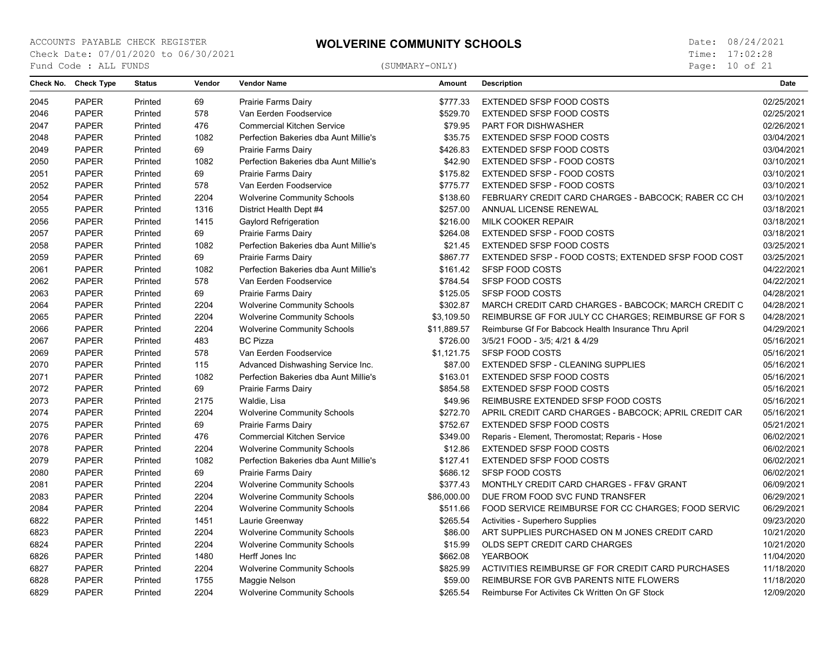Page: 10 of 21

| Check No. | <b>Check Type</b> | <b>Status</b> | Vendor | <b>Vendor Name</b>                    | <b>Amount</b> | <b>Description</b>                                    | <b>Date</b> |
|-----------|-------------------|---------------|--------|---------------------------------------|---------------|-------------------------------------------------------|-------------|
| 2045      | <b>PAPER</b>      | Printed       | 69     | Prairie Farms Dairy                   | \$777.33      | EXTENDED SFSP FOOD COSTS                              | 02/25/2021  |
| 2046      | <b>PAPER</b>      | Printed       | 578    | Van Eerden Foodservice                | \$529.70      | EXTENDED SFSP FOOD COSTS                              | 02/25/2021  |
| 2047      | <b>PAPER</b>      | Printed       | 476    | <b>Commercial Kitchen Service</b>     | \$79.95       | <b>PART FOR DISHWASHER</b>                            | 02/26/2021  |
| 2048      | <b>PAPER</b>      | Printed       | 1082   | Perfection Bakeries dba Aunt Millie's | \$35.75       | EXTENDED SFSP FOOD COSTS                              | 03/04/2021  |
| 2049      | <b>PAPER</b>      | Printed       | 69     | Prairie Farms Dairy                   | \$426.83      | EXTENDED SFSP FOOD COSTS                              | 03/04/2021  |
| 2050      | <b>PAPER</b>      | Printed       | 1082   | Perfection Bakeries dba Aunt Millie's | \$42.90       | EXTENDED SFSP - FOOD COSTS                            | 03/10/2021  |
| 2051      | <b>PAPER</b>      | Printed       | 69     | Prairie Farms Dairy                   | \$175.82      | EXTENDED SFSP - FOOD COSTS                            | 03/10/2021  |
| 2052      | <b>PAPER</b>      | Printed       | 578    | Van Eerden Foodservice                | \$775.77      | EXTENDED SFSP - FOOD COSTS                            | 03/10/2021  |
| 2054      | <b>PAPER</b>      | Printed       | 2204   | <b>Wolverine Community Schools</b>    | \$138.60      | FEBRUARY CREDIT CARD CHARGES - BABCOCK: RABER CC CH   | 03/10/2021  |
| 2055      | <b>PAPER</b>      | Printed       | 1316   | District Health Dept #4               | \$257.00      | ANNUAL LICENSE RENEWAL                                | 03/18/2021  |
| 2056      | <b>PAPER</b>      | Printed       | 1415   | Gaylord Refrigeration                 | \$216.00      | MILK COOKER REPAIR                                    | 03/18/2021  |
| 2057      | <b>PAPER</b>      | Printed       | 69     | Prairie Farms Dairy                   | \$264.08      | EXTENDED SFSP - FOOD COSTS                            | 03/18/2021  |
| 2058      | <b>PAPER</b>      | Printed       | 1082   | Perfection Bakeries dba Aunt Millie's | \$21.45       | EXTENDED SFSP FOOD COSTS                              | 03/25/2021  |
| 2059      | <b>PAPER</b>      | Printed       | 69     | Prairie Farms Dairy                   | \$867.77      | EXTENDED SFSP - FOOD COSTS; EXTENDED SFSP FOOD COST   | 03/25/2021  |
| 2061      | <b>PAPER</b>      | Printed       | 1082   | Perfection Bakeries dba Aunt Millie's | \$161.42      | <b>SFSP FOOD COSTS</b>                                | 04/22/2021  |
| 2062      | <b>PAPER</b>      | Printed       | 578    | Van Eerden Foodservice                | \$784.54      | <b>SFSP FOOD COSTS</b>                                | 04/22/2021  |
| 2063      | <b>PAPER</b>      | Printed       | 69     | Prairie Farms Dairy                   | \$125.05      | <b>SFSP FOOD COSTS</b>                                | 04/28/2021  |
| 2064      | <b>PAPER</b>      | Printed       | 2204   | <b>Wolverine Community Schools</b>    | \$302.87      | MARCH CREDIT CARD CHARGES - BABCOCK; MARCH CREDIT C   | 04/28/2021  |
| 2065      | <b>PAPER</b>      | Printed       | 2204   | <b>Wolverine Community Schools</b>    | \$3,109.50    | REIMBURSE GF FOR JULY CC CHARGES; REIMBURSE GF FOR S  | 04/28/2021  |
| 2066      | <b>PAPER</b>      | Printed       | 2204   | <b>Wolverine Community Schools</b>    | \$11,889.57   | Reimburse Gf For Babcock Health Insurance Thru April  | 04/29/2021  |
| 2067      | <b>PAPER</b>      | Printed       | 483    | <b>BC Pizza</b>                       | \$726.00      | 3/5/21 FOOD - 3/5; 4/21 & 4/29                        | 05/16/2021  |
| 2069      | <b>PAPER</b>      | Printed       | 578    | Van Eerden Foodservice                | \$1,121.75    | <b>SFSP FOOD COSTS</b>                                | 05/16/2021  |
| 2070      | <b>PAPER</b>      | Printed       | 115    | Advanced Dishwashing Service Inc.     | \$87.00       | EXTENDED SFSP - CLEANING SUPPLIES                     | 05/16/2021  |
| 2071      | <b>PAPER</b>      | Printed       | 1082   | Perfection Bakeries dba Aunt Millie's | \$163.01      | EXTENDED SFSP FOOD COSTS                              | 05/16/2021  |
| 2072      | <b>PAPER</b>      | Printed       | 69     | Prairie Farms Dairy                   | \$854.58      | EXTENDED SFSP FOOD COSTS                              | 05/16/2021  |
| 2073      | <b>PAPER</b>      | Printed       | 2175   | Waldie, Lisa                          | \$49.96       | REIMBUSRE EXTENDED SFSP FOOD COSTS                    | 05/16/2021  |
| 2074      | <b>PAPER</b>      | Printed       | 2204   | <b>Wolverine Community Schools</b>    | \$272.70      | APRIL CREDIT CARD CHARGES - BABCOCK; APRIL CREDIT CAR | 05/16/2021  |
| 2075      | <b>PAPER</b>      | Printed       | 69     | Prairie Farms Dairy                   | \$752.67      | <b>EXTENDED SFSP FOOD COSTS</b>                       | 05/21/2021  |
| 2076      | <b>PAPER</b>      | Printed       | 476    | <b>Commercial Kitchen Service</b>     | \$349.00      | Reparis - Element, Theromostat; Reparis - Hose        | 06/02/2021  |
| 2078      | <b>PAPER</b>      | Printed       | 2204   | <b>Wolverine Community Schools</b>    | \$12.86       | EXTENDED SFSP FOOD COSTS                              | 06/02/2021  |
| 2079      | <b>PAPER</b>      | Printed       | 1082   | Perfection Bakeries dba Aunt Millie's | \$127.41      | EXTENDED SFSP FOOD COSTS                              | 06/02/2021  |
| 2080      | <b>PAPER</b>      | Printed       | 69     | Prairie Farms Dairy                   | \$686.12      | <b>SFSP FOOD COSTS</b>                                | 06/02/2021  |
| 2081      | <b>PAPER</b>      | Printed       | 2204   | <b>Wolverine Community Schools</b>    | \$377.43      | MONTHLY CREDIT CARD CHARGES - FF&V GRANT              | 06/09/2021  |
| 2083      | <b>PAPER</b>      | Printed       | 2204   | <b>Wolverine Community Schools</b>    | \$86,000.00   | DUE FROM FOOD SVC FUND TRANSFER                       | 06/29/2021  |
| 2084      | <b>PAPER</b>      | Printed       | 2204   | <b>Wolverine Community Schools</b>    | \$511.66      | FOOD SERVICE REIMBURSE FOR CC CHARGES: FOOD SERVIC    | 06/29/2021  |
| 6822      | <b>PAPER</b>      | Printed       | 1451   | Laurie Greenway                       | \$265.54      | Activities - Superhero Supplies                       | 09/23/2020  |
| 6823      | <b>PAPER</b>      | Printed       | 2204   | <b>Wolverine Community Schools</b>    | \$86.00       | ART SUPPLIES PURCHASED ON M JONES CREDIT CARD         | 10/21/2020  |
| 6824      | <b>PAPER</b>      | Printed       | 2204   | <b>Wolverine Community Schools</b>    | \$15.99       | OLDS SEPT CREDIT CARD CHARGES                         | 10/21/2020  |
| 6826      | <b>PAPER</b>      | Printed       | 1480   | Herff Jones Inc                       | \$662.08      | <b>YEARBOOK</b>                                       | 11/04/2020  |
| 6827      | <b>PAPER</b>      | Printed       | 2204   | <b>Wolverine Community Schools</b>    | \$825.99      | ACTIVITIES REIMBURSE GF FOR CREDIT CARD PURCHASES     | 11/18/2020  |
| 6828      | <b>PAPER</b>      | Printed       | 1755   | Maggie Nelson                         | \$59.00       | REIMBURSE FOR GVB PARENTS NITE FLOWERS                | 11/18/2020  |
| 6829      | <b>PAPER</b>      | Printed       | 2204   | <b>Wolverine Community Schools</b>    | \$265.54      | Reimburse For Activites Ck Written On GF Stock        | 12/09/2020  |
|           |                   |               |        |                                       |               |                                                       |             |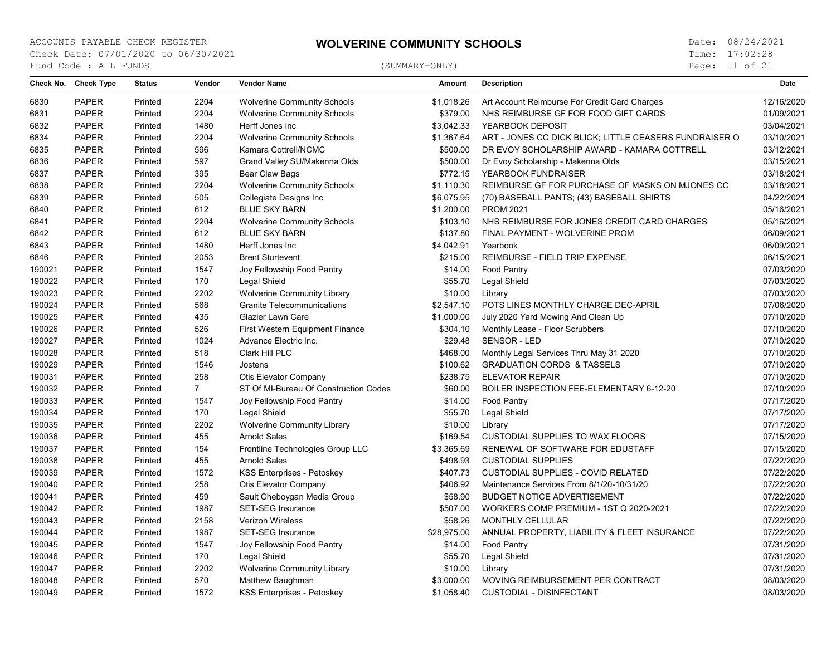Page: 11 of 21

| Check No. | <b>Check Type</b> | <b>Status</b> | Vendor         | <b>Vendor Name</b>                     | <b>Amount</b> | <b>Description</b>                                     | <b>Date</b> |
|-----------|-------------------|---------------|----------------|----------------------------------------|---------------|--------------------------------------------------------|-------------|
| 6830      | <b>PAPER</b>      | Printed       | 2204           | <b>Wolverine Community Schools</b>     | \$1,018.26    | Art Account Reimburse For Credit Card Charges          | 12/16/2020  |
| 6831      | <b>PAPER</b>      | Printed       | 2204           | <b>Wolverine Community Schools</b>     | \$379.00      | NHS REIMBURSE GF FOR FOOD GIFT CARDS                   | 01/09/2021  |
| 6832      | <b>PAPER</b>      | Printed       | 1480           | Herff Jones Inc                        | \$3,042.33    | YEARBOOK DEPOSIT                                       | 03/04/2021  |
| 6834      | <b>PAPER</b>      | Printed       | 2204           | <b>Wolverine Community Schools</b>     | \$1,367.64    | ART - JONES CC DICK BLICK; LITTLE CEASERS FUNDRAISER O | 03/10/2021  |
| 6835      | <b>PAPER</b>      | Printed       | 596            | Kamara Cottrell/NCMC                   | \$500.00      | DR EVOY SCHOLARSHIP AWARD - KAMARA COTTRELL            | 03/12/2021  |
| 6836      | <b>PAPER</b>      | Printed       | 597            | Grand Valley SU/Makenna Olds           | \$500.00      | Dr Evoy Scholarship - Makenna Olds                     | 03/15/2021  |
| 6837      | <b>PAPER</b>      | Printed       | 395            | Bear Claw Bags                         | \$772.15      | YEARBOOK FUNDRAISER                                    | 03/18/2021  |
| 6838      | <b>PAPER</b>      | Printed       | 2204           | <b>Wolverine Community Schools</b>     | \$1,110.30    | REIMBURSE GF FOR PURCHASE OF MASKS ON MJONES CC        | 03/18/2021  |
| 6839      | <b>PAPER</b>      | Printed       | 505            | Collegiate Designs Inc                 | \$6,075.95    | (70) BASEBALL PANTS; (43) BASEBALL SHIRTS              | 04/22/2021  |
| 6840      | <b>PAPER</b>      | Printed       | 612            | <b>BLUE SKY BARN</b>                   | \$1,200.00    | <b>PROM 2021</b>                                       | 05/16/2021  |
| 6841      | <b>PAPER</b>      | Printed       | 2204           | <b>Wolverine Community Schools</b>     | \$103.10      | NHS REIMBURSE FOR JONES CREDIT CARD CHARGES            | 05/16/2021  |
| 6842      | <b>PAPER</b>      | Printed       | 612            | <b>BLUE SKY BARN</b>                   | \$137.80      | FINAL PAYMENT - WOLVERINE PROM                         | 06/09/2021  |
| 6843      | <b>PAPER</b>      | Printed       | 1480           | Herff Jones Inc                        | \$4,042.91    | Yearbook                                               | 06/09/2021  |
| 6846      | <b>PAPER</b>      | Printed       | 2053           | <b>Brent Sturtevent</b>                | \$215.00      | REIMBURSE - FIELD TRIP EXPENSE                         | 06/15/2021  |
| 190021    | <b>PAPER</b>      | Printed       | 1547           | Joy Fellowship Food Pantry             | \$14.00       | Food Pantry                                            | 07/03/2020  |
| 190022    | <b>PAPER</b>      | Printed       | 170            | Legal Shield                           | \$55.70       | Legal Shield                                           | 07/03/2020  |
| 190023    | <b>PAPER</b>      | Printed       | 2202           | <b>Wolverine Community Library</b>     | \$10.00       | Library                                                | 07/03/2020  |
| 190024    | <b>PAPER</b>      | Printed       | 568            | Granite Telecommunications             | \$2,547.10    | POTS LINES MONTHLY CHARGE DEC-APRIL                    | 07/06/2020  |
| 190025    | <b>PAPER</b>      | Printed       | 435            | Glazier Lawn Care                      | \$1,000.00    | July 2020 Yard Mowing And Clean Up                     | 07/10/2020  |
| 190026    | <b>PAPER</b>      | Printed       | 526            | <b>First Western Equipment Finance</b> | \$304.10      | Monthly Lease - Floor Scrubbers                        | 07/10/2020  |
| 190027    | <b>PAPER</b>      | Printed       | 1024           | Advance Electric Inc.                  | \$29.48       | SENSOR - LED                                           | 07/10/2020  |
| 190028    | <b>PAPER</b>      | Printed       | 518            | Clark Hill PLC                         | \$468.00      | Monthly Legal Services Thru May 31 2020                | 07/10/2020  |
| 190029    | <b>PAPER</b>      | Printed       | 1546           | Jostens                                | \$100.62      | <b>GRADUATION CORDS &amp; TASSELS</b>                  | 07/10/2020  |
| 190031    | <b>PAPER</b>      | Printed       | 258            | Otis Elevator Company                  | \$238.75      | <b>ELEVATOR REPAIR</b>                                 | 07/10/2020  |
| 190032    | <b>PAPER</b>      | Printed       | $\overline{7}$ | ST Of MI-Bureau Of Construction Codes  | \$60.00       | BOILER INSPECTION FEE-ELEMENTARY 6-12-20               | 07/10/2020  |
| 190033    | <b>PAPER</b>      | Printed       | 1547           | Joy Fellowship Food Pantry             | \$14.00       | Food Pantry                                            | 07/17/2020  |
| 190034    | <b>PAPER</b>      | Printed       | 170            | Legal Shield                           | \$55.70       | Legal Shield                                           | 07/17/2020  |
| 190035    | <b>PAPER</b>      | Printed       | 2202           | <b>Wolverine Community Library</b>     | \$10.00       | Library                                                | 07/17/2020  |
| 190036    | <b>PAPER</b>      | Printed       | 455            | <b>Arnold Sales</b>                    | \$169.54      | <b>CUSTODIAL SUPPLIES TO WAX FLOORS</b>                | 07/15/2020  |
| 190037    | <b>PAPER</b>      | Printed       | 154            | Frontline Technologies Group LLC       | \$3,365.69    | RENEWAL OF SOFTWARE FOR EDUSTAFF                       | 07/15/2020  |
| 190038    | <b>PAPER</b>      | Printed       | 455            | <b>Arnold Sales</b>                    | \$498.93      | <b>CUSTODIAL SUPPLIES</b>                              | 07/22/2020  |
| 190039    | <b>PAPER</b>      | Printed       | 1572           | KSS Enterprises - Petoskey             | \$407.73      | <b>CUSTODIAL SUPPLIES - COVID RELATED</b>              | 07/22/2020  |
| 190040    | <b>PAPER</b>      | Printed       | 258            | Otis Elevator Company                  | \$406.92      | Maintenance Services From 8/1/20-10/31/20              | 07/22/2020  |
| 190041    | <b>PAPER</b>      | Printed       | 459            | Sault Cheboygan Media Group            | \$58.90       | <b>BUDGET NOTICE ADVERTISEMENT</b>                     | 07/22/2020  |
| 190042    | <b>PAPER</b>      | Printed       | 1987           | <b>SET-SEG Insurance</b>               | \$507.00      | WORKERS COMP PREMIUM - 1ST Q 2020-2021                 | 07/22/2020  |
| 190043    | <b>PAPER</b>      | Printed       | 2158           | Verizon Wireless                       | \$58.26       | <b>MONTHLY CELLULAR</b>                                | 07/22/2020  |
| 190044    | <b>PAPER</b>      | Printed       | 1987           | <b>SET-SEG Insurance</b>               | \$28,975.00   | ANNUAL PROPERTY, LIABILITY & FLEET INSURANCE           | 07/22/2020  |
| 190045    | <b>PAPER</b>      | Printed       | 1547           | Joy Fellowship Food Pantry             | \$14.00       | <b>Food Pantry</b>                                     | 07/31/2020  |
| 190046    | <b>PAPER</b>      | Printed       | 170            | Legal Shield                           | \$55.70       | Legal Shield                                           | 07/31/2020  |
| 190047    | <b>PAPER</b>      | Printed       | 2202           | <b>Wolverine Community Library</b>     | \$10.00       | Library                                                | 07/31/2020  |
| 190048    | <b>PAPER</b>      | Printed       | 570            | Matthew Baughman                       | \$3,000.00    | MOVING REIMBURSEMENT PER CONTRACT                      | 08/03/2020  |
| 190049    | <b>PAPER</b>      | Printed       | 1572           | KSS Enterprises - Petoskey             | \$1,058.40    | <b>CUSTODIAL - DISINFECTANT</b>                        | 08/03/2020  |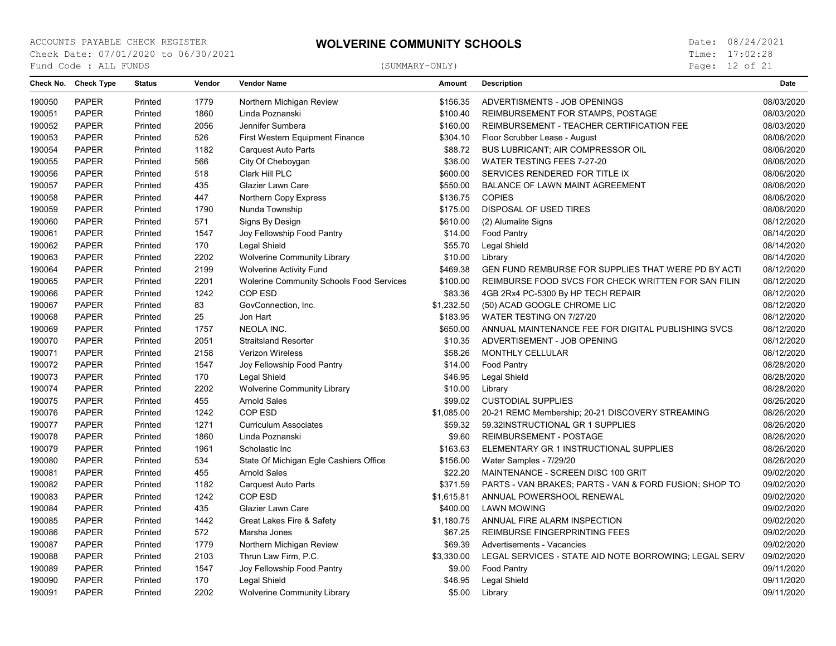Page: 12 of 21

|        | Check No. Check Type | <b>Status</b> | Vendor | <b>Vendor Name</b>                              | <b>Amount</b> | <b>Description</b>                                     | <b>Date</b> |
|--------|----------------------|---------------|--------|-------------------------------------------------|---------------|--------------------------------------------------------|-------------|
| 190050 | <b>PAPER</b>         | Printed       | 1779   | Northern Michigan Review                        | \$156.35      | ADVERTISMENTS - JOB OPENINGS                           | 08/03/2020  |
| 190051 | <b>PAPER</b>         | Printed       | 1860   | Linda Poznanski                                 | \$100.40      | REIMBURSEMENT FOR STAMPS, POSTAGE                      | 08/03/2020  |
| 190052 | <b>PAPER</b>         | Printed       | 2056   | Jennifer Sumbera                                | \$160.00      | REIMBURSEMENT - TEACHER CERTIFICATION FEE              | 08/03/2020  |
| 190053 | <b>PAPER</b>         | Printed       | 526    | First Western Equipment Finance                 | \$304.10      | Floor Scrubber Lease - August                          | 08/06/2020  |
| 190054 | <b>PAPER</b>         | Printed       | 1182   | Carquest Auto Parts                             | \$88.72       | BUS LUBRICANT; AIR COMPRESSOR OIL                      | 08/06/2020  |
| 190055 | <b>PAPER</b>         | Printed       | 566    | City Of Cheboygan                               | \$36.00       | WATER TESTING FEES 7-27-20                             | 08/06/2020  |
| 190056 | <b>PAPER</b>         | Printed       | 518    | Clark Hill PLC                                  | \$600.00      | SERVICES RENDERED FOR TITLE IX                         | 08/06/2020  |
| 190057 | <b>PAPER</b>         | Printed       | 435    | Glazier Lawn Care                               | \$550.00      | BALANCE OF LAWN MAINT AGREEMENT                        | 08/06/2020  |
| 190058 | <b>PAPER</b>         | Printed       | 447    | Northern Copy Express                           | \$136.75      | <b>COPIES</b>                                          | 08/06/2020  |
| 190059 | <b>PAPER</b>         | Printed       | 1790   | Nunda Township                                  | \$175.00      | DISPOSAL OF USED TIRES                                 | 08/06/2020  |
| 190060 | <b>PAPER</b>         | Printed       | 571    | Signs By Design                                 | \$610.00      | (2) Alumalite Signs                                    | 08/12/2020  |
| 190061 | <b>PAPER</b>         | Printed       | 1547   | Joy Fellowship Food Pantry                      | \$14.00       | Food Pantry                                            | 08/14/2020  |
| 190062 | <b>PAPER</b>         | Printed       | 170    | Legal Shield                                    | \$55.70       | Legal Shield                                           | 08/14/2020  |
| 190063 | <b>PAPER</b>         | Printed       | 2202   | <b>Wolverine Community Library</b>              | \$10.00       | Library                                                | 08/14/2020  |
| 190064 | <b>PAPER</b>         | Printed       | 2199   | <b>Wolverine Activity Fund</b>                  | \$469.38      | GEN FUND REMBURSE FOR SUPPLIES THAT WERE PD BY ACTI    | 08/12/2020  |
| 190065 | <b>PAPER</b>         | Printed       | 2201   | <b>Wolerine Community Schools Food Services</b> | \$100.00      | REIMBURSE FOOD SVCS FOR CHECK WRITTEN FOR SAN FILIN    | 08/12/2020  |
| 190066 | <b>PAPER</b>         | Printed       | 1242   | COP ESD                                         | \$83.36       | 4GB 2Rx4 PC-5300 By HP TECH REPAIR                     | 08/12/2020  |
| 190067 | <b>PAPER</b>         | Printed       | 83     | GovConnection, Inc.                             | \$1,232.50    | (50) ACAD GOOGLE CHROME LIC                            | 08/12/2020  |
| 190068 | <b>PAPER</b>         | Printed       | 25     | Jon Hart                                        | \$183.95      | WATER TESTING ON 7/27/20                               | 08/12/2020  |
| 190069 | <b>PAPER</b>         | Printed       | 1757   | <b>NEOLA INC.</b>                               | \$650.00      | ANNUAL MAINTENANCE FEE FOR DIGITAL PUBLISHING SVCS     | 08/12/2020  |
| 190070 | <b>PAPER</b>         | Printed       | 2051   | <b>Straitsland Resorter</b>                     | \$10.35       | ADVERTISEMENT - JOB OPENING                            | 08/12/2020  |
| 190071 | <b>PAPER</b>         | Printed       | 2158   | <b>Verizon Wireless</b>                         | \$58.26       | MONTHLY CELLULAR                                       | 08/12/2020  |
| 190072 | PAPER                | Printed       | 1547   | Joy Fellowship Food Pantry                      | \$14.00       | Food Pantry                                            | 08/28/2020  |
| 190073 | <b>PAPER</b>         | Printed       | 170    | Legal Shield                                    | \$46.95       | Legal Shield                                           | 08/28/2020  |
| 190074 | <b>PAPER</b>         | Printed       | 2202   | <b>Wolverine Community Library</b>              | \$10.00       | Library                                                | 08/28/2020  |
| 190075 | <b>PAPER</b>         | Printed       | 455    | Arnold Sales                                    | \$99.02       | <b>CUSTODIAL SUPPLIES</b>                              | 08/26/2020  |
| 190076 | <b>PAPER</b>         | Printed       | 1242   | COP ESD                                         | \$1,085.00    | 20-21 REMC Membership; 20-21 DISCOVERY STREAMING       | 08/26/2020  |
| 190077 | <b>PAPER</b>         | Printed       | 1271   | <b>Curriculum Associates</b>                    | \$59.32       | 59.32INSTRUCTIONAL GR 1 SUPPLIES                       | 08/26/2020  |
| 190078 | <b>PAPER</b>         | Printed       | 1860   | Linda Poznanski                                 | \$9.60        | REIMBURSEMENT - POSTAGE                                | 08/26/2020  |
| 190079 | <b>PAPER</b>         | Printed       | 1961   | Scholastic Inc                                  | \$163.63      | ELEMENTARY GR 1 INSTRUCTIONAL SUPPLIES                 | 08/26/2020  |
| 190080 | <b>PAPER</b>         | Printed       | 534    | State Of Michigan Egle Cashiers Office          | \$156.00      | Water Samples - 7/29/20                                | 08/26/2020  |
| 190081 | <b>PAPER</b>         | Printed       | 455    | <b>Arnold Sales</b>                             | \$22.20       | MAINTENANCE - SCREEN DISC 100 GRIT                     | 09/02/2020  |
| 190082 | <b>PAPER</b>         | Printed       | 1182   | <b>Carquest Auto Parts</b>                      | \$371.59      | PARTS - VAN BRAKES; PARTS - VAN & FORD FUSION; SHOP TO | 09/02/2020  |
| 190083 | <b>PAPER</b>         | Printed       | 1242   | COP ESD                                         | \$1,615.81    | ANNUAL POWERSHOOL RENEWAL                              | 09/02/2020  |
| 190084 | <b>PAPER</b>         | Printed       | 435    | Glazier Lawn Care                               | \$400.00      | <b>LAWN MOWING</b>                                     | 09/02/2020  |
| 190085 | <b>PAPER</b>         | Printed       | 1442   | Great Lakes Fire & Safety                       | \$1,180.75    | ANNUAL FIRE ALARM INSPECTION                           | 09/02/2020  |
| 190086 | <b>PAPER</b>         | Printed       | 572    | Marsha Jones                                    | \$67.25       | <b>REIMBURSE FINGERPRINTING FEES</b>                   | 09/02/2020  |
| 190087 | <b>PAPER</b>         | Printed       | 1779   | Northern Michigan Review                        | \$69.39       | Advertisements - Vacancies                             | 09/02/2020  |
| 190088 | <b>PAPER</b>         | Printed       | 2103   | Thrun Law Firm, P.C.                            | \$3,330.00    | LEGAL SERVICES - STATE AID NOTE BORROWING; LEGAL SERV  | 09/02/2020  |
| 190089 | <b>PAPER</b>         | Printed       | 1547   | Joy Fellowship Food Pantry                      | \$9.00        | Food Pantry                                            | 09/11/2020  |
| 190090 | <b>PAPER</b>         | Printed       | 170    | Legal Shield                                    | \$46.95       | Legal Shield                                           | 09/11/2020  |
| 190091 | <b>PAPER</b>         | Printed       | 2202   | <b>Wolverine Community Library</b>              | \$5.00        | Library                                                | 09/11/2020  |
|        |                      |               |        |                                                 |               |                                                        |             |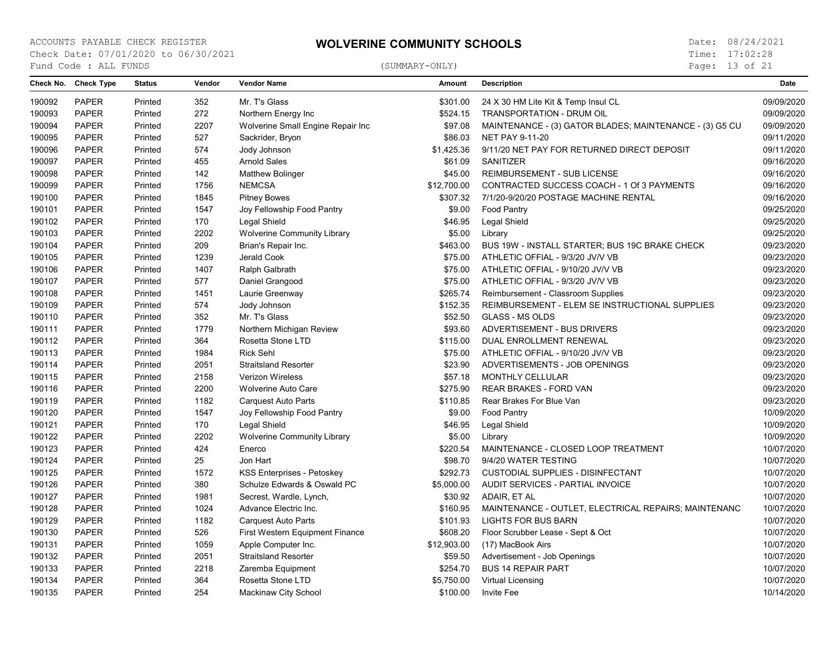Page: 13 of 21

|        | Check No. Check Type | <b>Status</b> | Vendor | <b>Vendor Name</b>                 | Amount      | <b>Description</b>                                      | <b>Date</b> |
|--------|----------------------|---------------|--------|------------------------------------|-------------|---------------------------------------------------------|-------------|
| 190092 | <b>PAPER</b>         | Printed       | 352    | Mr. T's Glass                      | \$301.00    | 24 X 30 HM Lite Kit & Temp Insul CL                     | 09/09/2020  |
| 190093 | <b>PAPER</b>         | Printed       | 272    | Northern Energy Inc                | \$524.15    | TRANSPORTATION - DRUM OIL                               | 09/09/2020  |
| 190094 | <b>PAPER</b>         | Printed       | 2207   | Wolverine Small Engine Repair Inc  | \$97.08     | MAINTENANCE - (3) GATOR BLADES; MAINTENANCE - (3) G5 CU | 09/09/2020  |
| 190095 | <b>PAPER</b>         | Printed       | 527    | Sackrider, Bryon                   | \$86.03     | <b>NET PAY 9-11-20</b>                                  | 09/11/2020  |
| 190096 | <b>PAPER</b>         | Printed       | 574    | Jody Johnson                       | \$1,425.36  | 9/11/20 NET PAY FOR RETURNED DIRECT DEPOSIT             | 09/11/2020  |
| 190097 | <b>PAPER</b>         | Printed       | 455    | <b>Arnold Sales</b>                | \$61.09     | SANITIZER                                               | 09/16/2020  |
| 190098 | <b>PAPER</b>         | Printed       | 142    | <b>Matthew Bolinger</b>            | \$45.00     | REIMBURSEMENT - SUB LICENSE                             | 09/16/2020  |
| 190099 | <b>PAPER</b>         | Printed       | 1756   | <b>NEMCSA</b>                      | \$12,700.00 | CONTRACTED SUCCESS COACH - 1 Of 3 PAYMENTS              | 09/16/2020  |
| 190100 | <b>PAPER</b>         | Printed       | 1845   | <b>Pitney Bowes</b>                | \$307.32    | 7/1/20-9/20/20 POSTAGE MACHINE RENTAL                   | 09/16/2020  |
| 190101 | <b>PAPER</b>         | Printed       | 1547   | Joy Fellowship Food Pantry         | \$9.00      | Food Pantry                                             | 09/25/2020  |
| 190102 | <b>PAPER</b>         | Printed       | 170    | Legal Shield                       | \$46.95     | Legal Shield                                            | 09/25/2020  |
| 190103 | <b>PAPER</b>         | Printed       | 2202   | <b>Wolverine Community Library</b> | \$5.00      | Library                                                 | 09/25/2020  |
| 190104 | <b>PAPER</b>         | Printed       | 209    | Brian's Repair Inc.                | \$463.00    | BUS 19W - INSTALL STARTER; BUS 19C BRAKE CHECK          | 09/23/2020  |
| 190105 | <b>PAPER</b>         | Printed       | 1239   | Jerald Cook                        | \$75.00     | ATHLETIC OFFIAL - 9/3/20 JV/V VB                        | 09/23/2020  |
| 190106 | <b>PAPER</b>         | Printed       | 1407   | Ralph Galbrath                     | \$75.00     | ATHLETIC OFFIAL - 9/10/20 JV/V VB                       | 09/23/2020  |
| 190107 | <b>PAPER</b>         | Printed       | 577    | Daniel Grangood                    | \$75.00     | ATHLETIC OFFIAL - 9/3/20 JV/V VB                        | 09/23/2020  |
| 190108 | <b>PAPER</b>         | Printed       | 1451   | Laurie Greenway                    | \$265.74    | Reimbursement - Classroom Supplies                      | 09/23/2020  |
| 190109 | <b>PAPER</b>         | Printed       | 574    | Jody Johnson                       | \$152.35    | REIMBURSEMENT - ELEM SE INSTRUCTIONAL SUPPLIES          | 09/23/2020  |
| 190110 | <b>PAPER</b>         | Printed       | 352    | Mr. T's Glass                      | \$52.50     | <b>GLASS - MS OLDS</b>                                  | 09/23/2020  |
| 190111 | <b>PAPER</b>         | Printed       | 1779   | Northern Michigan Review           | \$93.60     | ADVERTISEMENT - BUS DRIVERS                             | 09/23/2020  |
| 190112 | <b>PAPER</b>         | Printed       | 364    | Rosetta Stone LTD                  | \$115.00    | DUAL ENROLLMENT RENEWAL                                 | 09/23/2020  |
| 190113 | <b>PAPER</b>         | Printed       | 1984   | <b>Rick Sehl</b>                   | \$75.00     | ATHLETIC OFFIAL - 9/10/20 JV/V VB                       | 09/23/2020  |
| 190114 | <b>PAPER</b>         | Printed       | 2051   | <b>Straitsland Resorter</b>        | \$23.90     | ADVERTISEMENTS - JOB OPENINGS                           | 09/23/2020  |
| 190115 | <b>PAPER</b>         | Printed       | 2158   | Verizon Wireless                   | \$57.18     | MONTHLY CELLULAR                                        | 09/23/2020  |
| 190116 | <b>PAPER</b>         | Printed       | 2200   | <b>Wolverine Auto Care</b>         | \$275.90    | REAR BRAKES - FORD VAN                                  | 09/23/2020  |
| 190119 | <b>PAPER</b>         | Printed       | 1182   | <b>Carquest Auto Parts</b>         | \$110.85    | Rear Brakes For Blue Van                                | 09/23/2020  |
| 190120 | <b>PAPER</b>         | Printed       | 1547   | Joy Fellowship Food Pantry         | \$9.00      | <b>Food Pantry</b>                                      | 10/09/2020  |
| 190121 | <b>PAPER</b>         | Printed       | 170    | Legal Shield                       | \$46.95     | Legal Shield                                            | 10/09/2020  |
| 190122 | <b>PAPER</b>         | Printed       | 2202   | <b>Wolverine Community Library</b> | \$5.00      | Library                                                 | 10/09/2020  |
| 190123 | <b>PAPER</b>         | Printed       | 424    | Enerco                             | \$220.54    | MAINTENANCE - CLOSED LOOP TREATMENT                     | 10/07/2020  |
| 190124 | <b>PAPER</b>         | Printed       | 25     | Jon Hart                           | \$98.70     | 9/4/20 WATER TESTING                                    | 10/07/2020  |
| 190125 | <b>PAPER</b>         | Printed       | 1572   | <b>KSS Enterprises - Petoskey</b>  | \$292.73    | <b>CUSTODIAL SUPPLIES - DISINFECTANT</b>                | 10/07/2020  |
| 190126 | <b>PAPER</b>         | Printed       | 380    | Schulze Edwards & Oswald PC        | \$5,000.00  | AUDIT SERVICES - PARTIAL INVOICE                        | 10/07/2020  |
| 190127 | <b>PAPER</b>         | Printed       | 1981   | Secrest, Wardle, Lynch,            | \$30.92     | ADAIR, ET AL                                            | 10/07/2020  |
| 190128 | <b>PAPER</b>         | Printed       | 1024   | Advance Electric Inc.              | \$160.95    | MAINTENANCE - OUTLET, ELECTRICAL REPAIRS; MAINTENANC    | 10/07/2020  |
| 190129 | <b>PAPER</b>         | Printed       | 1182   | <b>Carquest Auto Parts</b>         | \$101.93    | <b>LIGHTS FOR BUS BARN</b>                              | 10/07/2020  |
| 190130 | <b>PAPER</b>         | Printed       | 526    | First Western Equipment Finance    | \$608.20    | Floor Scrubber Lease - Sept & Oct                       | 10/07/2020  |
| 190131 | <b>PAPER</b>         | Printed       | 1059   | Apple Computer Inc.                | \$12,903.00 | (17) MacBook Airs                                       | 10/07/2020  |
| 190132 | <b>PAPER</b>         | Printed       | 2051   | <b>Straitsland Resorter</b>        | \$59.50     | Advertisement - Job Openings                            | 10/07/2020  |
| 190133 | <b>PAPER</b>         | Printed       | 2218   | Zaremba Equipment                  | \$254.70    | <b>BUS 14 REPAIR PART</b>                               | 10/07/2020  |
| 190134 | <b>PAPER</b>         | Printed       | 364    | Rosetta Stone LTD                  | \$5,750.00  | Virtual Licensing                                       | 10/07/2020  |
| 190135 | <b>PAPER</b>         | Printed       | 254    | Mackinaw City School               | \$100.00    | <b>Invite Fee</b>                                       | 10/14/2020  |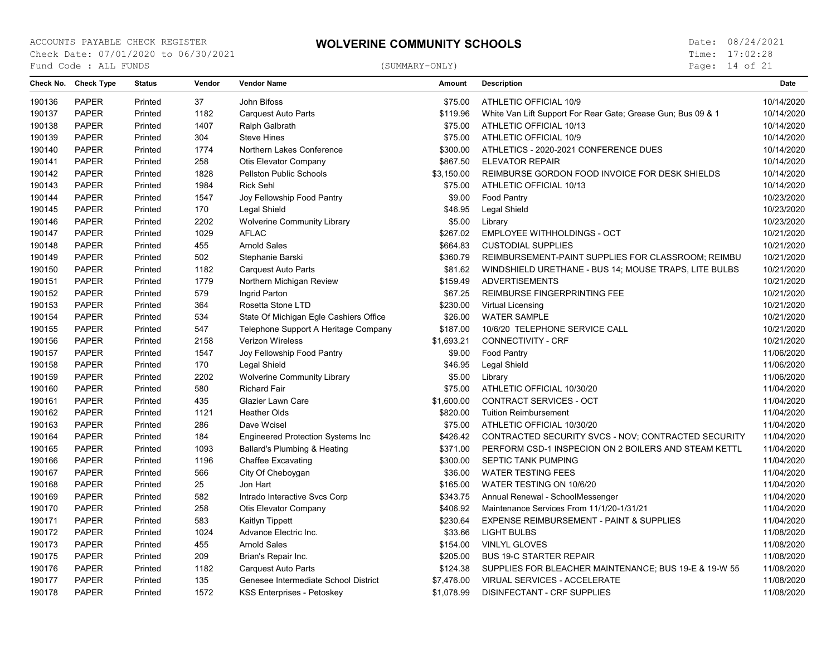Page: 14 of 21

|        | Check No. Check Type | <b>Status</b> | Vendor | <b>Vendor Name</b>                       | <b>Amount</b> | <b>Description</b>                                           | <b>Date</b> |
|--------|----------------------|---------------|--------|------------------------------------------|---------------|--------------------------------------------------------------|-------------|
| 190136 | <b>PAPER</b>         | Printed       | 37     | John Bifoss                              | \$75.00       | ATHLETIC OFFICIAL 10/9                                       | 10/14/2020  |
| 190137 | <b>PAPER</b>         | Printed       | 1182   | <b>Carquest Auto Parts</b>               | \$119.96      | White Van Lift Support For Rear Gate; Grease Gun; Bus 09 & 1 | 10/14/2020  |
| 190138 | <b>PAPER</b>         | Printed       | 1407   | Ralph Galbrath                           | \$75.00       | ATHLETIC OFFICIAL 10/13                                      | 10/14/2020  |
| 190139 | <b>PAPER</b>         | Printed       | 304    | <b>Steve Hines</b>                       | \$75.00       | ATHLETIC OFFICIAL 10/9                                       | 10/14/2020  |
| 190140 | <b>PAPER</b>         | Printed       | 1774   | Northern Lakes Conference                | \$300.00      | ATHLETICS - 2020-2021 CONFERENCE DUES                        | 10/14/2020  |
| 190141 | <b>PAPER</b>         | Printed       | 258    | Otis Elevator Company                    | \$867.50      | <b>ELEVATOR REPAIR</b>                                       | 10/14/2020  |
| 190142 | <b>PAPER</b>         | Printed       | 1828   | <b>Pellston Public Schools</b>           | \$3,150.00    | REIMBURSE GORDON FOOD INVOICE FOR DESK SHIELDS               | 10/14/2020  |
| 190143 | <b>PAPER</b>         | Printed       | 1984   | <b>Rick Sehl</b>                         | \$75.00       | ATHLETIC OFFICIAL 10/13                                      | 10/14/2020  |
| 190144 | <b>PAPER</b>         | Printed       | 1547   | Joy Fellowship Food Pantry               | \$9.00        | Food Pantry                                                  | 10/23/2020  |
| 190145 | <b>PAPER</b>         | Printed       | 170    | Legal Shield                             | \$46.95       | Legal Shield                                                 | 10/23/2020  |
| 190146 | <b>PAPER</b>         | Printed       | 2202   | <b>Wolverine Community Library</b>       | \$5.00        | Library                                                      | 10/23/2020  |
| 190147 | <b>PAPER</b>         | Printed       | 1029   | <b>AFLAC</b>                             | \$267.02      | <b>EMPLOYEE WITHHOLDINGS - OCT</b>                           | 10/21/2020  |
| 190148 | <b>PAPER</b>         | Printed       | 455    | <b>Arnold Sales</b>                      | \$664.83      | <b>CUSTODIAL SUPPLIES</b>                                    | 10/21/2020  |
| 190149 | <b>PAPER</b>         | Printed       | 502    | Stephanie Barski                         | \$360.79      | REIMBURSEMENT-PAINT SUPPLIES FOR CLASSROOM; REIMBU           | 10/21/2020  |
| 190150 | <b>PAPER</b>         | Printed       | 1182   | <b>Carquest Auto Parts</b>               | \$81.62       | WINDSHIELD URETHANE - BUS 14; MOUSE TRAPS, LITE BULBS        | 10/21/2020  |
| 190151 | <b>PAPER</b>         | Printed       | 1779   | Northern Michigan Review                 | \$159.49      | <b>ADVERTISEMENTS</b>                                        | 10/21/2020  |
| 190152 | <b>PAPER</b>         | Printed       | 579    | Ingrid Parton                            | \$67.25       | REIMBURSE FINGERPRINTING FEE                                 | 10/21/2020  |
| 190153 | <b>PAPER</b>         | Printed       | 364    | Rosetta Stone LTD                        | \$230.00      | Virtual Licensing                                            | 10/21/2020  |
| 190154 | <b>PAPER</b>         | Printed       | 534    | State Of Michigan Egle Cashiers Office   | \$26.00       | <b>WATER SAMPLE</b>                                          | 10/21/2020  |
| 190155 | <b>PAPER</b>         | Printed       | 547    | Telephone Support A Heritage Company     | \$187.00      | 10/6/20 TELEPHONE SERVICE CALL                               | 10/21/2020  |
| 190156 | <b>PAPER</b>         | Printed       | 2158   | Verizon Wireless                         | \$1,693.21    | <b>CONNECTIVITY - CRF</b>                                    | 10/21/2020  |
| 190157 | <b>PAPER</b>         | Printed       | 1547   | Joy Fellowship Food Pantry               | \$9.00        | Food Pantry                                                  | 11/06/2020  |
| 190158 | <b>PAPER</b>         | Printed       | 170    | Legal Shield                             | \$46.95       | Legal Shield                                                 | 11/06/2020  |
| 190159 | <b>PAPER</b>         | Printed       | 2202   | <b>Wolverine Community Library</b>       | \$5.00        | Library                                                      | 11/06/2020  |
| 190160 | <b>PAPER</b>         | Printed       | 580    | <b>Richard Fair</b>                      | \$75.00       | ATHLETIC OFFICIAL 10/30/20                                   | 11/04/2020  |
| 190161 | <b>PAPER</b>         | Printed       | 435    | Glazier Lawn Care                        | \$1,600.00    | CONTRACT SERVICES - OCT                                      | 11/04/2020  |
| 190162 | <b>PAPER</b>         | Printed       | 1121   | <b>Heather Olds</b>                      | \$820.00      | <b>Tuition Reimbursement</b>                                 | 11/04/2020  |
| 190163 | <b>PAPER</b>         | Printed       | 286    | Dave Wcisel                              | \$75.00       | ATHLETIC OFFICIAL 10/30/20                                   | 11/04/2020  |
| 190164 | <b>PAPER</b>         | Printed       | 184    | <b>Engineered Protection Systems Inc</b> | \$426.42      | CONTRACTED SECURITY SVCS - NOV: CONTRACTED SECURITY          | 11/04/2020  |
| 190165 | <b>PAPER</b>         | Printed       | 1093   | Ballard's Plumbing & Heating             | \$371.00      | PERFORM CSD-1 INSPECION ON 2 BOILERS AND STEAM KETTL         | 11/04/2020  |
| 190166 | <b>PAPER</b>         | Printed       | 1196   | <b>Chaffee Excavating</b>                | \$300.00      | SEPTIC TANK PUMPING                                          | 11/04/2020  |
| 190167 | <b>PAPER</b>         | Printed       | 566    | City Of Cheboygan                        | \$36.00       | <b>WATER TESTING FEES</b>                                    | 11/04/2020  |
| 190168 | <b>PAPER</b>         | Printed       | 25     | Jon Hart                                 | \$165.00      | WATER TESTING ON 10/6/20                                     | 11/04/2020  |
| 190169 | PAPER                | Printed       | 582    | Intrado Interactive Svcs Corp            | \$343.75      | Annual Renewal - SchoolMessenger                             | 11/04/2020  |
| 190170 | <b>PAPER</b>         | Printed       | 258    | Otis Elevator Company                    | \$406.92      | Maintenance Services From 11/1/20-1/31/21                    | 11/04/2020  |
| 190171 | <b>PAPER</b>         | Printed       | 583    | Kaitlyn Tippett                          | \$230.64      | EXPENSE REIMBURSEMENT - PAINT & SUPPLIES                     | 11/04/2020  |
| 190172 | <b>PAPER</b>         | Printed       | 1024   | Advance Electric Inc.                    | \$33.66       | <b>LIGHT BULBS</b>                                           | 11/08/2020  |
| 190173 | <b>PAPER</b>         | Printed       | 455    | <b>Arnold Sales</b>                      | \$154.00      | <b>VINLYL GLOVES</b>                                         | 11/08/2020  |
| 190175 | <b>PAPER</b>         | Printed       | 209    | Brian's Repair Inc.                      | \$205.00      | <b>BUS 19-C STARTER REPAIR</b>                               | 11/08/2020  |
| 190176 | <b>PAPER</b>         | Printed       | 1182   | <b>Carquest Auto Parts</b>               | \$124.38      | SUPPLIES FOR BLEACHER MAINTENANCE; BUS 19-E & 19-W 55        | 11/08/2020  |
| 190177 | <b>PAPER</b>         | Printed       | 135    | Genesee Intermediate School District     | \$7,476.00    | VIRUAL SERVICES - ACCELERATE                                 | 11/08/2020  |
| 190178 | <b>PAPER</b>         | Printed       | 1572   | KSS Enterprises - Petoskey               | \$1,078.99    | <b>DISINFECTANT - CRF SUPPLIES</b>                           | 11/08/2020  |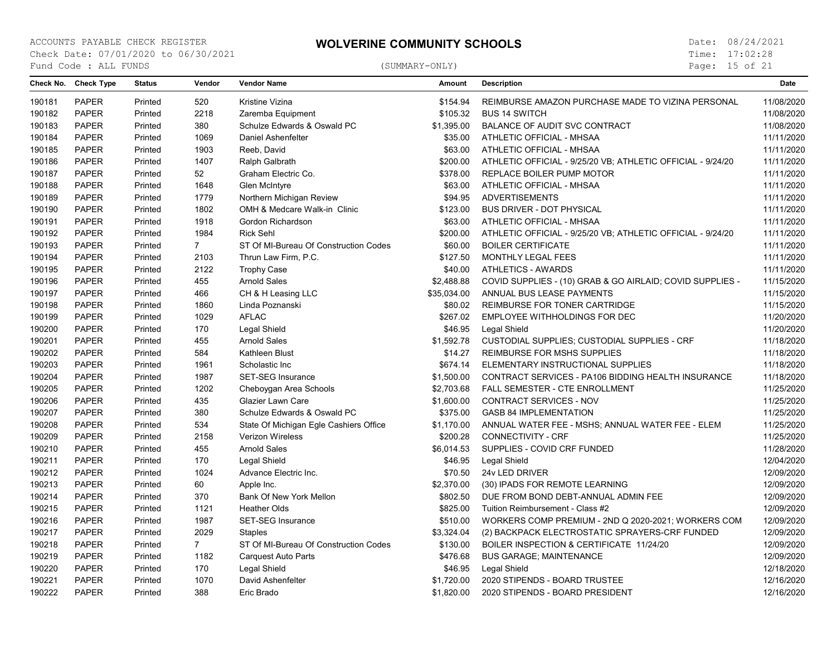Page: 15 of 21

| Check No. | <b>Check Type</b> | <b>Status</b> | Vendor      | <b>Vendor Name</b>                     | <b>Amount</b> | <b>Description</b>                                          | Date       |
|-----------|-------------------|---------------|-------------|----------------------------------------|---------------|-------------------------------------------------------------|------------|
| 190181    | <b>PAPER</b>      | Printed       | 520         | Kristine Vizina                        | \$154.94      | REIMBURSE AMAZON PURCHASE MADE TO VIZINA PERSONAL           | 11/08/2020 |
| 190182    | <b>PAPER</b>      | Printed       | 2218        | Zaremba Equipment                      | \$105.32      | <b>BUS 14 SWITCH</b>                                        | 11/08/2020 |
| 190183    | <b>PAPER</b>      | Printed       | 380         | Schulze Edwards & Oswald PC            | \$1,395.00    | BALANCE OF AUDIT SVC CONTRACT                               | 11/08/2020 |
| 190184    | <b>PAPER</b>      | Printed       | 1069        | Daniel Ashenfelter                     | \$35.00       | ATHLETIC OFFICIAL - MHSAA                                   | 11/11/2020 |
| 190185    | <b>PAPER</b>      | Printed       | 1903        | Reeb, David                            | \$63.00       | ATHLETIC OFFICIAL - MHSAA                                   | 11/11/2020 |
| 190186    | <b>PAPER</b>      | Printed       | 1407        | Ralph Galbrath                         | \$200.00      | ATHLETIC OFFICIAL - 9/25/20 VB; ATHLETIC OFFICIAL - 9/24/20 | 11/11/2020 |
| 190187    | <b>PAPER</b>      | Printed       | 52          | Graham Electric Co.                    | \$378.00      | REPLACE BOILER PUMP MOTOR                                   | 11/11/2020 |
| 190188    | <b>PAPER</b>      | Printed       | 1648        | Glen McIntyre                          | \$63.00       | ATHLETIC OFFICIAL - MHSAA                                   | 11/11/2020 |
| 190189    | <b>PAPER</b>      | Printed       | 1779        | Northern Michigan Review               | \$94.95       | <b>ADVERTISEMENTS</b>                                       | 11/11/2020 |
| 190190    | <b>PAPER</b>      | Printed       | 1802        | OMH & Medcare Walk-in Clinic           | \$123.00      | <b>BUS DRIVER - DOT PHYSICAL</b>                            | 11/11/2020 |
| 190191    | <b>PAPER</b>      | Printed       | 1918        | Gordon Richardson                      | \$63.00       | ATHLETIC OFFICIAL - MHSAA                                   | 11/11/2020 |
| 190192    | <b>PAPER</b>      | Printed       | 1984        | <b>Rick Sehl</b>                       | \$200.00      | ATHLETIC OFFICIAL - 9/25/20 VB; ATHLETIC OFFICIAL - 9/24/20 | 11/11/2020 |
| 190193    | <b>PAPER</b>      | Printed       | $7^{\circ}$ | ST Of MI-Bureau Of Construction Codes  | \$60.00       | <b>BOILER CERTIFICATE</b>                                   | 11/11/2020 |
| 190194    | <b>PAPER</b>      | Printed       | 2103        | Thrun Law Firm, P.C.                   | \$127.50      | MONTHLY LEGAL FEES                                          | 11/11/2020 |
| 190195    | <b>PAPER</b>      | Printed       | 2122        | <b>Trophy Case</b>                     | \$40.00       | <b>ATHLETICS - AWARDS</b>                                   | 11/11/2020 |
| 190196    | <b>PAPER</b>      | Printed       | 455         | <b>Arnold Sales</b>                    | \$2,488.88    | COVID SUPPLIES - (10) GRAB & GO AIRLAID; COVID SUPPLIES -   | 11/15/2020 |
| 190197    | <b>PAPER</b>      | Printed       | 466         | CH & H Leasing LLC                     | \$35,034.00   | ANNUAL BUS LEASE PAYMENTS                                   | 11/15/2020 |
| 190198    | <b>PAPER</b>      | Printed       | 1860        | Linda Poznanski                        | \$80.02       | REIMBURSE FOR TONER CARTRIDGE                               | 11/15/2020 |
| 190199    | <b>PAPER</b>      | Printed       | 1029        | <b>AFLAC</b>                           | \$267.02      | EMPLOYEE WITHHOLDINGS FOR DEC                               | 11/20/2020 |
| 190200    | <b>PAPER</b>      | Printed       | 170         | Legal Shield                           | \$46.95       | <b>Legal Shield</b>                                         | 11/20/2020 |
| 190201    | <b>PAPER</b>      | Printed       | 455         | <b>Arnold Sales</b>                    | \$1,592.78    | CUSTODIAL SUPPLIES; CUSTODIAL SUPPLIES - CRF                | 11/18/2020 |
| 190202    | <b>PAPER</b>      | Printed       | 584         | Kathleen Blust                         | \$14.27       | REIMBURSE FOR MSHS SUPPLIES                                 | 11/18/2020 |
| 190203    | <b>PAPER</b>      | Printed       | 1961        | Scholastic Inc                         | \$674.14      | ELEMENTARY INSTRUCTIONAL SUPPLIES                           | 11/18/2020 |
| 190204    | <b>PAPER</b>      | Printed       | 1987        | SET-SEG Insurance                      | \$1,500.00    | CONTRACT SERVICES - PA106 BIDDING HEALTH INSURANCE          | 11/18/2020 |
| 190205    | <b>PAPER</b>      | Printed       | 1202        | Cheboygan Area Schools                 | \$2,703.68    | FALL SEMESTER - CTE ENROLLMENT                              | 11/25/2020 |
| 190206    | <b>PAPER</b>      | Printed       | 435         | <b>Glazier Lawn Care</b>               | \$1,600.00    | CONTRACT SERVICES - NOV                                     | 11/25/2020 |
| 190207    | <b>PAPER</b>      | Printed       | 380         | Schulze Edwards & Oswald PC            | \$375.00      | <b>GASB 84 IMPLEMENTATION</b>                               | 11/25/2020 |
| 190208    | <b>PAPER</b>      | Printed       | 534         | State Of Michigan Egle Cashiers Office | \$1,170.00    | ANNUAL WATER FEE - MSHS; ANNUAL WATER FEE - ELEM            | 11/25/2020 |
| 190209    | <b>PAPER</b>      | Printed       | 2158        | <b>Verizon Wireless</b>                | \$200.28      | <b>CONNECTIVITY - CRF</b>                                   | 11/25/2020 |
| 190210    | <b>PAPER</b>      | Printed       | 455         | <b>Arnold Sales</b>                    | \$6,014.53    | SUPPLIES - COVID CRF FUNDED                                 | 11/28/2020 |
| 190211    | <b>PAPER</b>      | Printed       | 170         | Legal Shield                           | \$46.95       | <b>Legal Shield</b>                                         | 12/04/2020 |
| 190212    | <b>PAPER</b>      | Printed       | 1024        | Advance Electric Inc.                  | \$70.50       | 24v LED DRIVER                                              | 12/09/2020 |
| 190213    | <b>PAPER</b>      | Printed       | 60          | Apple Inc.                             | \$2,370.00    | (30) IPADS FOR REMOTE LEARNING                              | 12/09/2020 |
| 190214    | <b>PAPER</b>      | Printed       | 370         | Bank Of New York Mellon                | \$802.50      | DUE FROM BOND DEBT-ANNUAL ADMIN FEE                         | 12/09/2020 |
| 190215    | <b>PAPER</b>      | Printed       | 1121        | <b>Heather Olds</b>                    | \$825.00      | Tuition Reimbursement - Class #2                            | 12/09/2020 |
| 190216    | <b>PAPER</b>      | Printed       | 1987        | <b>SET-SEG Insurance</b>               | \$510.00      | WORKERS COMP PREMIUM - 2ND Q 2020-2021; WORKERS COM         | 12/09/2020 |
| 190217    | <b>PAPER</b>      | Printed       | 2029        | <b>Staples</b>                         | \$3,324.04    | (2) BACKPACK ELECTROSTATIC SPRAYERS-CRF FUNDED              | 12/09/2020 |
| 190218    | <b>PAPER</b>      | Printed       | $7^{\circ}$ | ST Of MI-Bureau Of Construction Codes  | \$130.00      | BOILER INSPECTION & CERTIFICATE 11/24/20                    | 12/09/2020 |
| 190219    | <b>PAPER</b>      | Printed       | 1182        | <b>Carquest Auto Parts</b>             | \$476.68      | <b>BUS GARAGE; MAINTENANCE</b>                              | 12/09/2020 |
| 190220    | <b>PAPER</b>      | Printed       | 170         | Legal Shield                           | \$46.95       | Legal Shield                                                | 12/18/2020 |
| 190221    | <b>PAPER</b>      | Printed       | 1070        | David Ashenfelter                      | \$1,720.00    | 2020 STIPENDS - BOARD TRUSTEE                               | 12/16/2020 |
| 190222    | <b>PAPER</b>      | Printed       | 388         | Eric Brado                             | \$1.820.00    | 2020 STIPENDS - BOARD PRESIDENT                             | 12/16/2020 |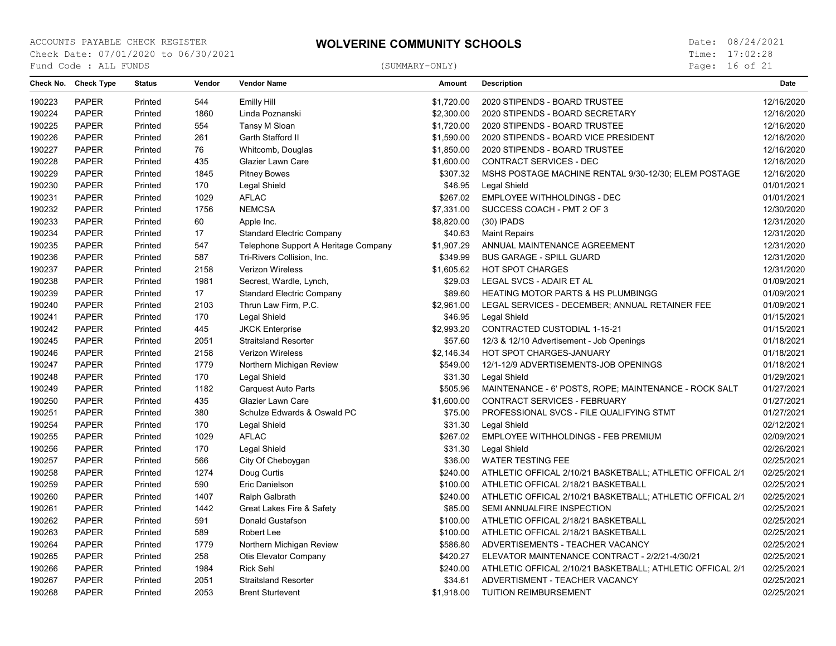Page: 16 of 21

| 190223<br>PAPER<br>544<br><b>Emilly Hill</b><br>\$1,720.00<br>2020 STIPENDS - BOARD TRUSTEE<br>12/16/2020<br>Printed<br>190224<br><b>PAPER</b><br>1860<br>\$2,300.00<br>12/16/2020<br>Linda Poznanski<br>2020 STIPENDS - BOARD SECRETARY<br>Printed<br>190225<br><b>PAPER</b><br>554<br>Tansy M Sloan<br>\$1,720.00<br>2020 STIPENDS - BOARD TRUSTEE<br>12/16/2020<br>Printed<br>190226<br><b>PAPER</b><br>261<br>Garth Stafford II<br>\$1,590.00<br>2020 STIPENDS - BOARD VICE PRESIDENT<br>12/16/2020<br>Printed<br><b>PAPER</b><br>76<br>190227<br>Printed<br>Whitcomb, Douglas<br>\$1,850.00<br>2020 STIPENDS - BOARD TRUSTEE<br>12/16/2020<br>190228<br>PAPER<br>12/16/2020<br>435<br>Glazier Lawn Care<br>\$1,600.00<br>CONTRACT SERVICES - DEC<br>Printed<br>190229<br><b>PAPER</b><br>12/16/2020<br>1845<br><b>Pitney Bowes</b><br>\$307.32<br>MSHS POSTAGE MACHINE RENTAL 9/30-12/30; ELEM POSTAGE<br>Printed<br>190230<br>PAPER<br>170<br>Legal Shield<br>\$46.95<br>Legal Shield<br>01/01/2021<br>Printed<br>190231<br><b>PAPER</b><br>1029<br><b>AFLAC</b><br>\$267.02<br>Printed<br><b>EMPLOYEE WITHHOLDINGS - DEC</b><br>01/01/2021<br>190232<br>PAPER<br><b>NEMCSA</b><br>12/30/2020<br>Printed<br>1756<br>\$7,331.00<br>SUCCESS COACH - PMT 2 OF 3<br><b>PAPER</b><br>190233<br>60<br>Apple Inc.<br>\$8,820.00<br>$(30)$ IPADS<br>12/31/2020<br>Printed<br>190234<br>PAPER<br>17<br>12/31/2020<br><b>Standard Electric Company</b><br>\$40.63<br><b>Maint Repairs</b><br>Printed<br>190235<br><b>PAPER</b><br>547<br>12/31/2020<br>Printed<br>Telephone Support A Heritage Company<br>\$1,907.29<br>ANNUAL MAINTENANCE AGREEMENT<br>190236<br><b>PAPER</b><br>12/31/2020<br>Printed<br>587<br>Tri-Rivers Collision, Inc.<br>\$349.99<br><b>BUS GARAGE - SPILL GUARD</b><br>190237<br><b>PAPER</b><br>Printed<br>2158<br>Verizon Wireless<br>\$1,605.62<br><b>HOT SPOT CHARGES</b><br>12/31/2020<br>PAPER<br>190238<br>1981<br>\$29.03<br>LEGAL SVCS - ADAIR ET AL<br>01/09/2021<br>Printed<br>Secrest, Wardle, Lynch,<br>190239<br><b>PAPER</b><br>17<br>01/09/2021<br><b>Standard Electric Company</b><br>\$89.60<br><b>HEATING MOTOR PARTS &amp; HS PLUMBINGG</b><br>Printed<br>190240<br>PAPER<br>2103<br>Thrun Law Firm, P.C.<br>\$2,961.00<br>LEGAL SERVICES - DECEMBER; ANNUAL RETAINER FEE<br>01/09/2021<br>Printed<br>190241<br><b>PAPER</b><br>Printed<br>170<br>Legal Shield<br>\$46.95<br>Legal Shield<br>01/15/2021<br>190242<br>01/15/2021<br><b>PAPER</b><br>Printed<br>445<br><b>JKCK Enterprise</b><br>\$2,993.20<br>CONTRACTED CUSTODIAL 1-15-21<br>190245<br><b>PAPER</b><br>2051<br><b>Straitsland Resorter</b><br>01/18/2021<br>Printed<br>\$57.60<br>12/3 & 12/10 Advertisement - Job Openings<br>PAPER<br>2158<br>190246<br>Verizon Wireless<br>\$2,146.34<br>HOT SPOT CHARGES-JANUARY<br>01/18/2021<br>Printed<br>PAPER<br>1779<br>01/18/2021<br>190247<br>Northern Michigan Review<br>\$549.00<br>12/1-12/9 ADVERTISEMENTS-JOB OPENINGS<br>Printed<br>190248<br><b>PAPER</b><br>01/29/2021<br>Printed<br>170<br>Legal Shield<br>\$31.30<br>Legal Shield<br>1182<br>190249<br><b>PAPER</b><br><b>Carquest Auto Parts</b><br>\$505.96<br>MAINTENANCE - 6' POSTS, ROPE; MAINTENANCE - ROCK SALT<br>01/27/2021<br>Printed<br>190250<br>PAPER<br>435<br>Glazier Lawn Care<br>\$1,600.00<br>CONTRACT SERVICES - FEBRUARY<br>01/27/2021<br>Printed<br>01/27/2021<br>190251<br><b>PAPER</b><br>380<br>Schulze Edwards & Oswald PC<br>\$75.00<br>PROFESSIONAL SVCS - FILE QUALIFYING STMT<br>Printed<br>190254<br><b>PAPER</b><br>170<br>\$31.30<br>02/12/2021<br>Printed<br>Legal Shield<br>Legal Shield<br>190255<br><b>PAPER</b><br>1029<br><b>AFLAC</b><br>02/09/2021<br>Printed<br>\$267.02<br>EMPLOYEE WITHHOLDINGS - FEB PREMIUM<br>02/26/2021<br>190256<br><b>PAPER</b><br>170<br>Legal Shield<br>\$31.30<br>Legal Shield<br>Printed<br>190257<br>PAPER<br>566<br>City Of Cheboygan<br>\$36.00<br>02/25/2021<br>Printed<br><b>WATER TESTING FEE</b><br>02/25/2021<br>190258<br><b>PAPER</b><br>1274<br>Doug Curtis<br>\$240.00<br>ATHLETIC OFFICAL 2/10/21 BASKETBALL; ATHLETIC OFFICAL 2/1<br>Printed<br>190259<br>PAPER<br>590<br>02/25/2021<br>Eric Danielson<br>\$100.00<br>ATHLETIC OFFICAL 2/18/21 BASKETBALL<br>Printed<br>190260<br>02/25/2021<br><b>PAPER</b><br>1407<br>Ralph Galbrath<br>\$240.00<br>ATHLETIC OFFICAL 2/10/21 BASKETBALL; ATHLETIC OFFICAL 2/1<br>Printed<br>190261<br><b>PAPER</b><br>1442<br>Great Lakes Fire & Safety<br>\$85.00<br>SEMI ANNUALFIRE INSPECTION<br>02/25/2021<br>Printed | Check No. Check Type | <b>Status</b> | Vendor | <b>Vendor Name</b> | <b>Amount</b> | <b>Description</b> | <b>Date</b> |
|--------------------------------------------------------------------------------------------------------------------------------------------------------------------------------------------------------------------------------------------------------------------------------------------------------------------------------------------------------------------------------------------------------------------------------------------------------------------------------------------------------------------------------------------------------------------------------------------------------------------------------------------------------------------------------------------------------------------------------------------------------------------------------------------------------------------------------------------------------------------------------------------------------------------------------------------------------------------------------------------------------------------------------------------------------------------------------------------------------------------------------------------------------------------------------------------------------------------------------------------------------------------------------------------------------------------------------------------------------------------------------------------------------------------------------------------------------------------------------------------------------------------------------------------------------------------------------------------------------------------------------------------------------------------------------------------------------------------------------------------------------------------------------------------------------------------------------------------------------------------------------------------------------------------------------------------------------------------------------------------------------------------------------------------------------------------------------------------------------------------------------------------------------------------------------------------------------------------------------------------------------------------------------------------------------------------------------------------------------------------------------------------------------------------------------------------------------------------------------------------------------------------------------------------------------------------------------------------------------------------------------------------------------------------------------------------------------------------------------------------------------------------------------------------------------------------------------------------------------------------------------------------------------------------------------------------------------------------------------------------------------------------------------------------------------------------------------------------------------------------------------------------------------------------------------------------------------------------------------------------------------------------------------------------------------------------------------------------------------------------------------------------------------------------------------------------------------------------------------------------------------------------------------------------------------------------------------------------------------------------------------------------------------------------------------------------------------------------------------------------------------------------------------------------------------------------------------------------------------------------------------------------------------------------------------------------------------------------------------------------------------------------------------------------------------------------------------------------------------------------------------------------------------------------------------------------------------------------------------------------------------------------------------------------------------------------------------------------------------------------------------------------------------------------------------------------------------------------------------------------------------------------------------------------------------------|----------------------|---------------|--------|--------------------|---------------|--------------------|-------------|
|                                                                                                                                                                                                                                                                                                                                                                                                                                                                                                                                                                                                                                                                                                                                                                                                                                                                                                                                                                                                                                                                                                                                                                                                                                                                                                                                                                                                                                                                                                                                                                                                                                                                                                                                                                                                                                                                                                                                                                                                                                                                                                                                                                                                                                                                                                                                                                                                                                                                                                                                                                                                                                                                                                                                                                                                                                                                                                                                                                                                                                                                                                                                                                                                                                                                                                                                                                                                                                                                                                                                                                                                                                                                                                                                                                                                                                                                                                                                                                                                                                                                                                                                                                                                                                                                                                                                                                                                                                                                                                                                                              |                      |               |        |                    |               |                    |             |
|                                                                                                                                                                                                                                                                                                                                                                                                                                                                                                                                                                                                                                                                                                                                                                                                                                                                                                                                                                                                                                                                                                                                                                                                                                                                                                                                                                                                                                                                                                                                                                                                                                                                                                                                                                                                                                                                                                                                                                                                                                                                                                                                                                                                                                                                                                                                                                                                                                                                                                                                                                                                                                                                                                                                                                                                                                                                                                                                                                                                                                                                                                                                                                                                                                                                                                                                                                                                                                                                                                                                                                                                                                                                                                                                                                                                                                                                                                                                                                                                                                                                                                                                                                                                                                                                                                                                                                                                                                                                                                                                                              |                      |               |        |                    |               |                    |             |
|                                                                                                                                                                                                                                                                                                                                                                                                                                                                                                                                                                                                                                                                                                                                                                                                                                                                                                                                                                                                                                                                                                                                                                                                                                                                                                                                                                                                                                                                                                                                                                                                                                                                                                                                                                                                                                                                                                                                                                                                                                                                                                                                                                                                                                                                                                                                                                                                                                                                                                                                                                                                                                                                                                                                                                                                                                                                                                                                                                                                                                                                                                                                                                                                                                                                                                                                                                                                                                                                                                                                                                                                                                                                                                                                                                                                                                                                                                                                                                                                                                                                                                                                                                                                                                                                                                                                                                                                                                                                                                                                                              |                      |               |        |                    |               |                    |             |
|                                                                                                                                                                                                                                                                                                                                                                                                                                                                                                                                                                                                                                                                                                                                                                                                                                                                                                                                                                                                                                                                                                                                                                                                                                                                                                                                                                                                                                                                                                                                                                                                                                                                                                                                                                                                                                                                                                                                                                                                                                                                                                                                                                                                                                                                                                                                                                                                                                                                                                                                                                                                                                                                                                                                                                                                                                                                                                                                                                                                                                                                                                                                                                                                                                                                                                                                                                                                                                                                                                                                                                                                                                                                                                                                                                                                                                                                                                                                                                                                                                                                                                                                                                                                                                                                                                                                                                                                                                                                                                                                                              |                      |               |        |                    |               |                    |             |
|                                                                                                                                                                                                                                                                                                                                                                                                                                                                                                                                                                                                                                                                                                                                                                                                                                                                                                                                                                                                                                                                                                                                                                                                                                                                                                                                                                                                                                                                                                                                                                                                                                                                                                                                                                                                                                                                                                                                                                                                                                                                                                                                                                                                                                                                                                                                                                                                                                                                                                                                                                                                                                                                                                                                                                                                                                                                                                                                                                                                                                                                                                                                                                                                                                                                                                                                                                                                                                                                                                                                                                                                                                                                                                                                                                                                                                                                                                                                                                                                                                                                                                                                                                                                                                                                                                                                                                                                                                                                                                                                                              |                      |               |        |                    |               |                    |             |
|                                                                                                                                                                                                                                                                                                                                                                                                                                                                                                                                                                                                                                                                                                                                                                                                                                                                                                                                                                                                                                                                                                                                                                                                                                                                                                                                                                                                                                                                                                                                                                                                                                                                                                                                                                                                                                                                                                                                                                                                                                                                                                                                                                                                                                                                                                                                                                                                                                                                                                                                                                                                                                                                                                                                                                                                                                                                                                                                                                                                                                                                                                                                                                                                                                                                                                                                                                                                                                                                                                                                                                                                                                                                                                                                                                                                                                                                                                                                                                                                                                                                                                                                                                                                                                                                                                                                                                                                                                                                                                                                                              |                      |               |        |                    |               |                    |             |
|                                                                                                                                                                                                                                                                                                                                                                                                                                                                                                                                                                                                                                                                                                                                                                                                                                                                                                                                                                                                                                                                                                                                                                                                                                                                                                                                                                                                                                                                                                                                                                                                                                                                                                                                                                                                                                                                                                                                                                                                                                                                                                                                                                                                                                                                                                                                                                                                                                                                                                                                                                                                                                                                                                                                                                                                                                                                                                                                                                                                                                                                                                                                                                                                                                                                                                                                                                                                                                                                                                                                                                                                                                                                                                                                                                                                                                                                                                                                                                                                                                                                                                                                                                                                                                                                                                                                                                                                                                                                                                                                                              |                      |               |        |                    |               |                    |             |
|                                                                                                                                                                                                                                                                                                                                                                                                                                                                                                                                                                                                                                                                                                                                                                                                                                                                                                                                                                                                                                                                                                                                                                                                                                                                                                                                                                                                                                                                                                                                                                                                                                                                                                                                                                                                                                                                                                                                                                                                                                                                                                                                                                                                                                                                                                                                                                                                                                                                                                                                                                                                                                                                                                                                                                                                                                                                                                                                                                                                                                                                                                                                                                                                                                                                                                                                                                                                                                                                                                                                                                                                                                                                                                                                                                                                                                                                                                                                                                                                                                                                                                                                                                                                                                                                                                                                                                                                                                                                                                                                                              |                      |               |        |                    |               |                    |             |
|                                                                                                                                                                                                                                                                                                                                                                                                                                                                                                                                                                                                                                                                                                                                                                                                                                                                                                                                                                                                                                                                                                                                                                                                                                                                                                                                                                                                                                                                                                                                                                                                                                                                                                                                                                                                                                                                                                                                                                                                                                                                                                                                                                                                                                                                                                                                                                                                                                                                                                                                                                                                                                                                                                                                                                                                                                                                                                                                                                                                                                                                                                                                                                                                                                                                                                                                                                                                                                                                                                                                                                                                                                                                                                                                                                                                                                                                                                                                                                                                                                                                                                                                                                                                                                                                                                                                                                                                                                                                                                                                                              |                      |               |        |                    |               |                    |             |
|                                                                                                                                                                                                                                                                                                                                                                                                                                                                                                                                                                                                                                                                                                                                                                                                                                                                                                                                                                                                                                                                                                                                                                                                                                                                                                                                                                                                                                                                                                                                                                                                                                                                                                                                                                                                                                                                                                                                                                                                                                                                                                                                                                                                                                                                                                                                                                                                                                                                                                                                                                                                                                                                                                                                                                                                                                                                                                                                                                                                                                                                                                                                                                                                                                                                                                                                                                                                                                                                                                                                                                                                                                                                                                                                                                                                                                                                                                                                                                                                                                                                                                                                                                                                                                                                                                                                                                                                                                                                                                                                                              |                      |               |        |                    |               |                    |             |
|                                                                                                                                                                                                                                                                                                                                                                                                                                                                                                                                                                                                                                                                                                                                                                                                                                                                                                                                                                                                                                                                                                                                                                                                                                                                                                                                                                                                                                                                                                                                                                                                                                                                                                                                                                                                                                                                                                                                                                                                                                                                                                                                                                                                                                                                                                                                                                                                                                                                                                                                                                                                                                                                                                                                                                                                                                                                                                                                                                                                                                                                                                                                                                                                                                                                                                                                                                                                                                                                                                                                                                                                                                                                                                                                                                                                                                                                                                                                                                                                                                                                                                                                                                                                                                                                                                                                                                                                                                                                                                                                                              |                      |               |        |                    |               |                    |             |
|                                                                                                                                                                                                                                                                                                                                                                                                                                                                                                                                                                                                                                                                                                                                                                                                                                                                                                                                                                                                                                                                                                                                                                                                                                                                                                                                                                                                                                                                                                                                                                                                                                                                                                                                                                                                                                                                                                                                                                                                                                                                                                                                                                                                                                                                                                                                                                                                                                                                                                                                                                                                                                                                                                                                                                                                                                                                                                                                                                                                                                                                                                                                                                                                                                                                                                                                                                                                                                                                                                                                                                                                                                                                                                                                                                                                                                                                                                                                                                                                                                                                                                                                                                                                                                                                                                                                                                                                                                                                                                                                                              |                      |               |        |                    |               |                    |             |
|                                                                                                                                                                                                                                                                                                                                                                                                                                                                                                                                                                                                                                                                                                                                                                                                                                                                                                                                                                                                                                                                                                                                                                                                                                                                                                                                                                                                                                                                                                                                                                                                                                                                                                                                                                                                                                                                                                                                                                                                                                                                                                                                                                                                                                                                                                                                                                                                                                                                                                                                                                                                                                                                                                                                                                                                                                                                                                                                                                                                                                                                                                                                                                                                                                                                                                                                                                                                                                                                                                                                                                                                                                                                                                                                                                                                                                                                                                                                                                                                                                                                                                                                                                                                                                                                                                                                                                                                                                                                                                                                                              |                      |               |        |                    |               |                    |             |
|                                                                                                                                                                                                                                                                                                                                                                                                                                                                                                                                                                                                                                                                                                                                                                                                                                                                                                                                                                                                                                                                                                                                                                                                                                                                                                                                                                                                                                                                                                                                                                                                                                                                                                                                                                                                                                                                                                                                                                                                                                                                                                                                                                                                                                                                                                                                                                                                                                                                                                                                                                                                                                                                                                                                                                                                                                                                                                                                                                                                                                                                                                                                                                                                                                                                                                                                                                                                                                                                                                                                                                                                                                                                                                                                                                                                                                                                                                                                                                                                                                                                                                                                                                                                                                                                                                                                                                                                                                                                                                                                                              |                      |               |        |                    |               |                    |             |
|                                                                                                                                                                                                                                                                                                                                                                                                                                                                                                                                                                                                                                                                                                                                                                                                                                                                                                                                                                                                                                                                                                                                                                                                                                                                                                                                                                                                                                                                                                                                                                                                                                                                                                                                                                                                                                                                                                                                                                                                                                                                                                                                                                                                                                                                                                                                                                                                                                                                                                                                                                                                                                                                                                                                                                                                                                                                                                                                                                                                                                                                                                                                                                                                                                                                                                                                                                                                                                                                                                                                                                                                                                                                                                                                                                                                                                                                                                                                                                                                                                                                                                                                                                                                                                                                                                                                                                                                                                                                                                                                                              |                      |               |        |                    |               |                    |             |
|                                                                                                                                                                                                                                                                                                                                                                                                                                                                                                                                                                                                                                                                                                                                                                                                                                                                                                                                                                                                                                                                                                                                                                                                                                                                                                                                                                                                                                                                                                                                                                                                                                                                                                                                                                                                                                                                                                                                                                                                                                                                                                                                                                                                                                                                                                                                                                                                                                                                                                                                                                                                                                                                                                                                                                                                                                                                                                                                                                                                                                                                                                                                                                                                                                                                                                                                                                                                                                                                                                                                                                                                                                                                                                                                                                                                                                                                                                                                                                                                                                                                                                                                                                                                                                                                                                                                                                                                                                                                                                                                                              |                      |               |        |                    |               |                    |             |
|                                                                                                                                                                                                                                                                                                                                                                                                                                                                                                                                                                                                                                                                                                                                                                                                                                                                                                                                                                                                                                                                                                                                                                                                                                                                                                                                                                                                                                                                                                                                                                                                                                                                                                                                                                                                                                                                                                                                                                                                                                                                                                                                                                                                                                                                                                                                                                                                                                                                                                                                                                                                                                                                                                                                                                                                                                                                                                                                                                                                                                                                                                                                                                                                                                                                                                                                                                                                                                                                                                                                                                                                                                                                                                                                                                                                                                                                                                                                                                                                                                                                                                                                                                                                                                                                                                                                                                                                                                                                                                                                                              |                      |               |        |                    |               |                    |             |
|                                                                                                                                                                                                                                                                                                                                                                                                                                                                                                                                                                                                                                                                                                                                                                                                                                                                                                                                                                                                                                                                                                                                                                                                                                                                                                                                                                                                                                                                                                                                                                                                                                                                                                                                                                                                                                                                                                                                                                                                                                                                                                                                                                                                                                                                                                                                                                                                                                                                                                                                                                                                                                                                                                                                                                                                                                                                                                                                                                                                                                                                                                                                                                                                                                                                                                                                                                                                                                                                                                                                                                                                                                                                                                                                                                                                                                                                                                                                                                                                                                                                                                                                                                                                                                                                                                                                                                                                                                                                                                                                                              |                      |               |        |                    |               |                    |             |
|                                                                                                                                                                                                                                                                                                                                                                                                                                                                                                                                                                                                                                                                                                                                                                                                                                                                                                                                                                                                                                                                                                                                                                                                                                                                                                                                                                                                                                                                                                                                                                                                                                                                                                                                                                                                                                                                                                                                                                                                                                                                                                                                                                                                                                                                                                                                                                                                                                                                                                                                                                                                                                                                                                                                                                                                                                                                                                                                                                                                                                                                                                                                                                                                                                                                                                                                                                                                                                                                                                                                                                                                                                                                                                                                                                                                                                                                                                                                                                                                                                                                                                                                                                                                                                                                                                                                                                                                                                                                                                                                                              |                      |               |        |                    |               |                    |             |
|                                                                                                                                                                                                                                                                                                                                                                                                                                                                                                                                                                                                                                                                                                                                                                                                                                                                                                                                                                                                                                                                                                                                                                                                                                                                                                                                                                                                                                                                                                                                                                                                                                                                                                                                                                                                                                                                                                                                                                                                                                                                                                                                                                                                                                                                                                                                                                                                                                                                                                                                                                                                                                                                                                                                                                                                                                                                                                                                                                                                                                                                                                                                                                                                                                                                                                                                                                                                                                                                                                                                                                                                                                                                                                                                                                                                                                                                                                                                                                                                                                                                                                                                                                                                                                                                                                                                                                                                                                                                                                                                                              |                      |               |        |                    |               |                    |             |
|                                                                                                                                                                                                                                                                                                                                                                                                                                                                                                                                                                                                                                                                                                                                                                                                                                                                                                                                                                                                                                                                                                                                                                                                                                                                                                                                                                                                                                                                                                                                                                                                                                                                                                                                                                                                                                                                                                                                                                                                                                                                                                                                                                                                                                                                                                                                                                                                                                                                                                                                                                                                                                                                                                                                                                                                                                                                                                                                                                                                                                                                                                                                                                                                                                                                                                                                                                                                                                                                                                                                                                                                                                                                                                                                                                                                                                                                                                                                                                                                                                                                                                                                                                                                                                                                                                                                                                                                                                                                                                                                                              |                      |               |        |                    |               |                    |             |
|                                                                                                                                                                                                                                                                                                                                                                                                                                                                                                                                                                                                                                                                                                                                                                                                                                                                                                                                                                                                                                                                                                                                                                                                                                                                                                                                                                                                                                                                                                                                                                                                                                                                                                                                                                                                                                                                                                                                                                                                                                                                                                                                                                                                                                                                                                                                                                                                                                                                                                                                                                                                                                                                                                                                                                                                                                                                                                                                                                                                                                                                                                                                                                                                                                                                                                                                                                                                                                                                                                                                                                                                                                                                                                                                                                                                                                                                                                                                                                                                                                                                                                                                                                                                                                                                                                                                                                                                                                                                                                                                                              |                      |               |        |                    |               |                    |             |
|                                                                                                                                                                                                                                                                                                                                                                                                                                                                                                                                                                                                                                                                                                                                                                                                                                                                                                                                                                                                                                                                                                                                                                                                                                                                                                                                                                                                                                                                                                                                                                                                                                                                                                                                                                                                                                                                                                                                                                                                                                                                                                                                                                                                                                                                                                                                                                                                                                                                                                                                                                                                                                                                                                                                                                                                                                                                                                                                                                                                                                                                                                                                                                                                                                                                                                                                                                                                                                                                                                                                                                                                                                                                                                                                                                                                                                                                                                                                                                                                                                                                                                                                                                                                                                                                                                                                                                                                                                                                                                                                                              |                      |               |        |                    |               |                    |             |
|                                                                                                                                                                                                                                                                                                                                                                                                                                                                                                                                                                                                                                                                                                                                                                                                                                                                                                                                                                                                                                                                                                                                                                                                                                                                                                                                                                                                                                                                                                                                                                                                                                                                                                                                                                                                                                                                                                                                                                                                                                                                                                                                                                                                                                                                                                                                                                                                                                                                                                                                                                                                                                                                                                                                                                                                                                                                                                                                                                                                                                                                                                                                                                                                                                                                                                                                                                                                                                                                                                                                                                                                                                                                                                                                                                                                                                                                                                                                                                                                                                                                                                                                                                                                                                                                                                                                                                                                                                                                                                                                                              |                      |               |        |                    |               |                    |             |
|                                                                                                                                                                                                                                                                                                                                                                                                                                                                                                                                                                                                                                                                                                                                                                                                                                                                                                                                                                                                                                                                                                                                                                                                                                                                                                                                                                                                                                                                                                                                                                                                                                                                                                                                                                                                                                                                                                                                                                                                                                                                                                                                                                                                                                                                                                                                                                                                                                                                                                                                                                                                                                                                                                                                                                                                                                                                                                                                                                                                                                                                                                                                                                                                                                                                                                                                                                                                                                                                                                                                                                                                                                                                                                                                                                                                                                                                                                                                                                                                                                                                                                                                                                                                                                                                                                                                                                                                                                                                                                                                                              |                      |               |        |                    |               |                    |             |
|                                                                                                                                                                                                                                                                                                                                                                                                                                                                                                                                                                                                                                                                                                                                                                                                                                                                                                                                                                                                                                                                                                                                                                                                                                                                                                                                                                                                                                                                                                                                                                                                                                                                                                                                                                                                                                                                                                                                                                                                                                                                                                                                                                                                                                                                                                                                                                                                                                                                                                                                                                                                                                                                                                                                                                                                                                                                                                                                                                                                                                                                                                                                                                                                                                                                                                                                                                                                                                                                                                                                                                                                                                                                                                                                                                                                                                                                                                                                                                                                                                                                                                                                                                                                                                                                                                                                                                                                                                                                                                                                                              |                      |               |        |                    |               |                    |             |
|                                                                                                                                                                                                                                                                                                                                                                                                                                                                                                                                                                                                                                                                                                                                                                                                                                                                                                                                                                                                                                                                                                                                                                                                                                                                                                                                                                                                                                                                                                                                                                                                                                                                                                                                                                                                                                                                                                                                                                                                                                                                                                                                                                                                                                                                                                                                                                                                                                                                                                                                                                                                                                                                                                                                                                                                                                                                                                                                                                                                                                                                                                                                                                                                                                                                                                                                                                                                                                                                                                                                                                                                                                                                                                                                                                                                                                                                                                                                                                                                                                                                                                                                                                                                                                                                                                                                                                                                                                                                                                                                                              |                      |               |        |                    |               |                    |             |
|                                                                                                                                                                                                                                                                                                                                                                                                                                                                                                                                                                                                                                                                                                                                                                                                                                                                                                                                                                                                                                                                                                                                                                                                                                                                                                                                                                                                                                                                                                                                                                                                                                                                                                                                                                                                                                                                                                                                                                                                                                                                                                                                                                                                                                                                                                                                                                                                                                                                                                                                                                                                                                                                                                                                                                                                                                                                                                                                                                                                                                                                                                                                                                                                                                                                                                                                                                                                                                                                                                                                                                                                                                                                                                                                                                                                                                                                                                                                                                                                                                                                                                                                                                                                                                                                                                                                                                                                                                                                                                                                                              |                      |               |        |                    |               |                    |             |
|                                                                                                                                                                                                                                                                                                                                                                                                                                                                                                                                                                                                                                                                                                                                                                                                                                                                                                                                                                                                                                                                                                                                                                                                                                                                                                                                                                                                                                                                                                                                                                                                                                                                                                                                                                                                                                                                                                                                                                                                                                                                                                                                                                                                                                                                                                                                                                                                                                                                                                                                                                                                                                                                                                                                                                                                                                                                                                                                                                                                                                                                                                                                                                                                                                                                                                                                                                                                                                                                                                                                                                                                                                                                                                                                                                                                                                                                                                                                                                                                                                                                                                                                                                                                                                                                                                                                                                                                                                                                                                                                                              |                      |               |        |                    |               |                    |             |
|                                                                                                                                                                                                                                                                                                                                                                                                                                                                                                                                                                                                                                                                                                                                                                                                                                                                                                                                                                                                                                                                                                                                                                                                                                                                                                                                                                                                                                                                                                                                                                                                                                                                                                                                                                                                                                                                                                                                                                                                                                                                                                                                                                                                                                                                                                                                                                                                                                                                                                                                                                                                                                                                                                                                                                                                                                                                                                                                                                                                                                                                                                                                                                                                                                                                                                                                                                                                                                                                                                                                                                                                                                                                                                                                                                                                                                                                                                                                                                                                                                                                                                                                                                                                                                                                                                                                                                                                                                                                                                                                                              |                      |               |        |                    |               |                    |             |
|                                                                                                                                                                                                                                                                                                                                                                                                                                                                                                                                                                                                                                                                                                                                                                                                                                                                                                                                                                                                                                                                                                                                                                                                                                                                                                                                                                                                                                                                                                                                                                                                                                                                                                                                                                                                                                                                                                                                                                                                                                                                                                                                                                                                                                                                                                                                                                                                                                                                                                                                                                                                                                                                                                                                                                                                                                                                                                                                                                                                                                                                                                                                                                                                                                                                                                                                                                                                                                                                                                                                                                                                                                                                                                                                                                                                                                                                                                                                                                                                                                                                                                                                                                                                                                                                                                                                                                                                                                                                                                                                                              |                      |               |        |                    |               |                    |             |
|                                                                                                                                                                                                                                                                                                                                                                                                                                                                                                                                                                                                                                                                                                                                                                                                                                                                                                                                                                                                                                                                                                                                                                                                                                                                                                                                                                                                                                                                                                                                                                                                                                                                                                                                                                                                                                                                                                                                                                                                                                                                                                                                                                                                                                                                                                                                                                                                                                                                                                                                                                                                                                                                                                                                                                                                                                                                                                                                                                                                                                                                                                                                                                                                                                                                                                                                                                                                                                                                                                                                                                                                                                                                                                                                                                                                                                                                                                                                                                                                                                                                                                                                                                                                                                                                                                                                                                                                                                                                                                                                                              |                      |               |        |                    |               |                    |             |
|                                                                                                                                                                                                                                                                                                                                                                                                                                                                                                                                                                                                                                                                                                                                                                                                                                                                                                                                                                                                                                                                                                                                                                                                                                                                                                                                                                                                                                                                                                                                                                                                                                                                                                                                                                                                                                                                                                                                                                                                                                                                                                                                                                                                                                                                                                                                                                                                                                                                                                                                                                                                                                                                                                                                                                                                                                                                                                                                                                                                                                                                                                                                                                                                                                                                                                                                                                                                                                                                                                                                                                                                                                                                                                                                                                                                                                                                                                                                                                                                                                                                                                                                                                                                                                                                                                                                                                                                                                                                                                                                                              |                      |               |        |                    |               |                    |             |
|                                                                                                                                                                                                                                                                                                                                                                                                                                                                                                                                                                                                                                                                                                                                                                                                                                                                                                                                                                                                                                                                                                                                                                                                                                                                                                                                                                                                                                                                                                                                                                                                                                                                                                                                                                                                                                                                                                                                                                                                                                                                                                                                                                                                                                                                                                                                                                                                                                                                                                                                                                                                                                                                                                                                                                                                                                                                                                                                                                                                                                                                                                                                                                                                                                                                                                                                                                                                                                                                                                                                                                                                                                                                                                                                                                                                                                                                                                                                                                                                                                                                                                                                                                                                                                                                                                                                                                                                                                                                                                                                                              |                      |               |        |                    |               |                    |             |
|                                                                                                                                                                                                                                                                                                                                                                                                                                                                                                                                                                                                                                                                                                                                                                                                                                                                                                                                                                                                                                                                                                                                                                                                                                                                                                                                                                                                                                                                                                                                                                                                                                                                                                                                                                                                                                                                                                                                                                                                                                                                                                                                                                                                                                                                                                                                                                                                                                                                                                                                                                                                                                                                                                                                                                                                                                                                                                                                                                                                                                                                                                                                                                                                                                                                                                                                                                                                                                                                                                                                                                                                                                                                                                                                                                                                                                                                                                                                                                                                                                                                                                                                                                                                                                                                                                                                                                                                                                                                                                                                                              |                      |               |        |                    |               |                    |             |
| 190262<br><b>PAPER</b><br>591<br>Donald Gustafson<br>\$100.00<br>ATHLETIC OFFICAL 2/18/21 BASKETBALL<br>Printed                                                                                                                                                                                                                                                                                                                                                                                                                                                                                                                                                                                                                                                                                                                                                                                                                                                                                                                                                                                                                                                                                                                                                                                                                                                                                                                                                                                                                                                                                                                                                                                                                                                                                                                                                                                                                                                                                                                                                                                                                                                                                                                                                                                                                                                                                                                                                                                                                                                                                                                                                                                                                                                                                                                                                                                                                                                                                                                                                                                                                                                                                                                                                                                                                                                                                                                                                                                                                                                                                                                                                                                                                                                                                                                                                                                                                                                                                                                                                                                                                                                                                                                                                                                                                                                                                                                                                                                                                                              |                      |               |        |                    |               |                    | 02/25/2021  |
| 190263<br><b>PAPER</b><br>589<br>Robert Lee<br>\$100.00<br>02/25/2021<br>Printed<br>ATHLETIC OFFICAL 2/18/21 BASKETBALL                                                                                                                                                                                                                                                                                                                                                                                                                                                                                                                                                                                                                                                                                                                                                                                                                                                                                                                                                                                                                                                                                                                                                                                                                                                                                                                                                                                                                                                                                                                                                                                                                                                                                                                                                                                                                                                                                                                                                                                                                                                                                                                                                                                                                                                                                                                                                                                                                                                                                                                                                                                                                                                                                                                                                                                                                                                                                                                                                                                                                                                                                                                                                                                                                                                                                                                                                                                                                                                                                                                                                                                                                                                                                                                                                                                                                                                                                                                                                                                                                                                                                                                                                                                                                                                                                                                                                                                                                                      |                      |               |        |                    |               |                    |             |
| 190264<br>1779<br>PAPER<br>ADVERTISEMENTS - TEACHER VACANCY<br>02/25/2021<br>Printed<br>Northern Michigan Review<br>\$586.80                                                                                                                                                                                                                                                                                                                                                                                                                                                                                                                                                                                                                                                                                                                                                                                                                                                                                                                                                                                                                                                                                                                                                                                                                                                                                                                                                                                                                                                                                                                                                                                                                                                                                                                                                                                                                                                                                                                                                                                                                                                                                                                                                                                                                                                                                                                                                                                                                                                                                                                                                                                                                                                                                                                                                                                                                                                                                                                                                                                                                                                                                                                                                                                                                                                                                                                                                                                                                                                                                                                                                                                                                                                                                                                                                                                                                                                                                                                                                                                                                                                                                                                                                                                                                                                                                                                                                                                                                                 |                      |               |        |                    |               |                    |             |
| 190265<br>PAPER<br>258<br>02/25/2021<br>\$420.27<br>ELEVATOR MAINTENANCE CONTRACT - 2/2/21-4/30/21<br>Printed<br>Otis Elevator Company                                                                                                                                                                                                                                                                                                                                                                                                                                                                                                                                                                                                                                                                                                                                                                                                                                                                                                                                                                                                                                                                                                                                                                                                                                                                                                                                                                                                                                                                                                                                                                                                                                                                                                                                                                                                                                                                                                                                                                                                                                                                                                                                                                                                                                                                                                                                                                                                                                                                                                                                                                                                                                                                                                                                                                                                                                                                                                                                                                                                                                                                                                                                                                                                                                                                                                                                                                                                                                                                                                                                                                                                                                                                                                                                                                                                                                                                                                                                                                                                                                                                                                                                                                                                                                                                                                                                                                                                                       |                      |               |        |                    |               |                    |             |
| 190266<br>02/25/2021<br><b>PAPER</b><br>1984<br><b>Rick Sehl</b><br>\$240.00<br>ATHLETIC OFFICAL 2/10/21 BASKETBALL; ATHLETIC OFFICAL 2/1<br>Printed                                                                                                                                                                                                                                                                                                                                                                                                                                                                                                                                                                                                                                                                                                                                                                                                                                                                                                                                                                                                                                                                                                                                                                                                                                                                                                                                                                                                                                                                                                                                                                                                                                                                                                                                                                                                                                                                                                                                                                                                                                                                                                                                                                                                                                                                                                                                                                                                                                                                                                                                                                                                                                                                                                                                                                                                                                                                                                                                                                                                                                                                                                                                                                                                                                                                                                                                                                                                                                                                                                                                                                                                                                                                                                                                                                                                                                                                                                                                                                                                                                                                                                                                                                                                                                                                                                                                                                                                         |                      |               |        |                    |               |                    |             |
| 190267<br><b>PAPER</b><br>2051<br><b>Straitsland Resorter</b><br>\$34.61<br>ADVERTISMENT - TEACHER VACANCY<br>02/25/2021<br>Printed                                                                                                                                                                                                                                                                                                                                                                                                                                                                                                                                                                                                                                                                                                                                                                                                                                                                                                                                                                                                                                                                                                                                                                                                                                                                                                                                                                                                                                                                                                                                                                                                                                                                                                                                                                                                                                                                                                                                                                                                                                                                                                                                                                                                                                                                                                                                                                                                                                                                                                                                                                                                                                                                                                                                                                                                                                                                                                                                                                                                                                                                                                                                                                                                                                                                                                                                                                                                                                                                                                                                                                                                                                                                                                                                                                                                                                                                                                                                                                                                                                                                                                                                                                                                                                                                                                                                                                                                                          |                      |               |        |                    |               |                    |             |
| 190268<br>2053<br><b>PAPER</b><br><b>TUITION REIMBURSEMENT</b><br>02/25/2021<br>Printed<br><b>Brent Sturtevent</b><br>\$1,918.00                                                                                                                                                                                                                                                                                                                                                                                                                                                                                                                                                                                                                                                                                                                                                                                                                                                                                                                                                                                                                                                                                                                                                                                                                                                                                                                                                                                                                                                                                                                                                                                                                                                                                                                                                                                                                                                                                                                                                                                                                                                                                                                                                                                                                                                                                                                                                                                                                                                                                                                                                                                                                                                                                                                                                                                                                                                                                                                                                                                                                                                                                                                                                                                                                                                                                                                                                                                                                                                                                                                                                                                                                                                                                                                                                                                                                                                                                                                                                                                                                                                                                                                                                                                                                                                                                                                                                                                                                             |                      |               |        |                    |               |                    |             |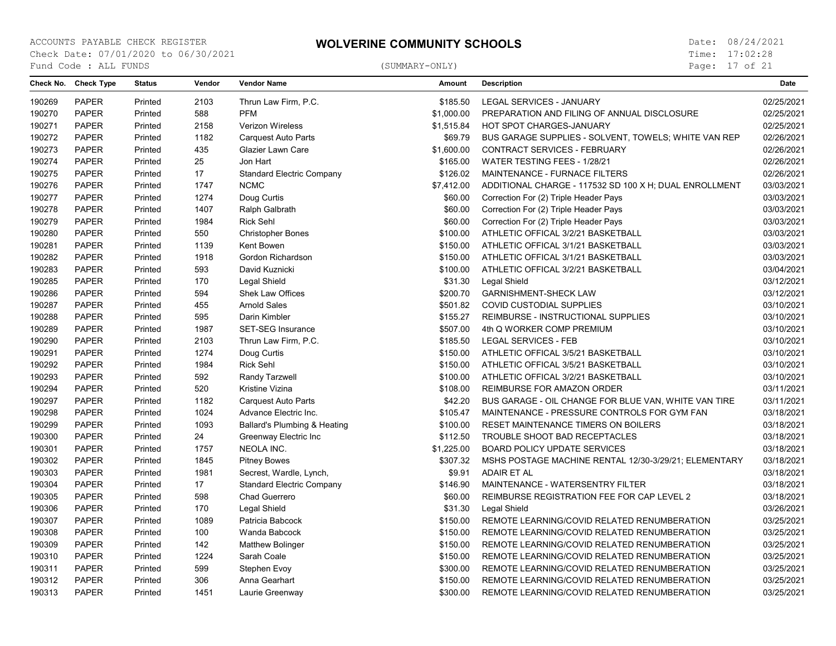Page: 17 of 21

|        | Check No. Check Type | <b>Status</b> | Vendor | <b>Vendor Name</b>               | <b>Amount</b> | <b>Description</b>                                     | Date       |
|--------|----------------------|---------------|--------|----------------------------------|---------------|--------------------------------------------------------|------------|
| 190269 | <b>PAPER</b>         | Printed       | 2103   | Thrun Law Firm, P.C.             | \$185.50      | LEGAL SERVICES - JANUARY                               | 02/25/2021 |
| 190270 | <b>PAPER</b>         | Printed       | 588    | <b>PFM</b>                       | \$1,000.00    | PREPARATION AND FILING OF ANNUAL DISCLOSURE            | 02/25/2021 |
| 190271 | <b>PAPER</b>         | Printed       | 2158   | Verizon Wireless                 | \$1,515.84    | HOT SPOT CHARGES-JANUARY                               | 02/25/2021 |
| 190272 | <b>PAPER</b>         | Printed       | 1182   | <b>Carquest Auto Parts</b>       | \$69.79       | BUS GARAGE SUPPLIES - SOLVENT, TOWELS; WHITE VAN REP   | 02/26/2021 |
| 190273 | <b>PAPER</b>         | Printed       | 435    | Glazier Lawn Care                | \$1,600.00    | CONTRACT SERVICES - FEBRUARY                           | 02/26/2021 |
| 190274 | <b>PAPER</b>         | Printed       | 25     | Jon Hart                         | \$165.00      | WATER TESTING FEES - 1/28/21                           | 02/26/2021 |
| 190275 | <b>PAPER</b>         | Printed       | 17     | <b>Standard Electric Company</b> | \$126.02      | MAINTENANCE - FURNACE FILTERS                          | 02/26/2021 |
| 190276 | <b>PAPER</b>         | Printed       | 1747   | <b>NCMC</b>                      | \$7,412.00    | ADDITIONAL CHARGE - 117532 SD 100 X H; DUAL ENROLLMENT | 03/03/2021 |
| 190277 | <b>PAPER</b>         | Printed       | 1274   | Doug Curtis                      | \$60.00       | Correction For (2) Triple Header Pays                  | 03/03/2021 |
| 190278 | <b>PAPER</b>         | Printed       | 1407   | Ralph Galbrath                   | \$60.00       | Correction For (2) Triple Header Pays                  | 03/03/2021 |
| 190279 | <b>PAPER</b>         | Printed       | 1984   | <b>Rick Sehl</b>                 | \$60.00       | Correction For (2) Triple Header Pays                  | 03/03/2021 |
| 190280 | <b>PAPER</b>         | Printed       | 550    | <b>Christopher Bones</b>         | \$100.00      | ATHLETIC OFFICAL 3/2/21 BASKETBALL                     | 03/03/2021 |
| 190281 | <b>PAPER</b>         | Printed       | 1139   | Kent Bowen                       | \$150.00      | ATHLETIC OFFICAL 3/1/21 BASKETBALL                     | 03/03/2021 |
| 190282 | <b>PAPER</b>         | Printed       | 1918   | Gordon Richardson                | \$150.00      | ATHLETIC OFFICAL 3/1/21 BASKETBALL                     | 03/03/2021 |
| 190283 | <b>PAPER</b>         | Printed       | 593    | David Kuznicki                   | \$100.00      | ATHLETIC OFFICAL 3/2/21 BASKETBALL                     | 03/04/2021 |
| 190285 | <b>PAPER</b>         | Printed       | 170    | Legal Shield                     | \$31.30       | Legal Shield                                           | 03/12/2021 |
| 190286 | <b>PAPER</b>         | Printed       | 594    | Shek Law Offices                 | \$200.70      | <b>GARNISHMENT-SHECK LAW</b>                           | 03/12/2021 |
| 190287 | <b>PAPER</b>         | Printed       | 455    | <b>Arnold Sales</b>              | \$501.82      | <b>COVID CUSTODIAL SUPPLIES</b>                        | 03/10/2021 |
| 190288 | <b>PAPER</b>         | Printed       | 595    | Darin Kimbler                    | \$155.27      | REIMBURSE - INSTRUCTIONAL SUPPLIES                     | 03/10/2021 |
| 190289 | <b>PAPER</b>         | Printed       | 1987   | <b>SET-SEG Insurance</b>         | \$507.00      | 4th Q WORKER COMP PREMIUM                              | 03/10/2021 |
| 190290 | <b>PAPER</b>         | Printed       | 2103   | Thrun Law Firm, P.C.             | \$185.50      | <b>LEGAL SERVICES - FEB</b>                            | 03/10/2021 |
| 190291 | <b>PAPER</b>         | Printed       | 1274   | Doug Curtis                      | \$150.00      | ATHLETIC OFFICAL 3/5/21 BASKETBALL                     | 03/10/2021 |
| 190292 | <b>PAPER</b>         | Printed       | 1984   | Rick Sehl                        | \$150.00      | ATHLETIC OFFICAL 3/5/21 BASKETBALL                     | 03/10/2021 |
| 190293 | <b>PAPER</b>         | Printed       | 592    | Randy Tarzwell                   | \$100.00      | ATHLETIC OFFICAL 3/2/21 BASKETBALL                     | 03/10/2021 |
| 190294 | <b>PAPER</b>         | Printed       | 520    | Kristine Vizina                  | \$108.00      | REIMBURSE FOR AMAZON ORDER                             | 03/11/2021 |
| 190297 | <b>PAPER</b>         | Printed       | 1182   | Carquest Auto Parts              | \$42.20       | BUS GARAGE - OIL CHANGE FOR BLUE VAN, WHITE VAN TIRE   | 03/11/2021 |
| 190298 | <b>PAPER</b>         | Printed       | 1024   | Advance Electric Inc.            | \$105.47      | MAINTENANCE - PRESSURE CONTROLS FOR GYM FAN            | 03/18/2021 |
| 190299 | <b>PAPER</b>         | Printed       | 1093   | Ballard's Plumbing & Heating     | \$100.00      | RESET MAINTENANCE TIMERS ON BOILERS                    | 03/18/2021 |
| 190300 | <b>PAPER</b>         | Printed       | 24     | Greenway Electric Inc            | \$112.50      | TROUBLE SHOOT BAD RECEPTACLES                          | 03/18/2021 |
| 190301 | <b>PAPER</b>         | Printed       | 1757   | NEOLA INC.                       | \$1,225.00    | <b>BOARD POLICY UPDATE SERVICES</b>                    | 03/18/2021 |
| 190302 | <b>PAPER</b>         | Printed       | 1845   | <b>Pitney Bowes</b>              | \$307.32      | MSHS POSTAGE MACHINE RENTAL 12/30-3/29/21; ELEMENTARY  | 03/18/2021 |
| 190303 | <b>PAPER</b>         | Printed       | 1981   | Secrest, Wardle, Lynch,          | \$9.91        | <b>ADAIR ET AL</b>                                     | 03/18/2021 |
| 190304 | <b>PAPER</b>         | Printed       | 17     | <b>Standard Electric Company</b> | \$146.90      | MAINTENANCE - WATERSENTRY FILTER                       | 03/18/2021 |
| 190305 | <b>PAPER</b>         | Printed       | 598    | Chad Guerrero                    | \$60.00       | REIMBURSE REGISTRATION FEE FOR CAP LEVEL 2             | 03/18/2021 |
| 190306 | <b>PAPER</b>         | Printed       | 170    | Legal Shield                     | \$31.30       | Legal Shield                                           | 03/26/2021 |
| 190307 | <b>PAPER</b>         | Printed       | 1089   | Patricia Babcock                 | \$150.00      | REMOTE LEARNING/COVID RELATED RENUMBERATION            | 03/25/2021 |
| 190308 | <b>PAPER</b>         | Printed       | 100    | Wanda Babcock                    | \$150.00      | REMOTE LEARNING/COVID RELATED RENUMBERATION            | 03/25/2021 |
| 190309 | PAPER                | Printed       | 142    | <b>Matthew Bolinger</b>          | \$150.00      | REMOTE LEARNING/COVID RELATED RENUMBERATION            | 03/25/2021 |
| 190310 | <b>PAPER</b>         | Printed       | 1224   | Sarah Coale                      | \$150.00      | REMOTE LEARNING/COVID RELATED RENUMBERATION            | 03/25/2021 |
| 190311 | <b>PAPER</b>         | Printed       | 599    | Stephen Evoy                     | \$300.00      | REMOTE LEARNING/COVID RELATED RENUMBERATION            | 03/25/2021 |
| 190312 | <b>PAPER</b>         | Printed       | 306    | Anna Gearhart                    | \$150.00      | REMOTE LEARNING/COVID RELATED RENUMBERATION            | 03/25/2021 |
| 190313 | <b>PAPER</b>         | Printed       | 1451   | Laurie Greenway                  | \$300.00      | REMOTE LEARNING/COVID RELATED RENUMBERATION            | 03/25/2021 |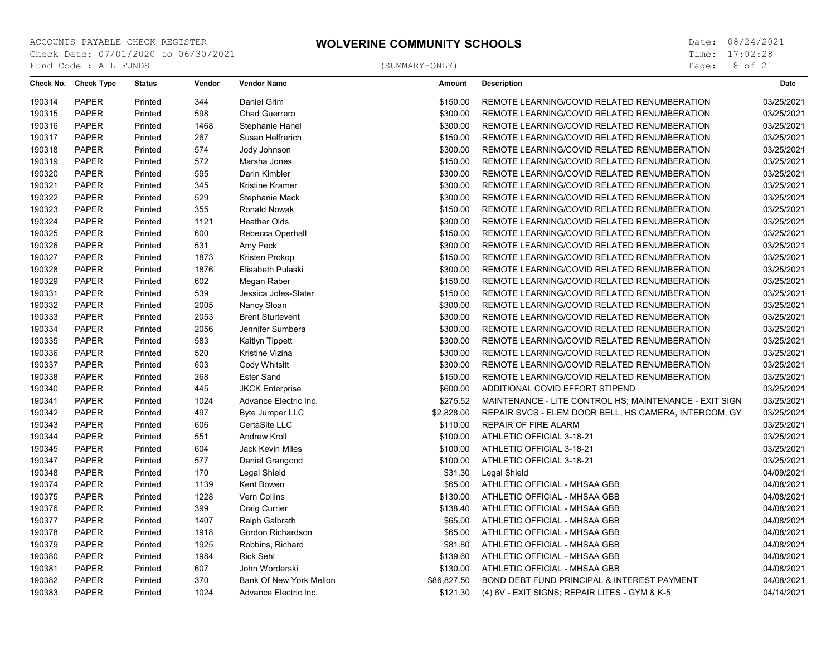Page: 18 of 21

|        | Check No. Check Type | <b>Status</b> | Vendor | <b>Vendor Name</b>      | Amount      | <b>Description</b>                                     | <b>Date</b> |
|--------|----------------------|---------------|--------|-------------------------|-------------|--------------------------------------------------------|-------------|
| 190314 | <b>PAPER</b>         | Printed       | 344    | Daniel Grim             | \$150.00    | REMOTE LEARNING/COVID RELATED RENUMBERATION            | 03/25/2021  |
| 190315 | <b>PAPER</b>         | Printed       | 598    | Chad Guerrero           | \$300.00    | REMOTE LEARNING/COVID RELATED RENUMBERATION            | 03/25/2021  |
| 190316 | <b>PAPER</b>         | Printed       | 1468   | Stephanie Hanel         | \$300.00    | REMOTE LEARNING/COVID RELATED RENUMBERATION            | 03/25/2021  |
| 190317 | <b>PAPER</b>         | Printed       | 267    | Susan Helfrerich        | \$150.00    | REMOTE LEARNING/COVID RELATED RENUMBERATION            | 03/25/2021  |
| 190318 | <b>PAPER</b>         | Printed       | 574    | Jody Johnson            | \$300.00    | REMOTE LEARNING/COVID RELATED RENUMBERATION            | 03/25/2021  |
| 190319 | <b>PAPER</b>         | Printed       | 572    | Marsha Jones            | \$150.00    | REMOTE LEARNING/COVID RELATED RENUMBERATION            | 03/25/2021  |
| 190320 | <b>PAPER</b>         | Printed       | 595    | Darin Kimbler           | \$300.00    | REMOTE LEARNING/COVID RELATED RENUMBERATION            | 03/25/2021  |
| 190321 | <b>PAPER</b>         | Printed       | 345    | Kristine Kramer         | \$300.00    | REMOTE LEARNING/COVID RELATED RENUMBERATION            | 03/25/2021  |
| 190322 | <b>PAPER</b>         | Printed       | 529    | Stephanie Mack          | \$300.00    | REMOTE LEARNING/COVID RELATED RENUMBERATION            | 03/25/2021  |
| 190323 | <b>PAPER</b>         | Printed       | 355    | Ronald Nowak            | \$150.00    | REMOTE LEARNING/COVID RELATED RENUMBERATION            | 03/25/2021  |
| 190324 | <b>PAPER</b>         | Printed       | 1121   | <b>Heather Olds</b>     | \$300.00    | REMOTE LEARNING/COVID RELATED RENUMBERATION            | 03/25/2021  |
| 190325 | <b>PAPER</b>         | Printed       | 600    | Rebecca Operhall        | \$150.00    | REMOTE LEARNING/COVID RELATED RENUMBERATION            | 03/25/2021  |
| 190326 | <b>PAPER</b>         | Printed       | 531    | Amy Peck                | \$300.00    | REMOTE LEARNING/COVID RELATED RENUMBERATION            | 03/25/2021  |
| 190327 | <b>PAPER</b>         | Printed       | 1873   | Kristen Prokop          | \$150.00    | REMOTE LEARNING/COVID RELATED RENUMBERATION            | 03/25/2021  |
| 190328 | <b>PAPER</b>         | Printed       | 1876   | Elisabeth Pulaski       | \$300.00    | REMOTE LEARNING/COVID RELATED RENUMBERATION            | 03/25/2021  |
| 190329 | <b>PAPER</b>         | Printed       | 602    | Megan Raber             | \$150.00    | REMOTE LEARNING/COVID RELATED RENUMBERATION            | 03/25/2021  |
| 190331 | <b>PAPER</b>         | Printed       | 539    | Jessica Joles-Slater    | \$150.00    | REMOTE LEARNING/COVID RELATED RENUMBERATION            | 03/25/2021  |
| 190332 | <b>PAPER</b>         | Printed       | 2005   | Nancy Sloan             | \$300.00    | REMOTE LEARNING/COVID RELATED RENUMBERATION            | 03/25/2021  |
| 190333 | <b>PAPER</b>         | Printed       | 2053   | <b>Brent Sturtevent</b> | \$300.00    | REMOTE LEARNING/COVID RELATED RENUMBERATION            | 03/25/2021  |
| 190334 | <b>PAPER</b>         | Printed       | 2056   | Jennifer Sumbera        | \$300.00    | REMOTE LEARNING/COVID RELATED RENUMBERATION            | 03/25/2021  |
| 190335 | <b>PAPER</b>         | Printed       | 583    | Kaitlyn Tippett         | \$300.00    | REMOTE LEARNING/COVID RELATED RENUMBERATION            | 03/25/2021  |
| 190336 | <b>PAPER</b>         | Printed       | 520    | Kristine Vizina         | \$300.00    | REMOTE LEARNING/COVID RELATED RENUMBERATION            | 03/25/2021  |
| 190337 | <b>PAPER</b>         | Printed       | 603    | Cody Whitsitt           | \$300.00    | REMOTE LEARNING/COVID RELATED RENUMBERATION            | 03/25/2021  |
| 190338 | <b>PAPER</b>         | Printed       | 268    | <b>Ester Sand</b>       | \$150.00    | REMOTE LEARNING/COVID RELATED RENUMBERATION            | 03/25/2021  |
| 190340 | <b>PAPER</b>         | Printed       | 445    | <b>JKCK Enterprise</b>  | \$600.00    | ADDITIONAL COVID EFFORT STIPEND                        | 03/25/2021  |
| 190341 | <b>PAPER</b>         | Printed       | 1024   | Advance Electric Inc.   | \$275.52    | MAINTENANCE - LITE CONTROL HS; MAINTENANCE - EXIT SIGN | 03/25/2021  |
| 190342 | <b>PAPER</b>         | Printed       | 497    | Byte Jumper LLC         | \$2,828.00  | REPAIR SVCS - ELEM DOOR BELL, HS CAMERA, INTERCOM, GY  | 03/25/2021  |
| 190343 | <b>PAPER</b>         | Printed       | 606    | CertaSite LLC           | \$110.00    | <b>REPAIR OF FIRE ALARM</b>                            | 03/25/2021  |
| 190344 | <b>PAPER</b>         | Printed       | 551    | Andrew Kroll            | \$100.00    | ATHLETIC OFFICIAL 3-18-21                              | 03/25/2021  |
| 190345 | <b>PAPER</b>         | Printed       | 604    | Jack Kevin Miles        | \$100.00    | ATHLETIC OFFICIAL 3-18-21                              | 03/25/2021  |
| 190347 | <b>PAPER</b>         | Printed       | 577    | Daniel Grangood         | \$100.00    | ATHLETIC OFFICIAL 3-18-21                              | 03/25/2021  |
| 190348 | <b>PAPER</b>         | Printed       | 170    | Legal Shield            | \$31.30     | Legal Shield                                           | 04/09/2021  |
| 190374 | <b>PAPER</b>         | Printed       | 1139   | Kent Bowen              | \$65.00     | ATHLETIC OFFICIAL - MHSAA GBB                          | 04/08/2021  |
| 190375 | <b>PAPER</b>         | Printed       | 1228   | Vern Collins            | \$130.00    | ATHLETIC OFFICIAL - MHSAA GBB                          | 04/08/2021  |
| 190376 | <b>PAPER</b>         | Printed       | 399    | <b>Craig Currier</b>    | \$138.40    | ATHLETIC OFFICIAL - MHSAA GBB                          | 04/08/2021  |
| 190377 | <b>PAPER</b>         | Printed       | 1407   | Ralph Galbrath          | \$65.00     | ATHLETIC OFFICIAL - MHSAA GBB                          | 04/08/2021  |
| 190378 | <b>PAPER</b>         | Printed       | 1918   | Gordon Richardson       | \$65.00     | ATHLETIC OFFICIAL - MHSAA GBB                          | 04/08/2021  |
| 190379 | <b>PAPER</b>         | Printed       | 1925   | Robbins, Richard        | \$81.80     | ATHLETIC OFFICIAL - MHSAA GBB                          | 04/08/2021  |
| 190380 | <b>PAPER</b>         | Printed       | 1984   | <b>Rick Sehl</b>        | \$139.60    | ATHLETIC OFFICIAL - MHSAA GBB                          | 04/08/2021  |
| 190381 | <b>PAPER</b>         | Printed       | 607    | John Worderski          | \$130.00    | ATHLETIC OFFICIAL - MHSAA GBB                          | 04/08/2021  |
| 190382 | <b>PAPER</b>         | Printed       | 370    | Bank Of New York Mellon | \$86,827.50 | BOND DEBT FUND PRINCIPAL & INTEREST PAYMENT            | 04/08/2021  |
| 190383 | <b>PAPER</b>         | Printed       | 1024   | Advance Electric Inc.   | \$121.30    | (4) 6V - EXIT SIGNS; REPAIR LITES - GYM & K-5          | 04/14/2021  |
|        |                      |               |        |                         |             |                                                        |             |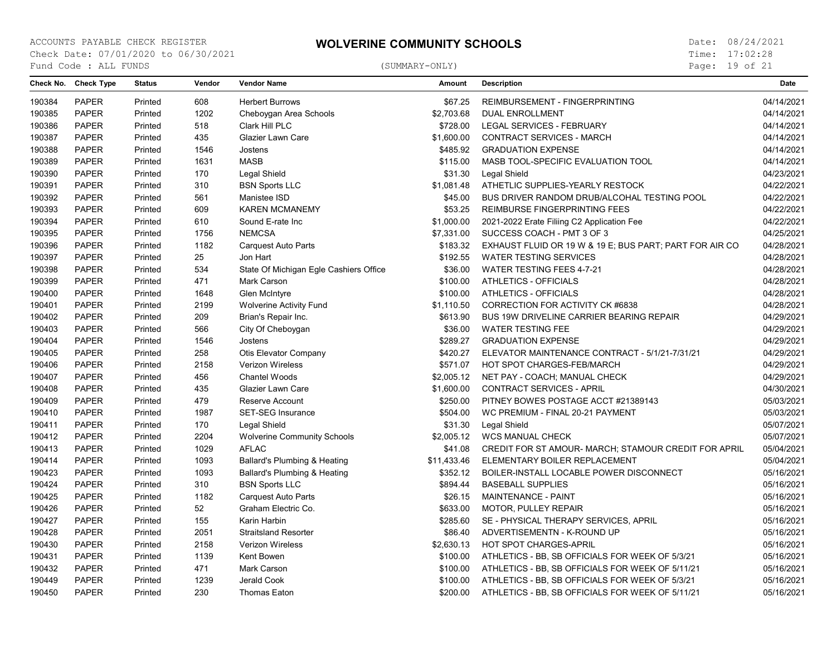Page: 19 of 21

| 190384<br><b>PAPER</b><br>Printed<br>608<br><b>Herbert Burrows</b><br>\$67.25<br>04/14/2021<br>REIMBURSEMENT - FINGERPRINTING<br>1202<br><b>PAPER</b><br>\$2,703.68<br>04/14/2021<br>190385<br>Printed<br>Cheboygan Area Schools<br><b>DUAL ENROLLMENT</b><br><b>PAPER</b><br>190386<br>518<br>Clark Hill PLC<br>\$728.00<br>LEGAL SERVICES - FEBRUARY<br>04/14/2021<br>Printed<br>\$1,600.00<br>190387<br><b>PAPER</b><br>Printed<br>435<br>Glazier Lawn Care<br><b>CONTRACT SERVICES - MARCH</b><br>04/14/2021<br>190388<br><b>PAPER</b><br>\$485.92<br><b>GRADUATION EXPENSE</b><br>04/14/2021<br>Printed<br>1546<br>Jostens<br><b>PAPER</b><br><b>MASB</b><br>\$115.00<br>04/14/2021<br>190389<br>Printed<br>1631<br>MASB TOOL-SPECIFIC EVALUATION TOOL<br>190390<br><b>PAPER</b><br>170<br>Legal Shield<br>\$31.30<br>Legal Shield<br>04/23/2021<br>Printed<br>190391<br><b>PAPER</b><br>310<br><b>BSN Sports LLC</b><br>\$1,081.48<br>ATHETLIC SUPPLIES-YEARLY RESTOCK<br>04/22/2021<br>Printed<br><b>PAPER</b><br>04/22/2021<br>190392<br>Printed<br>561<br>Manistee ISD<br>\$45.00<br>BUS DRIVER RANDOM DRUB/ALCOHAL TESTING POOL<br><b>PAPER</b><br>04/22/2021<br>190393<br>Printed<br>609<br><b>KAREN MCMANEMY</b><br>\$53.25<br>REIMBURSE FINGERPRINTING FEES<br><b>PAPER</b><br>190394<br>610<br>Sound E-rate Inc<br>\$1,000.00<br>2021-2022 Erate Filiing C2 Application Fee<br>04/22/2021<br>Printed<br><b>NEMCSA</b><br>190395<br><b>PAPER</b><br>1756<br>\$7,331.00<br>SUCCESS COACH - PMT 3 OF 3<br>04/25/2021<br>Printed<br>190396<br><b>PAPER</b><br>1182<br>\$183.32<br>04/28/2021<br>Printed<br>Carquest Auto Parts<br>EXHAUST FLUID OR 19 W & 19 E; BUS PART; PART FOR AIR CO<br>190397<br><b>PAPER</b><br>25<br>Jon Hart<br>\$192.55<br><b>WATER TESTING SERVICES</b><br>04/28/2021<br>Printed<br>190398<br><b>PAPER</b><br>534<br>State Of Michigan Egle Cashiers Office<br>\$36.00<br><b>WATER TESTING FEES 4-7-21</b><br>04/28/2021<br>Printed<br><b>PAPER</b><br>190399<br>471<br>Mark Carson<br>\$100.00<br><b>ATHLETICS - OFFICIALS</b><br>04/28/2021<br>Printed<br>04/28/2021<br>190400<br><b>PAPER</b><br>Printed<br>1648<br>Glen McIntyre<br>\$100.00<br><b>ATHLETICS - OFFICIALS</b><br><b>PAPER</b><br>2199<br>04/28/2021<br>190401<br>Printed<br><b>Wolverine Activity Fund</b><br>\$1,110.50<br>CORRECTION FOR ACTIVITY CK #6838<br><b>PAPER</b><br>209<br>\$613.90<br>04/29/2021<br>190402<br>Printed<br>Brian's Repair Inc.<br>BUS 19W DRIVELINE CARRIER BEARING REPAIR<br>190403<br><b>PAPER</b><br>566<br>City Of Cheboygan<br>\$36.00<br><b>WATER TESTING FEE</b><br>04/29/2021<br>Printed<br>190404<br><b>PAPER</b><br>1546<br>\$289.27<br><b>GRADUATION EXPENSE</b><br>04/29/2021<br>Printed<br>Jostens<br>190405<br><b>PAPER</b><br>258<br>Otis Elevator Company<br>\$420.27<br>ELEVATOR MAINTENANCE CONTRACT - 5/1/21-7/31/21<br>04/29/2021<br>Printed<br>PAPER<br>\$571.07<br>190406<br>Printed<br>2158<br><b>Verizon Wireless</b><br>HOT SPOT CHARGES-FEB/MARCH<br>04/29/2021<br><b>PAPER</b><br>04/29/2021<br>190407<br>456<br><b>Chantel Woods</b><br>\$2,005.12<br>NET PAY - COACH; MANUAL CHECK<br>Printed<br>190408<br><b>PAPER</b><br>435<br>\$1,600.00<br><b>CONTRACT SERVICES - APRIL</b><br>04/30/2021<br>Printed<br>Glazier Lawn Care<br><b>PAPER</b><br>479<br>\$250.00<br>05/03/2021<br>190409<br>Printed<br>Reserve Account<br>PITNEY BOWES POSTAGE ACCT #21389143<br>190410<br><b>PAPER</b><br>1987<br><b>SET-SEG Insurance</b><br>\$504.00<br>WC PREMIUM - FINAL 20-21 PAYMENT<br>05/03/2021<br>Printed<br><b>PAPER</b><br>170<br>Legal Shield<br>\$31.30<br>Legal Shield<br>05/07/2021<br>190411<br>Printed<br><b>PAPER</b><br>2204<br>05/07/2021<br>190412<br><b>Wolverine Community Schools</b><br>\$2,005.12<br><b>WCS MANUAL CHECK</b><br>Printed<br>1029<br>190413<br><b>PAPER</b><br>Printed<br><b>AFLAC</b><br>\$41.08<br>CREDIT FOR ST AMOUR- MARCH; STAMOUR CREDIT FOR APRIL<br>05/04/2021<br>1093<br>190414<br><b>PAPER</b><br>Printed<br>Ballard's Plumbing & Heating<br>\$11,433.46<br>ELEMENTARY BOILER REPLACEMENT<br>05/04/2021<br><b>PAPER</b><br>1093<br>190423<br>Printed<br>Ballard's Plumbing & Heating<br>\$352.12<br>BOILER-INSTALL LOCABLE POWER DISCONNECT<br>05/16/2021<br>190424<br><b>PAPER</b><br>310<br><b>BSN Sports LLC</b><br>\$894.44<br><b>BASEBALL SUPPLIES</b><br>05/16/2021<br>Printed<br>190425<br><b>PAPER</b><br>1182<br><b>Carquest Auto Parts</b><br>\$26.15<br>MAINTENANCE - PAINT<br>05/16/2021<br>Printed<br>190426<br><b>PAPER</b><br>52<br>Graham Electric Co.<br>\$633.00<br>05/16/2021<br>Printed<br><b>MOTOR, PULLEY REPAIR</b><br>PAPER<br>05/16/2021<br>190427<br>Printed<br>155<br>Karin Harbin<br>\$285.60<br>SE - PHYSICAL THERAPY SERVICES, APRIL<br><b>PAPER</b><br>190428<br>2051<br><b>Straitsland Resorter</b><br>\$86.40<br>ADVERTISEMENTN - K-ROUND UP<br>05/16/2021<br>Printed<br>190430<br><b>PAPER</b><br>2158<br>Verizon Wireless<br>\$2,630.13<br><b>HOT SPOT CHARGES-APRIL</b><br>05/16/2021<br>Printed<br><b>PAPER</b><br>1139<br>Kent Bowen<br>05/16/2021<br>190431<br>Printed<br>\$100.00<br>ATHLETICS - BB, SB OFFICIALS FOR WEEK OF 5/3/21<br>190432<br><b>PAPER</b><br>471<br>Mark Carson<br>\$100.00<br>05/16/2021<br>Printed<br>ATHLETICS - BB, SB OFFICIALS FOR WEEK OF 5/11/21<br>190449<br><b>PAPER</b><br>1239<br>Jerald Cook<br>05/16/2021<br>Printed<br>\$100.00<br>ATHLETICS - BB, SB OFFICIALS FOR WEEK OF 5/3/21<br>190450<br><b>PAPER</b><br>230<br>\$200.00<br>ATHLETICS - BB, SB OFFICIALS FOR WEEK OF 5/11/21<br>05/16/2021<br>Printed<br><b>Thomas Eaton</b> | Check No. Check Type | <b>Status</b> | Vendor | <b>Vendor Name</b> | Amount | <b>Description</b> | Date |
|-----------------------------------------------------------------------------------------------------------------------------------------------------------------------------------------------------------------------------------------------------------------------------------------------------------------------------------------------------------------------------------------------------------------------------------------------------------------------------------------------------------------------------------------------------------------------------------------------------------------------------------------------------------------------------------------------------------------------------------------------------------------------------------------------------------------------------------------------------------------------------------------------------------------------------------------------------------------------------------------------------------------------------------------------------------------------------------------------------------------------------------------------------------------------------------------------------------------------------------------------------------------------------------------------------------------------------------------------------------------------------------------------------------------------------------------------------------------------------------------------------------------------------------------------------------------------------------------------------------------------------------------------------------------------------------------------------------------------------------------------------------------------------------------------------------------------------------------------------------------------------------------------------------------------------------------------------------------------------------------------------------------------------------------------------------------------------------------------------------------------------------------------------------------------------------------------------------------------------------------------------------------------------------------------------------------------------------------------------------------------------------------------------------------------------------------------------------------------------------------------------------------------------------------------------------------------------------------------------------------------------------------------------------------------------------------------------------------------------------------------------------------------------------------------------------------------------------------------------------------------------------------------------------------------------------------------------------------------------------------------------------------------------------------------------------------------------------------------------------------------------------------------------------------------------------------------------------------------------------------------------------------------------------------------------------------------------------------------------------------------------------------------------------------------------------------------------------------------------------------------------------------------------------------------------------------------------------------------------------------------------------------------------------------------------------------------------------------------------------------------------------------------------------------------------------------------------------------------------------------------------------------------------------------------------------------------------------------------------------------------------------------------------------------------------------------------------------------------------------------------------------------------------------------------------------------------------------------------------------------------------------------------------------------------------------------------------------------------------------------------------------------------------------------------------------------------------------------------------------------------------------------------------------------------------------------------------------------------------------------------------------------------------------------------------------------------------------------------------------------------------------------------------------------------------------------------------------------------------------------------------------------------------------------------------------------------------------------------------------------------------------------------------------------------------------------------------------------------------------------------------------------------------------------------------------------------------------------------------------------------------------------------------------------------------------------------------------------------------------------------------------------------------------------------------------------------------------------------------------------------------------------------------------------------------------------------------------------------------------------------|----------------------|---------------|--------|--------------------|--------|--------------------|------|
|                                                                                                                                                                                                                                                                                                                                                                                                                                                                                                                                                                                                                                                                                                                                                                                                                                                                                                                                                                                                                                                                                                                                                                                                                                                                                                                                                                                                                                                                                                                                                                                                                                                                                                                                                                                                                                                                                                                                                                                                                                                                                                                                                                                                                                                                                                                                                                                                                                                                                                                                                                                                                                                                                                                                                                                                                                                                                                                                                                                                                                                                                                                                                                                                                                                                                                                                                                                                                                                                                                                                                                                                                                                                                                                                                                                                                                                                                                                                                                                                                                                                                                                                                                                                                                                                                                                                                                                                                                                                                                                                                                                                                                                                                                                                                                                                                                                                                                                                                                                                                                                                                                                                                                                                                                                                                                                                                                                                                                                                                                                                                                                                                       |                      |               |        |                    |        |                    |      |
|                                                                                                                                                                                                                                                                                                                                                                                                                                                                                                                                                                                                                                                                                                                                                                                                                                                                                                                                                                                                                                                                                                                                                                                                                                                                                                                                                                                                                                                                                                                                                                                                                                                                                                                                                                                                                                                                                                                                                                                                                                                                                                                                                                                                                                                                                                                                                                                                                                                                                                                                                                                                                                                                                                                                                                                                                                                                                                                                                                                                                                                                                                                                                                                                                                                                                                                                                                                                                                                                                                                                                                                                                                                                                                                                                                                                                                                                                                                                                                                                                                                                                                                                                                                                                                                                                                                                                                                                                                                                                                                                                                                                                                                                                                                                                                                                                                                                                                                                                                                                                                                                                                                                                                                                                                                                                                                                                                                                                                                                                                                                                                                                                       |                      |               |        |                    |        |                    |      |
|                                                                                                                                                                                                                                                                                                                                                                                                                                                                                                                                                                                                                                                                                                                                                                                                                                                                                                                                                                                                                                                                                                                                                                                                                                                                                                                                                                                                                                                                                                                                                                                                                                                                                                                                                                                                                                                                                                                                                                                                                                                                                                                                                                                                                                                                                                                                                                                                                                                                                                                                                                                                                                                                                                                                                                                                                                                                                                                                                                                                                                                                                                                                                                                                                                                                                                                                                                                                                                                                                                                                                                                                                                                                                                                                                                                                                                                                                                                                                                                                                                                                                                                                                                                                                                                                                                                                                                                                                                                                                                                                                                                                                                                                                                                                                                                                                                                                                                                                                                                                                                                                                                                                                                                                                                                                                                                                                                                                                                                                                                                                                                                                                       |                      |               |        |                    |        |                    |      |
|                                                                                                                                                                                                                                                                                                                                                                                                                                                                                                                                                                                                                                                                                                                                                                                                                                                                                                                                                                                                                                                                                                                                                                                                                                                                                                                                                                                                                                                                                                                                                                                                                                                                                                                                                                                                                                                                                                                                                                                                                                                                                                                                                                                                                                                                                                                                                                                                                                                                                                                                                                                                                                                                                                                                                                                                                                                                                                                                                                                                                                                                                                                                                                                                                                                                                                                                                                                                                                                                                                                                                                                                                                                                                                                                                                                                                                                                                                                                                                                                                                                                                                                                                                                                                                                                                                                                                                                                                                                                                                                                                                                                                                                                                                                                                                                                                                                                                                                                                                                                                                                                                                                                                                                                                                                                                                                                                                                                                                                                                                                                                                                                                       |                      |               |        |                    |        |                    |      |
|                                                                                                                                                                                                                                                                                                                                                                                                                                                                                                                                                                                                                                                                                                                                                                                                                                                                                                                                                                                                                                                                                                                                                                                                                                                                                                                                                                                                                                                                                                                                                                                                                                                                                                                                                                                                                                                                                                                                                                                                                                                                                                                                                                                                                                                                                                                                                                                                                                                                                                                                                                                                                                                                                                                                                                                                                                                                                                                                                                                                                                                                                                                                                                                                                                                                                                                                                                                                                                                                                                                                                                                                                                                                                                                                                                                                                                                                                                                                                                                                                                                                                                                                                                                                                                                                                                                                                                                                                                                                                                                                                                                                                                                                                                                                                                                                                                                                                                                                                                                                                                                                                                                                                                                                                                                                                                                                                                                                                                                                                                                                                                                                                       |                      |               |        |                    |        |                    |      |
|                                                                                                                                                                                                                                                                                                                                                                                                                                                                                                                                                                                                                                                                                                                                                                                                                                                                                                                                                                                                                                                                                                                                                                                                                                                                                                                                                                                                                                                                                                                                                                                                                                                                                                                                                                                                                                                                                                                                                                                                                                                                                                                                                                                                                                                                                                                                                                                                                                                                                                                                                                                                                                                                                                                                                                                                                                                                                                                                                                                                                                                                                                                                                                                                                                                                                                                                                                                                                                                                                                                                                                                                                                                                                                                                                                                                                                                                                                                                                                                                                                                                                                                                                                                                                                                                                                                                                                                                                                                                                                                                                                                                                                                                                                                                                                                                                                                                                                                                                                                                                                                                                                                                                                                                                                                                                                                                                                                                                                                                                                                                                                                                                       |                      |               |        |                    |        |                    |      |
|                                                                                                                                                                                                                                                                                                                                                                                                                                                                                                                                                                                                                                                                                                                                                                                                                                                                                                                                                                                                                                                                                                                                                                                                                                                                                                                                                                                                                                                                                                                                                                                                                                                                                                                                                                                                                                                                                                                                                                                                                                                                                                                                                                                                                                                                                                                                                                                                                                                                                                                                                                                                                                                                                                                                                                                                                                                                                                                                                                                                                                                                                                                                                                                                                                                                                                                                                                                                                                                                                                                                                                                                                                                                                                                                                                                                                                                                                                                                                                                                                                                                                                                                                                                                                                                                                                                                                                                                                                                                                                                                                                                                                                                                                                                                                                                                                                                                                                                                                                                                                                                                                                                                                                                                                                                                                                                                                                                                                                                                                                                                                                                                                       |                      |               |        |                    |        |                    |      |
|                                                                                                                                                                                                                                                                                                                                                                                                                                                                                                                                                                                                                                                                                                                                                                                                                                                                                                                                                                                                                                                                                                                                                                                                                                                                                                                                                                                                                                                                                                                                                                                                                                                                                                                                                                                                                                                                                                                                                                                                                                                                                                                                                                                                                                                                                                                                                                                                                                                                                                                                                                                                                                                                                                                                                                                                                                                                                                                                                                                                                                                                                                                                                                                                                                                                                                                                                                                                                                                                                                                                                                                                                                                                                                                                                                                                                                                                                                                                                                                                                                                                                                                                                                                                                                                                                                                                                                                                                                                                                                                                                                                                                                                                                                                                                                                                                                                                                                                                                                                                                                                                                                                                                                                                                                                                                                                                                                                                                                                                                                                                                                                                                       |                      |               |        |                    |        |                    |      |
|                                                                                                                                                                                                                                                                                                                                                                                                                                                                                                                                                                                                                                                                                                                                                                                                                                                                                                                                                                                                                                                                                                                                                                                                                                                                                                                                                                                                                                                                                                                                                                                                                                                                                                                                                                                                                                                                                                                                                                                                                                                                                                                                                                                                                                                                                                                                                                                                                                                                                                                                                                                                                                                                                                                                                                                                                                                                                                                                                                                                                                                                                                                                                                                                                                                                                                                                                                                                                                                                                                                                                                                                                                                                                                                                                                                                                                                                                                                                                                                                                                                                                                                                                                                                                                                                                                                                                                                                                                                                                                                                                                                                                                                                                                                                                                                                                                                                                                                                                                                                                                                                                                                                                                                                                                                                                                                                                                                                                                                                                                                                                                                                                       |                      |               |        |                    |        |                    |      |
|                                                                                                                                                                                                                                                                                                                                                                                                                                                                                                                                                                                                                                                                                                                                                                                                                                                                                                                                                                                                                                                                                                                                                                                                                                                                                                                                                                                                                                                                                                                                                                                                                                                                                                                                                                                                                                                                                                                                                                                                                                                                                                                                                                                                                                                                                                                                                                                                                                                                                                                                                                                                                                                                                                                                                                                                                                                                                                                                                                                                                                                                                                                                                                                                                                                                                                                                                                                                                                                                                                                                                                                                                                                                                                                                                                                                                                                                                                                                                                                                                                                                                                                                                                                                                                                                                                                                                                                                                                                                                                                                                                                                                                                                                                                                                                                                                                                                                                                                                                                                                                                                                                                                                                                                                                                                                                                                                                                                                                                                                                                                                                                                                       |                      |               |        |                    |        |                    |      |
|                                                                                                                                                                                                                                                                                                                                                                                                                                                                                                                                                                                                                                                                                                                                                                                                                                                                                                                                                                                                                                                                                                                                                                                                                                                                                                                                                                                                                                                                                                                                                                                                                                                                                                                                                                                                                                                                                                                                                                                                                                                                                                                                                                                                                                                                                                                                                                                                                                                                                                                                                                                                                                                                                                                                                                                                                                                                                                                                                                                                                                                                                                                                                                                                                                                                                                                                                                                                                                                                                                                                                                                                                                                                                                                                                                                                                                                                                                                                                                                                                                                                                                                                                                                                                                                                                                                                                                                                                                                                                                                                                                                                                                                                                                                                                                                                                                                                                                                                                                                                                                                                                                                                                                                                                                                                                                                                                                                                                                                                                                                                                                                                                       |                      |               |        |                    |        |                    |      |
|                                                                                                                                                                                                                                                                                                                                                                                                                                                                                                                                                                                                                                                                                                                                                                                                                                                                                                                                                                                                                                                                                                                                                                                                                                                                                                                                                                                                                                                                                                                                                                                                                                                                                                                                                                                                                                                                                                                                                                                                                                                                                                                                                                                                                                                                                                                                                                                                                                                                                                                                                                                                                                                                                                                                                                                                                                                                                                                                                                                                                                                                                                                                                                                                                                                                                                                                                                                                                                                                                                                                                                                                                                                                                                                                                                                                                                                                                                                                                                                                                                                                                                                                                                                                                                                                                                                                                                                                                                                                                                                                                                                                                                                                                                                                                                                                                                                                                                                                                                                                                                                                                                                                                                                                                                                                                                                                                                                                                                                                                                                                                                                                                       |                      |               |        |                    |        |                    |      |
|                                                                                                                                                                                                                                                                                                                                                                                                                                                                                                                                                                                                                                                                                                                                                                                                                                                                                                                                                                                                                                                                                                                                                                                                                                                                                                                                                                                                                                                                                                                                                                                                                                                                                                                                                                                                                                                                                                                                                                                                                                                                                                                                                                                                                                                                                                                                                                                                                                                                                                                                                                                                                                                                                                                                                                                                                                                                                                                                                                                                                                                                                                                                                                                                                                                                                                                                                                                                                                                                                                                                                                                                                                                                                                                                                                                                                                                                                                                                                                                                                                                                                                                                                                                                                                                                                                                                                                                                                                                                                                                                                                                                                                                                                                                                                                                                                                                                                                                                                                                                                                                                                                                                                                                                                                                                                                                                                                                                                                                                                                                                                                                                                       |                      |               |        |                    |        |                    |      |
|                                                                                                                                                                                                                                                                                                                                                                                                                                                                                                                                                                                                                                                                                                                                                                                                                                                                                                                                                                                                                                                                                                                                                                                                                                                                                                                                                                                                                                                                                                                                                                                                                                                                                                                                                                                                                                                                                                                                                                                                                                                                                                                                                                                                                                                                                                                                                                                                                                                                                                                                                                                                                                                                                                                                                                                                                                                                                                                                                                                                                                                                                                                                                                                                                                                                                                                                                                                                                                                                                                                                                                                                                                                                                                                                                                                                                                                                                                                                                                                                                                                                                                                                                                                                                                                                                                                                                                                                                                                                                                                                                                                                                                                                                                                                                                                                                                                                                                                                                                                                                                                                                                                                                                                                                                                                                                                                                                                                                                                                                                                                                                                                                       |                      |               |        |                    |        |                    |      |
|                                                                                                                                                                                                                                                                                                                                                                                                                                                                                                                                                                                                                                                                                                                                                                                                                                                                                                                                                                                                                                                                                                                                                                                                                                                                                                                                                                                                                                                                                                                                                                                                                                                                                                                                                                                                                                                                                                                                                                                                                                                                                                                                                                                                                                                                                                                                                                                                                                                                                                                                                                                                                                                                                                                                                                                                                                                                                                                                                                                                                                                                                                                                                                                                                                                                                                                                                                                                                                                                                                                                                                                                                                                                                                                                                                                                                                                                                                                                                                                                                                                                                                                                                                                                                                                                                                                                                                                                                                                                                                                                                                                                                                                                                                                                                                                                                                                                                                                                                                                                                                                                                                                                                                                                                                                                                                                                                                                                                                                                                                                                                                                                                       |                      |               |        |                    |        |                    |      |
|                                                                                                                                                                                                                                                                                                                                                                                                                                                                                                                                                                                                                                                                                                                                                                                                                                                                                                                                                                                                                                                                                                                                                                                                                                                                                                                                                                                                                                                                                                                                                                                                                                                                                                                                                                                                                                                                                                                                                                                                                                                                                                                                                                                                                                                                                                                                                                                                                                                                                                                                                                                                                                                                                                                                                                                                                                                                                                                                                                                                                                                                                                                                                                                                                                                                                                                                                                                                                                                                                                                                                                                                                                                                                                                                                                                                                                                                                                                                                                                                                                                                                                                                                                                                                                                                                                                                                                                                                                                                                                                                                                                                                                                                                                                                                                                                                                                                                                                                                                                                                                                                                                                                                                                                                                                                                                                                                                                                                                                                                                                                                                                                                       |                      |               |        |                    |        |                    |      |
|                                                                                                                                                                                                                                                                                                                                                                                                                                                                                                                                                                                                                                                                                                                                                                                                                                                                                                                                                                                                                                                                                                                                                                                                                                                                                                                                                                                                                                                                                                                                                                                                                                                                                                                                                                                                                                                                                                                                                                                                                                                                                                                                                                                                                                                                                                                                                                                                                                                                                                                                                                                                                                                                                                                                                                                                                                                                                                                                                                                                                                                                                                                                                                                                                                                                                                                                                                                                                                                                                                                                                                                                                                                                                                                                                                                                                                                                                                                                                                                                                                                                                                                                                                                                                                                                                                                                                                                                                                                                                                                                                                                                                                                                                                                                                                                                                                                                                                                                                                                                                                                                                                                                                                                                                                                                                                                                                                                                                                                                                                                                                                                                                       |                      |               |        |                    |        |                    |      |
|                                                                                                                                                                                                                                                                                                                                                                                                                                                                                                                                                                                                                                                                                                                                                                                                                                                                                                                                                                                                                                                                                                                                                                                                                                                                                                                                                                                                                                                                                                                                                                                                                                                                                                                                                                                                                                                                                                                                                                                                                                                                                                                                                                                                                                                                                                                                                                                                                                                                                                                                                                                                                                                                                                                                                                                                                                                                                                                                                                                                                                                                                                                                                                                                                                                                                                                                                                                                                                                                                                                                                                                                                                                                                                                                                                                                                                                                                                                                                                                                                                                                                                                                                                                                                                                                                                                                                                                                                                                                                                                                                                                                                                                                                                                                                                                                                                                                                                                                                                                                                                                                                                                                                                                                                                                                                                                                                                                                                                                                                                                                                                                                                       |                      |               |        |                    |        |                    |      |
|                                                                                                                                                                                                                                                                                                                                                                                                                                                                                                                                                                                                                                                                                                                                                                                                                                                                                                                                                                                                                                                                                                                                                                                                                                                                                                                                                                                                                                                                                                                                                                                                                                                                                                                                                                                                                                                                                                                                                                                                                                                                                                                                                                                                                                                                                                                                                                                                                                                                                                                                                                                                                                                                                                                                                                                                                                                                                                                                                                                                                                                                                                                                                                                                                                                                                                                                                                                                                                                                                                                                                                                                                                                                                                                                                                                                                                                                                                                                                                                                                                                                                                                                                                                                                                                                                                                                                                                                                                                                                                                                                                                                                                                                                                                                                                                                                                                                                                                                                                                                                                                                                                                                                                                                                                                                                                                                                                                                                                                                                                                                                                                                                       |                      |               |        |                    |        |                    |      |
|                                                                                                                                                                                                                                                                                                                                                                                                                                                                                                                                                                                                                                                                                                                                                                                                                                                                                                                                                                                                                                                                                                                                                                                                                                                                                                                                                                                                                                                                                                                                                                                                                                                                                                                                                                                                                                                                                                                                                                                                                                                                                                                                                                                                                                                                                                                                                                                                                                                                                                                                                                                                                                                                                                                                                                                                                                                                                                                                                                                                                                                                                                                                                                                                                                                                                                                                                                                                                                                                                                                                                                                                                                                                                                                                                                                                                                                                                                                                                                                                                                                                                                                                                                                                                                                                                                                                                                                                                                                                                                                                                                                                                                                                                                                                                                                                                                                                                                                                                                                                                                                                                                                                                                                                                                                                                                                                                                                                                                                                                                                                                                                                                       |                      |               |        |                    |        |                    |      |
|                                                                                                                                                                                                                                                                                                                                                                                                                                                                                                                                                                                                                                                                                                                                                                                                                                                                                                                                                                                                                                                                                                                                                                                                                                                                                                                                                                                                                                                                                                                                                                                                                                                                                                                                                                                                                                                                                                                                                                                                                                                                                                                                                                                                                                                                                                                                                                                                                                                                                                                                                                                                                                                                                                                                                                                                                                                                                                                                                                                                                                                                                                                                                                                                                                                                                                                                                                                                                                                                                                                                                                                                                                                                                                                                                                                                                                                                                                                                                                                                                                                                                                                                                                                                                                                                                                                                                                                                                                                                                                                                                                                                                                                                                                                                                                                                                                                                                                                                                                                                                                                                                                                                                                                                                                                                                                                                                                                                                                                                                                                                                                                                                       |                      |               |        |                    |        |                    |      |
|                                                                                                                                                                                                                                                                                                                                                                                                                                                                                                                                                                                                                                                                                                                                                                                                                                                                                                                                                                                                                                                                                                                                                                                                                                                                                                                                                                                                                                                                                                                                                                                                                                                                                                                                                                                                                                                                                                                                                                                                                                                                                                                                                                                                                                                                                                                                                                                                                                                                                                                                                                                                                                                                                                                                                                                                                                                                                                                                                                                                                                                                                                                                                                                                                                                                                                                                                                                                                                                                                                                                                                                                                                                                                                                                                                                                                                                                                                                                                                                                                                                                                                                                                                                                                                                                                                                                                                                                                                                                                                                                                                                                                                                                                                                                                                                                                                                                                                                                                                                                                                                                                                                                                                                                                                                                                                                                                                                                                                                                                                                                                                                                                       |                      |               |        |                    |        |                    |      |
|                                                                                                                                                                                                                                                                                                                                                                                                                                                                                                                                                                                                                                                                                                                                                                                                                                                                                                                                                                                                                                                                                                                                                                                                                                                                                                                                                                                                                                                                                                                                                                                                                                                                                                                                                                                                                                                                                                                                                                                                                                                                                                                                                                                                                                                                                                                                                                                                                                                                                                                                                                                                                                                                                                                                                                                                                                                                                                                                                                                                                                                                                                                                                                                                                                                                                                                                                                                                                                                                                                                                                                                                                                                                                                                                                                                                                                                                                                                                                                                                                                                                                                                                                                                                                                                                                                                                                                                                                                                                                                                                                                                                                                                                                                                                                                                                                                                                                                                                                                                                                                                                                                                                                                                                                                                                                                                                                                                                                                                                                                                                                                                                                       |                      |               |        |                    |        |                    |      |
|                                                                                                                                                                                                                                                                                                                                                                                                                                                                                                                                                                                                                                                                                                                                                                                                                                                                                                                                                                                                                                                                                                                                                                                                                                                                                                                                                                                                                                                                                                                                                                                                                                                                                                                                                                                                                                                                                                                                                                                                                                                                                                                                                                                                                                                                                                                                                                                                                                                                                                                                                                                                                                                                                                                                                                                                                                                                                                                                                                                                                                                                                                                                                                                                                                                                                                                                                                                                                                                                                                                                                                                                                                                                                                                                                                                                                                                                                                                                                                                                                                                                                                                                                                                                                                                                                                                                                                                                                                                                                                                                                                                                                                                                                                                                                                                                                                                                                                                                                                                                                                                                                                                                                                                                                                                                                                                                                                                                                                                                                                                                                                                                                       |                      |               |        |                    |        |                    |      |
|                                                                                                                                                                                                                                                                                                                                                                                                                                                                                                                                                                                                                                                                                                                                                                                                                                                                                                                                                                                                                                                                                                                                                                                                                                                                                                                                                                                                                                                                                                                                                                                                                                                                                                                                                                                                                                                                                                                                                                                                                                                                                                                                                                                                                                                                                                                                                                                                                                                                                                                                                                                                                                                                                                                                                                                                                                                                                                                                                                                                                                                                                                                                                                                                                                                                                                                                                                                                                                                                                                                                                                                                                                                                                                                                                                                                                                                                                                                                                                                                                                                                                                                                                                                                                                                                                                                                                                                                                                                                                                                                                                                                                                                                                                                                                                                                                                                                                                                                                                                                                                                                                                                                                                                                                                                                                                                                                                                                                                                                                                                                                                                                                       |                      |               |        |                    |        |                    |      |
|                                                                                                                                                                                                                                                                                                                                                                                                                                                                                                                                                                                                                                                                                                                                                                                                                                                                                                                                                                                                                                                                                                                                                                                                                                                                                                                                                                                                                                                                                                                                                                                                                                                                                                                                                                                                                                                                                                                                                                                                                                                                                                                                                                                                                                                                                                                                                                                                                                                                                                                                                                                                                                                                                                                                                                                                                                                                                                                                                                                                                                                                                                                                                                                                                                                                                                                                                                                                                                                                                                                                                                                                                                                                                                                                                                                                                                                                                                                                                                                                                                                                                                                                                                                                                                                                                                                                                                                                                                                                                                                                                                                                                                                                                                                                                                                                                                                                                                                                                                                                                                                                                                                                                                                                                                                                                                                                                                                                                                                                                                                                                                                                                       |                      |               |        |                    |        |                    |      |
|                                                                                                                                                                                                                                                                                                                                                                                                                                                                                                                                                                                                                                                                                                                                                                                                                                                                                                                                                                                                                                                                                                                                                                                                                                                                                                                                                                                                                                                                                                                                                                                                                                                                                                                                                                                                                                                                                                                                                                                                                                                                                                                                                                                                                                                                                                                                                                                                                                                                                                                                                                                                                                                                                                                                                                                                                                                                                                                                                                                                                                                                                                                                                                                                                                                                                                                                                                                                                                                                                                                                                                                                                                                                                                                                                                                                                                                                                                                                                                                                                                                                                                                                                                                                                                                                                                                                                                                                                                                                                                                                                                                                                                                                                                                                                                                                                                                                                                                                                                                                                                                                                                                                                                                                                                                                                                                                                                                                                                                                                                                                                                                                                       |                      |               |        |                    |        |                    |      |
|                                                                                                                                                                                                                                                                                                                                                                                                                                                                                                                                                                                                                                                                                                                                                                                                                                                                                                                                                                                                                                                                                                                                                                                                                                                                                                                                                                                                                                                                                                                                                                                                                                                                                                                                                                                                                                                                                                                                                                                                                                                                                                                                                                                                                                                                                                                                                                                                                                                                                                                                                                                                                                                                                                                                                                                                                                                                                                                                                                                                                                                                                                                                                                                                                                                                                                                                                                                                                                                                                                                                                                                                                                                                                                                                                                                                                                                                                                                                                                                                                                                                                                                                                                                                                                                                                                                                                                                                                                                                                                                                                                                                                                                                                                                                                                                                                                                                                                                                                                                                                                                                                                                                                                                                                                                                                                                                                                                                                                                                                                                                                                                                                       |                      |               |        |                    |        |                    |      |
|                                                                                                                                                                                                                                                                                                                                                                                                                                                                                                                                                                                                                                                                                                                                                                                                                                                                                                                                                                                                                                                                                                                                                                                                                                                                                                                                                                                                                                                                                                                                                                                                                                                                                                                                                                                                                                                                                                                                                                                                                                                                                                                                                                                                                                                                                                                                                                                                                                                                                                                                                                                                                                                                                                                                                                                                                                                                                                                                                                                                                                                                                                                                                                                                                                                                                                                                                                                                                                                                                                                                                                                                                                                                                                                                                                                                                                                                                                                                                                                                                                                                                                                                                                                                                                                                                                                                                                                                                                                                                                                                                                                                                                                                                                                                                                                                                                                                                                                                                                                                                                                                                                                                                                                                                                                                                                                                                                                                                                                                                                                                                                                                                       |                      |               |        |                    |        |                    |      |
|                                                                                                                                                                                                                                                                                                                                                                                                                                                                                                                                                                                                                                                                                                                                                                                                                                                                                                                                                                                                                                                                                                                                                                                                                                                                                                                                                                                                                                                                                                                                                                                                                                                                                                                                                                                                                                                                                                                                                                                                                                                                                                                                                                                                                                                                                                                                                                                                                                                                                                                                                                                                                                                                                                                                                                                                                                                                                                                                                                                                                                                                                                                                                                                                                                                                                                                                                                                                                                                                                                                                                                                                                                                                                                                                                                                                                                                                                                                                                                                                                                                                                                                                                                                                                                                                                                                                                                                                                                                                                                                                                                                                                                                                                                                                                                                                                                                                                                                                                                                                                                                                                                                                                                                                                                                                                                                                                                                                                                                                                                                                                                                                                       |                      |               |        |                    |        |                    |      |
|                                                                                                                                                                                                                                                                                                                                                                                                                                                                                                                                                                                                                                                                                                                                                                                                                                                                                                                                                                                                                                                                                                                                                                                                                                                                                                                                                                                                                                                                                                                                                                                                                                                                                                                                                                                                                                                                                                                                                                                                                                                                                                                                                                                                                                                                                                                                                                                                                                                                                                                                                                                                                                                                                                                                                                                                                                                                                                                                                                                                                                                                                                                                                                                                                                                                                                                                                                                                                                                                                                                                                                                                                                                                                                                                                                                                                                                                                                                                                                                                                                                                                                                                                                                                                                                                                                                                                                                                                                                                                                                                                                                                                                                                                                                                                                                                                                                                                                                                                                                                                                                                                                                                                                                                                                                                                                                                                                                                                                                                                                                                                                                                                       |                      |               |        |                    |        |                    |      |
|                                                                                                                                                                                                                                                                                                                                                                                                                                                                                                                                                                                                                                                                                                                                                                                                                                                                                                                                                                                                                                                                                                                                                                                                                                                                                                                                                                                                                                                                                                                                                                                                                                                                                                                                                                                                                                                                                                                                                                                                                                                                                                                                                                                                                                                                                                                                                                                                                                                                                                                                                                                                                                                                                                                                                                                                                                                                                                                                                                                                                                                                                                                                                                                                                                                                                                                                                                                                                                                                                                                                                                                                                                                                                                                                                                                                                                                                                                                                                                                                                                                                                                                                                                                                                                                                                                                                                                                                                                                                                                                                                                                                                                                                                                                                                                                                                                                                                                                                                                                                                                                                                                                                                                                                                                                                                                                                                                                                                                                                                                                                                                                                                       |                      |               |        |                    |        |                    |      |
|                                                                                                                                                                                                                                                                                                                                                                                                                                                                                                                                                                                                                                                                                                                                                                                                                                                                                                                                                                                                                                                                                                                                                                                                                                                                                                                                                                                                                                                                                                                                                                                                                                                                                                                                                                                                                                                                                                                                                                                                                                                                                                                                                                                                                                                                                                                                                                                                                                                                                                                                                                                                                                                                                                                                                                                                                                                                                                                                                                                                                                                                                                                                                                                                                                                                                                                                                                                                                                                                                                                                                                                                                                                                                                                                                                                                                                                                                                                                                                                                                                                                                                                                                                                                                                                                                                                                                                                                                                                                                                                                                                                                                                                                                                                                                                                                                                                                                                                                                                                                                                                                                                                                                                                                                                                                                                                                                                                                                                                                                                                                                                                                                       |                      |               |        |                    |        |                    |      |
|                                                                                                                                                                                                                                                                                                                                                                                                                                                                                                                                                                                                                                                                                                                                                                                                                                                                                                                                                                                                                                                                                                                                                                                                                                                                                                                                                                                                                                                                                                                                                                                                                                                                                                                                                                                                                                                                                                                                                                                                                                                                                                                                                                                                                                                                                                                                                                                                                                                                                                                                                                                                                                                                                                                                                                                                                                                                                                                                                                                                                                                                                                                                                                                                                                                                                                                                                                                                                                                                                                                                                                                                                                                                                                                                                                                                                                                                                                                                                                                                                                                                                                                                                                                                                                                                                                                                                                                                                                                                                                                                                                                                                                                                                                                                                                                                                                                                                                                                                                                                                                                                                                                                                                                                                                                                                                                                                                                                                                                                                                                                                                                                                       |                      |               |        |                    |        |                    |      |
|                                                                                                                                                                                                                                                                                                                                                                                                                                                                                                                                                                                                                                                                                                                                                                                                                                                                                                                                                                                                                                                                                                                                                                                                                                                                                                                                                                                                                                                                                                                                                                                                                                                                                                                                                                                                                                                                                                                                                                                                                                                                                                                                                                                                                                                                                                                                                                                                                                                                                                                                                                                                                                                                                                                                                                                                                                                                                                                                                                                                                                                                                                                                                                                                                                                                                                                                                                                                                                                                                                                                                                                                                                                                                                                                                                                                                                                                                                                                                                                                                                                                                                                                                                                                                                                                                                                                                                                                                                                                                                                                                                                                                                                                                                                                                                                                                                                                                                                                                                                                                                                                                                                                                                                                                                                                                                                                                                                                                                                                                                                                                                                                                       |                      |               |        |                    |        |                    |      |
|                                                                                                                                                                                                                                                                                                                                                                                                                                                                                                                                                                                                                                                                                                                                                                                                                                                                                                                                                                                                                                                                                                                                                                                                                                                                                                                                                                                                                                                                                                                                                                                                                                                                                                                                                                                                                                                                                                                                                                                                                                                                                                                                                                                                                                                                                                                                                                                                                                                                                                                                                                                                                                                                                                                                                                                                                                                                                                                                                                                                                                                                                                                                                                                                                                                                                                                                                                                                                                                                                                                                                                                                                                                                                                                                                                                                                                                                                                                                                                                                                                                                                                                                                                                                                                                                                                                                                                                                                                                                                                                                                                                                                                                                                                                                                                                                                                                                                                                                                                                                                                                                                                                                                                                                                                                                                                                                                                                                                                                                                                                                                                                                                       |                      |               |        |                    |        |                    |      |
|                                                                                                                                                                                                                                                                                                                                                                                                                                                                                                                                                                                                                                                                                                                                                                                                                                                                                                                                                                                                                                                                                                                                                                                                                                                                                                                                                                                                                                                                                                                                                                                                                                                                                                                                                                                                                                                                                                                                                                                                                                                                                                                                                                                                                                                                                                                                                                                                                                                                                                                                                                                                                                                                                                                                                                                                                                                                                                                                                                                                                                                                                                                                                                                                                                                                                                                                                                                                                                                                                                                                                                                                                                                                                                                                                                                                                                                                                                                                                                                                                                                                                                                                                                                                                                                                                                                                                                                                                                                                                                                                                                                                                                                                                                                                                                                                                                                                                                                                                                                                                                                                                                                                                                                                                                                                                                                                                                                                                                                                                                                                                                                                                       |                      |               |        |                    |        |                    |      |
|                                                                                                                                                                                                                                                                                                                                                                                                                                                                                                                                                                                                                                                                                                                                                                                                                                                                                                                                                                                                                                                                                                                                                                                                                                                                                                                                                                                                                                                                                                                                                                                                                                                                                                                                                                                                                                                                                                                                                                                                                                                                                                                                                                                                                                                                                                                                                                                                                                                                                                                                                                                                                                                                                                                                                                                                                                                                                                                                                                                                                                                                                                                                                                                                                                                                                                                                                                                                                                                                                                                                                                                                                                                                                                                                                                                                                                                                                                                                                                                                                                                                                                                                                                                                                                                                                                                                                                                                                                                                                                                                                                                                                                                                                                                                                                                                                                                                                                                                                                                                                                                                                                                                                                                                                                                                                                                                                                                                                                                                                                                                                                                                                       |                      |               |        |                    |        |                    |      |
|                                                                                                                                                                                                                                                                                                                                                                                                                                                                                                                                                                                                                                                                                                                                                                                                                                                                                                                                                                                                                                                                                                                                                                                                                                                                                                                                                                                                                                                                                                                                                                                                                                                                                                                                                                                                                                                                                                                                                                                                                                                                                                                                                                                                                                                                                                                                                                                                                                                                                                                                                                                                                                                                                                                                                                                                                                                                                                                                                                                                                                                                                                                                                                                                                                                                                                                                                                                                                                                                                                                                                                                                                                                                                                                                                                                                                                                                                                                                                                                                                                                                                                                                                                                                                                                                                                                                                                                                                                                                                                                                                                                                                                                                                                                                                                                                                                                                                                                                                                                                                                                                                                                                                                                                                                                                                                                                                                                                                                                                                                                                                                                                                       |                      |               |        |                    |        |                    |      |
|                                                                                                                                                                                                                                                                                                                                                                                                                                                                                                                                                                                                                                                                                                                                                                                                                                                                                                                                                                                                                                                                                                                                                                                                                                                                                                                                                                                                                                                                                                                                                                                                                                                                                                                                                                                                                                                                                                                                                                                                                                                                                                                                                                                                                                                                                                                                                                                                                                                                                                                                                                                                                                                                                                                                                                                                                                                                                                                                                                                                                                                                                                                                                                                                                                                                                                                                                                                                                                                                                                                                                                                                                                                                                                                                                                                                                                                                                                                                                                                                                                                                                                                                                                                                                                                                                                                                                                                                                                                                                                                                                                                                                                                                                                                                                                                                                                                                                                                                                                                                                                                                                                                                                                                                                                                                                                                                                                                                                                                                                                                                                                                                                       |                      |               |        |                    |        |                    |      |
|                                                                                                                                                                                                                                                                                                                                                                                                                                                                                                                                                                                                                                                                                                                                                                                                                                                                                                                                                                                                                                                                                                                                                                                                                                                                                                                                                                                                                                                                                                                                                                                                                                                                                                                                                                                                                                                                                                                                                                                                                                                                                                                                                                                                                                                                                                                                                                                                                                                                                                                                                                                                                                                                                                                                                                                                                                                                                                                                                                                                                                                                                                                                                                                                                                                                                                                                                                                                                                                                                                                                                                                                                                                                                                                                                                                                                                                                                                                                                                                                                                                                                                                                                                                                                                                                                                                                                                                                                                                                                                                                                                                                                                                                                                                                                                                                                                                                                                                                                                                                                                                                                                                                                                                                                                                                                                                                                                                                                                                                                                                                                                                                                       |                      |               |        |                    |        |                    |      |
|                                                                                                                                                                                                                                                                                                                                                                                                                                                                                                                                                                                                                                                                                                                                                                                                                                                                                                                                                                                                                                                                                                                                                                                                                                                                                                                                                                                                                                                                                                                                                                                                                                                                                                                                                                                                                                                                                                                                                                                                                                                                                                                                                                                                                                                                                                                                                                                                                                                                                                                                                                                                                                                                                                                                                                                                                                                                                                                                                                                                                                                                                                                                                                                                                                                                                                                                                                                                                                                                                                                                                                                                                                                                                                                                                                                                                                                                                                                                                                                                                                                                                                                                                                                                                                                                                                                                                                                                                                                                                                                                                                                                                                                                                                                                                                                                                                                                                                                                                                                                                                                                                                                                                                                                                                                                                                                                                                                                                                                                                                                                                                                                                       |                      |               |        |                    |        |                    |      |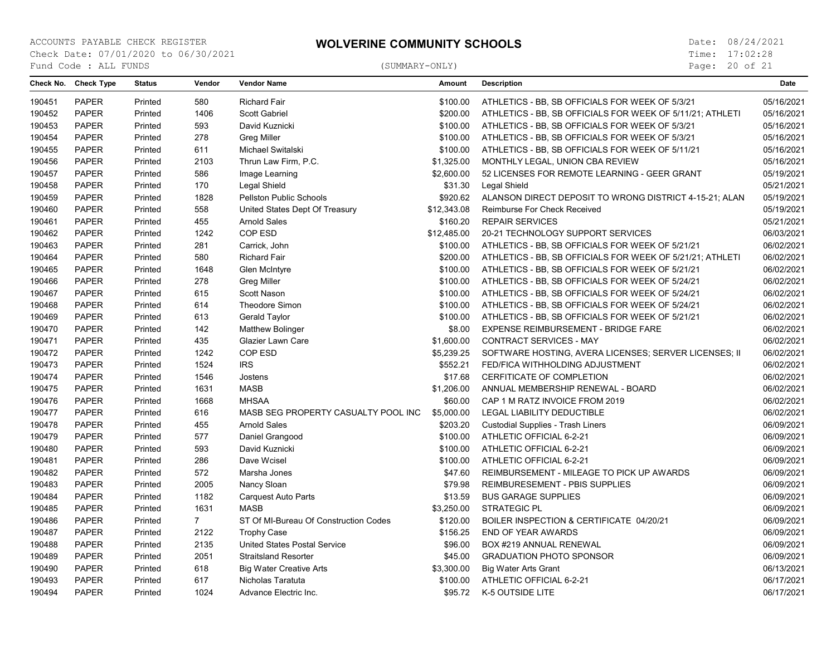Page: 20 of 21

|        | Check No. Check Type | <b>Status</b> | Vendor      | <b>Vendor Name</b>                    | Amount      | <b>Description</b>                                        | Date       |
|--------|----------------------|---------------|-------------|---------------------------------------|-------------|-----------------------------------------------------------|------------|
| 190451 | <b>PAPER</b>         | Printed       | 580         | <b>Richard Fair</b>                   | \$100.00    | ATHLETICS - BB, SB OFFICIALS FOR WEEK OF 5/3/21           | 05/16/2021 |
| 190452 | <b>PAPER</b>         | Printed       | 1406        | Scott Gabriel                         | \$200.00    | ATHLETICS - BB, SB OFFICIALS FOR WEEK OF 5/11/21; ATHLETI | 05/16/2021 |
| 190453 | <b>PAPER</b>         | Printed       | 593         | David Kuznicki                        | \$100.00    | ATHLETICS - BB, SB OFFICIALS FOR WEEK OF 5/3/21           | 05/16/2021 |
| 190454 | <b>PAPER</b>         | Printed       | 278         | <b>Greg Miller</b>                    | \$100.00    | ATHLETICS - BB, SB OFFICIALS FOR WEEK OF 5/3/21           | 05/16/2021 |
| 190455 | <b>PAPER</b>         | Printed       | 611         | Michael Switalski                     | \$100.00    | ATHLETICS - BB, SB OFFICIALS FOR WEEK OF 5/11/21          | 05/16/2021 |
| 190456 | <b>PAPER</b>         | Printed       | 2103        | Thrun Law Firm, P.C.                  | \$1,325.00  | MONTHLY LEGAL, UNION CBA REVIEW                           | 05/16/2021 |
| 190457 | <b>PAPER</b>         | Printed       | 586         | Image Learning                        | \$2,600.00  | 52 LICENSES FOR REMOTE LEARNING - GEER GRANT              | 05/19/2021 |
| 190458 | <b>PAPER</b>         | Printed       | 170         | Legal Shield                          | \$31.30     | Legal Shield                                              | 05/21/2021 |
| 190459 | <b>PAPER</b>         | Printed       | 1828        | Pellston Public Schools               | \$920.62    | ALANSON DIRECT DEPOSIT TO WRONG DISTRICT 4-15-21; ALAN    | 05/19/2021 |
| 190460 | <b>PAPER</b>         | Printed       | 558         | United States Dept Of Treasury        | \$12,343.08 | Reimburse For Check Received                              | 05/19/2021 |
| 190461 | <b>PAPER</b>         | Printed       | 455         | <b>Arnold Sales</b>                   | \$160.20    | <b>REPAIR SERVICES</b>                                    | 05/21/2021 |
| 190462 | <b>PAPER</b>         | Printed       | 1242        | COP ESD                               | \$12,485.00 | 20-21 TECHNOLOGY SUPPORT SERVICES                         | 06/03/2021 |
| 190463 | <b>PAPER</b>         | Printed       | 281         | Carrick, John                         | \$100.00    | ATHLETICS - BB, SB OFFICIALS FOR WEEK OF 5/21/21          | 06/02/2021 |
| 190464 | <b>PAPER</b>         | Printed       | 580         | <b>Richard Fair</b>                   | \$200.00    | ATHLETICS - BB, SB OFFICIALS FOR WEEK OF 5/21/21; ATHLETI | 06/02/2021 |
| 190465 | <b>PAPER</b>         | Printed       | 1648        | Glen McIntyre                         | \$100.00    | ATHLETICS - BB, SB OFFICIALS FOR WEEK OF 5/21/21          | 06/02/2021 |
| 190466 | <b>PAPER</b>         | Printed       | 278         | <b>Greg Miller</b>                    | \$100.00    | ATHLETICS - BB, SB OFFICIALS FOR WEEK OF 5/24/21          | 06/02/2021 |
| 190467 | <b>PAPER</b>         | Printed       | 615         | Scott Nason                           | \$100.00    | ATHLETICS - BB, SB OFFICIALS FOR WEEK OF 5/24/21          | 06/02/2021 |
| 190468 | <b>PAPER</b>         | Printed       | 614         | <b>Theodore Simon</b>                 | \$100.00    | ATHLETICS - BB, SB OFFICIALS FOR WEEK OF 5/24/21          | 06/02/2021 |
| 190469 | <b>PAPER</b>         | Printed       | 613         | <b>Gerald Taylor</b>                  | \$100.00    | ATHLETICS - BB, SB OFFICIALS FOR WEEK OF 5/21/21          | 06/02/2021 |
| 190470 | <b>PAPER</b>         | Printed       | 142         | <b>Matthew Bolinger</b>               | \$8.00      | EXPENSE REIMBURSEMENT - BRIDGE FARE                       | 06/02/2021 |
| 190471 | <b>PAPER</b>         | Printed       | 435         | <b>Glazier Lawn Care</b>              | \$1,600.00  | <b>CONTRACT SERVICES - MAY</b>                            | 06/02/2021 |
| 190472 | <b>PAPER</b>         | Printed       | 1242        | COP ESD                               | \$5,239.25  | SOFTWARE HOSTING, AVERA LICENSES; SERVER LICENSES; II     | 06/02/2021 |
| 190473 | <b>PAPER</b>         | Printed       | 1524        | <b>IRS</b>                            | \$552.21    | FED/FICA WITHHOLDING ADJUSTMENT                           | 06/02/2021 |
| 190474 | <b>PAPER</b>         | Printed       | 1546        | Jostens                               | \$17.68     | CERFITICATE OF COMPLETION                                 | 06/02/2021 |
| 190475 | <b>PAPER</b>         | Printed       | 1631        | <b>MASB</b>                           | \$1,206.00  | ANNUAL MEMBERSHIP RENEWAL - BOARD                         | 06/02/2021 |
| 190476 | <b>PAPER</b>         | Printed       | 1668        | <b>MHSAA</b>                          | \$60.00     | CAP 1 M RATZ INVOICE FROM 2019                            | 06/02/2021 |
| 190477 | <b>PAPER</b>         | Printed       | 616         | MASB SEG PROPERTY CASUALTY POOL INC   | \$5,000.00  | LEGAL LIABILITY DEDUCTIBLE                                | 06/02/2021 |
| 190478 | <b>PAPER</b>         | Printed       | 455         | <b>Arnold Sales</b>                   | \$203.20    | <b>Custodial Supplies - Trash Liners</b>                  | 06/09/2021 |
| 190479 | <b>PAPER</b>         | Printed       | 577         | Daniel Grangood                       | \$100.00    | ATHLETIC OFFICIAL 6-2-21                                  | 06/09/2021 |
| 190480 | <b>PAPER</b>         | Printed       | 593         | David Kuznicki                        | \$100.00    | ATHLETIC OFFICIAL 6-2-21                                  | 06/09/2021 |
| 190481 | <b>PAPER</b>         | Printed       | 286         | Dave Wcisel                           | \$100.00    | ATHLETIC OFFICIAL 6-2-21                                  | 06/09/2021 |
| 190482 | <b>PAPER</b>         | Printed       | 572         | Marsha Jones                          | \$47.60     | REIMBURSEMENT - MILEAGE TO PICK UP AWARDS                 | 06/09/2021 |
| 190483 | <b>PAPER</b>         | Printed       | 2005        | Nancy Sloan                           | \$79.98     | REIMBURESEMENT - PBIS SUPPLIES                            | 06/09/2021 |
| 190484 | <b>PAPER</b>         | Printed       | 1182        | <b>Carquest Auto Parts</b>            | \$13.59     | <b>BUS GARAGE SUPPLIES</b>                                | 06/09/2021 |
| 190485 | <b>PAPER</b>         | Printed       | 1631        | <b>MASB</b>                           | \$3,250.00  | <b>STRATEGIC PL</b>                                       | 06/09/2021 |
| 190486 | <b>PAPER</b>         | Printed       | $7^{\circ}$ | ST Of MI-Bureau Of Construction Codes | \$120.00    | BOILER INSPECTION & CERTIFICATE 04/20/21                  | 06/09/2021 |
| 190487 | <b>PAPER</b>         | Printed       | 2122        | <b>Trophy Case</b>                    | \$156.25    | END OF YEAR AWARDS                                        | 06/09/2021 |
| 190488 | <b>PAPER</b>         | Printed       | 2135        | <b>United States Postal Service</b>   | \$96.00     | BOX #219 ANNUAL RENEWAL                                   | 06/09/2021 |
| 190489 | <b>PAPER</b>         | Printed       | 2051        | <b>Straitsland Resorter</b>           | \$45.00     | <b>GRADUATION PHOTO SPONSOR</b>                           | 06/09/2021 |
| 190490 | <b>PAPER</b>         | Printed       | 618         | <b>Big Water Creative Arts</b>        | \$3,300.00  | <b>Big Water Arts Grant</b>                               | 06/13/2021 |
| 190493 | <b>PAPER</b>         | Printed       | 617         | Nicholas Taratuta                     | \$100.00    | ATHLETIC OFFICIAL 6-2-21                                  | 06/17/2021 |
| 190494 | <b>PAPER</b>         | Printed       | 1024        | Advance Electric Inc.                 | \$95.72     | K-5 OUTSIDE LITE                                          | 06/17/2021 |